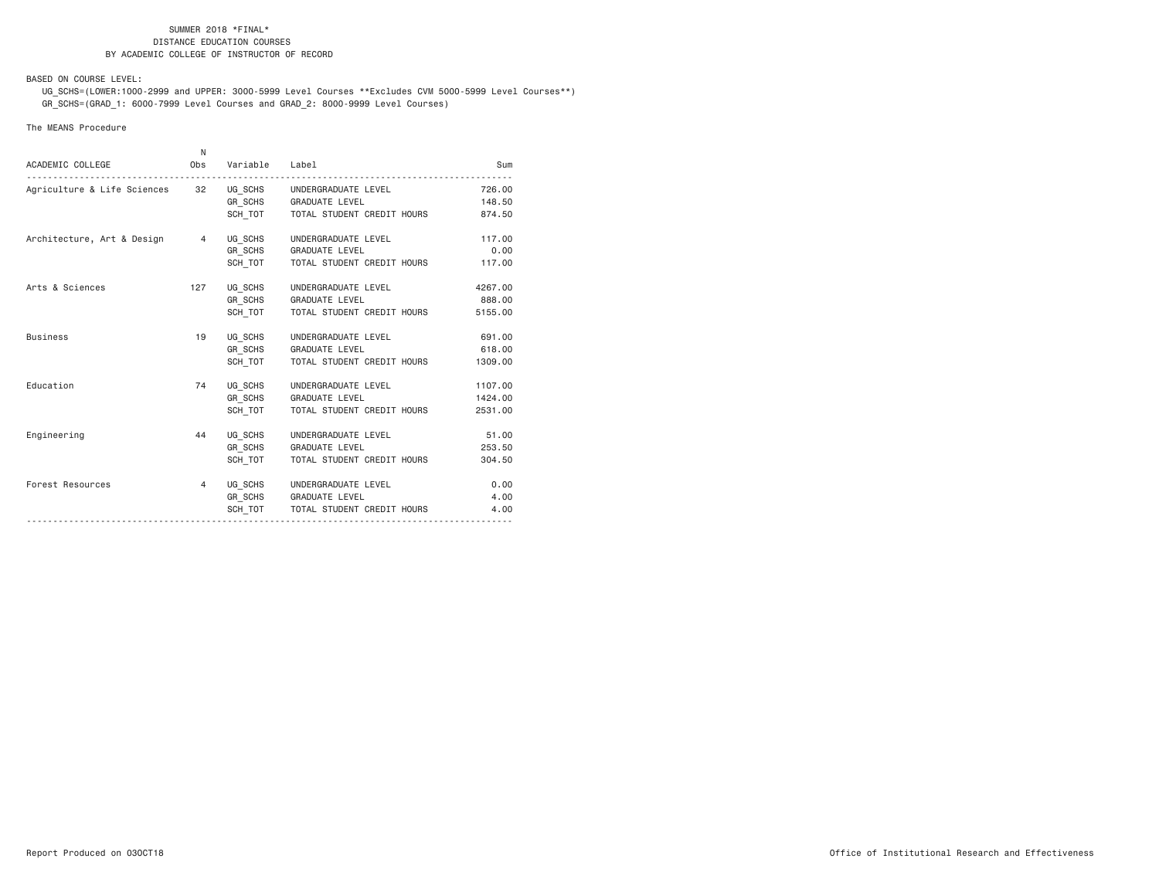BASED ON COURSE LEVEL:

 UG\_SCHS=(LOWER:1000-2999 and UPPER: 3000-5999 Level Courses \*\*Excludes CVM 5000-5999 Level Courses\*\*) GR\_SCHS=(GRAD\_1: 6000-7999 Level Courses and GRAD\_2: 8000-9999 Level Courses)

#### The MEANS Procedure

| ACADEMIC COLLEGE                                           | N.<br>Obs | Variable Label |                                      | Sum     |
|------------------------------------------------------------|-----------|----------------|--------------------------------------|---------|
|                                                            |           |                |                                      |         |
| Agriculture & Life Sciences 32 UG_SCHS UNDERGRADUATE LEVEL |           |                |                                      | 726,00  |
|                                                            |           |                | GR SCHS GRADUATE LEVEL               | 148.50  |
|                                                            |           |                | SCH_TOT TOTAL STUDENT CREDIT HOURS   | 874.50  |
| Architecture, Art & Design 4                               |           | UG SCHS        | UNDERGRADUATE LEVEL                  | 117,00  |
|                                                            |           |                | GR SCHS GRADUATE LEVEL               | 0.00    |
|                                                            |           |                | SCH TOT   TOTAL STUDENT CREDIT HOURS | 117.00  |
| Arts & Sciences                                            | 127       | UG SCHS        | UNDERGRADUATE LEVEL                  | 4267.00 |
|                                                            |           |                | GR SCHS GRADUATE LEVEL               | 888,00  |
|                                                            |           | SCH TOT        | TOTAL STUDENT CREDIT HOURS           | 5155.00 |
| <b>Business</b>                                            | 19        |                | UG SCHS UNDERGRADUATE LEVEL          | 691.00  |
|                                                            |           |                | GR_SCHS GRADUATE LEVEL               | 618,00  |
|                                                            |           | SCH TOT        | TOTAL STUDENT CREDIT HOURS           | 1309.00 |
| Education                                                  | 74        |                | UG SCHS UNDERGRADUATE LEVEL          | 1107.00 |
|                                                            |           |                | GR_SCHS GRADUATE LEVEL               | 1424.00 |
|                                                            |           | SCH TOT        | TOTAL STUDENT CREDIT HOURS           | 2531.00 |
| Engineering                                                | 44        | UG SCHS        | UNDERGRADUATE LEVEL                  | 51.00   |
|                                                            |           |                | GR SCHS GRADUATE LEVEL               | 253.50  |
|                                                            |           | SCH TOT        | TOTAL STUDENT CREDIT HOURS           | 304.50  |
| Forest Resources                                           | 4         |                | UG SCHS UNDERGRADUATE LEVEL          | 0.00    |
|                                                            |           |                | GR SCHS GRADUATE LEVEL               | 4.00    |
|                                                            |           |                | SCH TOT   TOTAL STUDENT CREDIT HOURS | 4.00    |
|                                                            |           |                |                                      |         |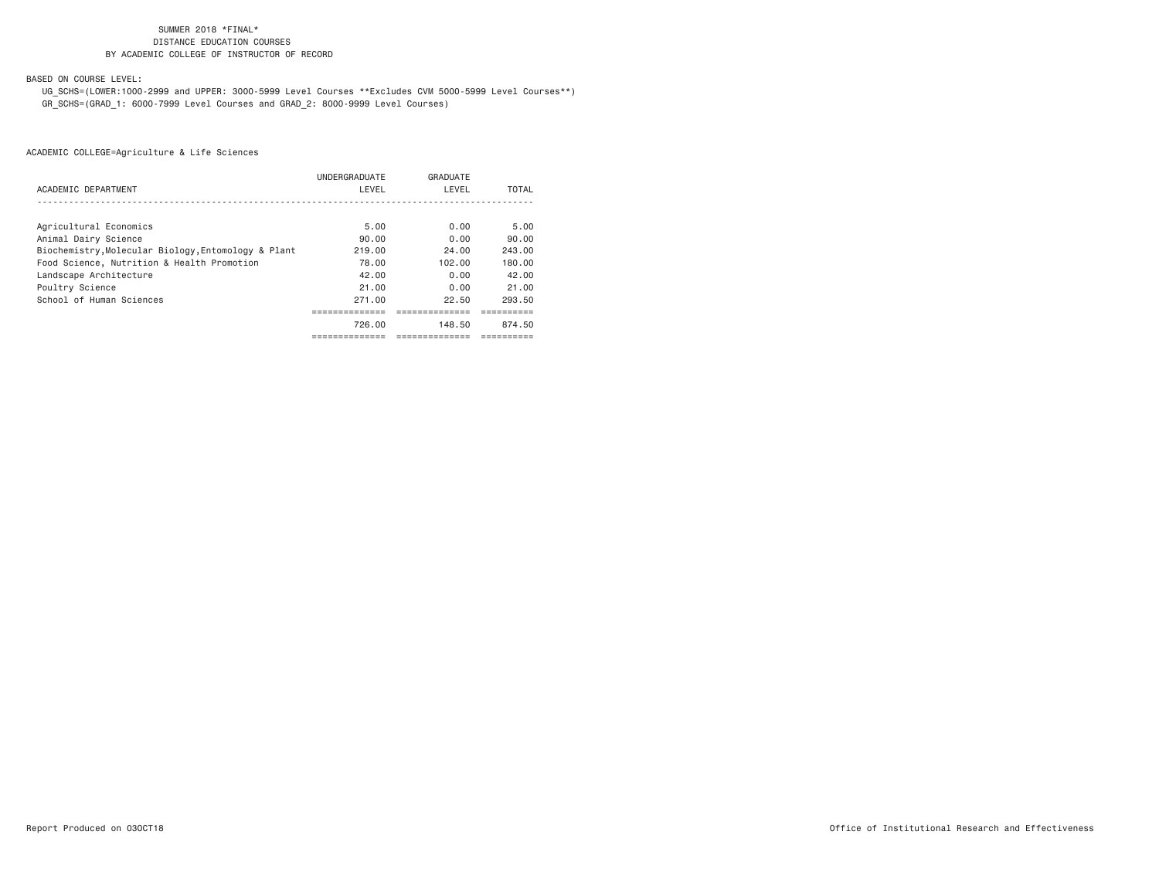BASED ON COURSE LEVEL:

 UG\_SCHS=(LOWER:1000-2999 and UPPER: 3000-5999 Level Courses \*\*Excludes CVM 5000-5999 Level Courses\*\*) GR\_SCHS=(GRAD\_1: 6000-7999 Level Courses and GRAD\_2: 8000-9999 Level Courses)

|                                                     | UNDERGRADUATE | GRADUATE |        |
|-----------------------------------------------------|---------------|----------|--------|
| ACADEMIC DEPARTMENT                                 | LEVEL         | LEVEL    | TOTAL  |
|                                                     |               |          |        |
| Agricultural Economics                              | 5.00          | 0.00     | 5.00   |
| Animal Dairy Science                                | 90.00         | 0.00     | 90.00  |
| Biochemistry, Molecular Biology, Entomology & Plant | 219.00        | 24.00    | 243.00 |
| Food Science, Nutrition & Health Promotion          | 78.00         | 102.00   | 180.00 |
| Landscape Architecture                              | 42.00         | 0.00     | 42.00  |
| Poultry Science                                     | 21.00         | 0.00     | 21.00  |
| School of Human Sciences                            | 271.00        | 22.50    | 293.50 |
|                                                     | --------      |          |        |
|                                                     | 726.00        | 148.50   | 874.50 |
|                                                     |               |          |        |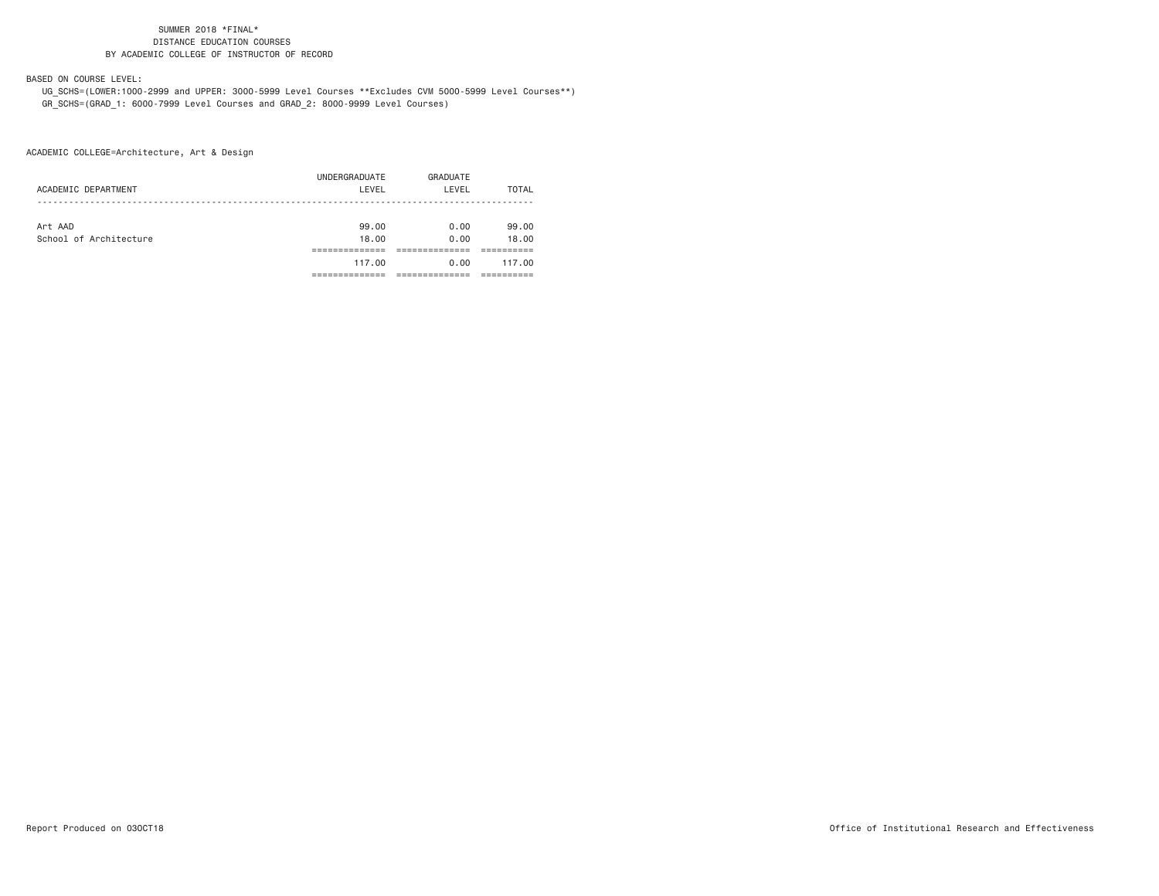#### BASED ON COURSE LEVEL:

 UG\_SCHS=(LOWER:1000-2999 and UPPER: 3000-5999 Level Courses \*\*Excludes CVM 5000-5999 Level Courses\*\*) GR\_SCHS=(GRAD\_1: 6000-7999 Level Courses and GRAD\_2: 8000-9999 Level Courses)

ACADEMIC COLLEGE=Architecture, Art & Design

| ACADEMIC DEPARTMENT    | UNDERGRADUATE<br>LEVEL | GRADUATE<br>LEVEL | TOTAL  |
|------------------------|------------------------|-------------------|--------|
| Art AAD                | 99.00                  | 0.00              | 99.00  |
| School of Architecture | 18.00                  | 0.00              | 18.00  |
|                        |                        |                   |        |
|                        | 117.00                 | 0.00              | 117.00 |
|                        |                        |                   |        |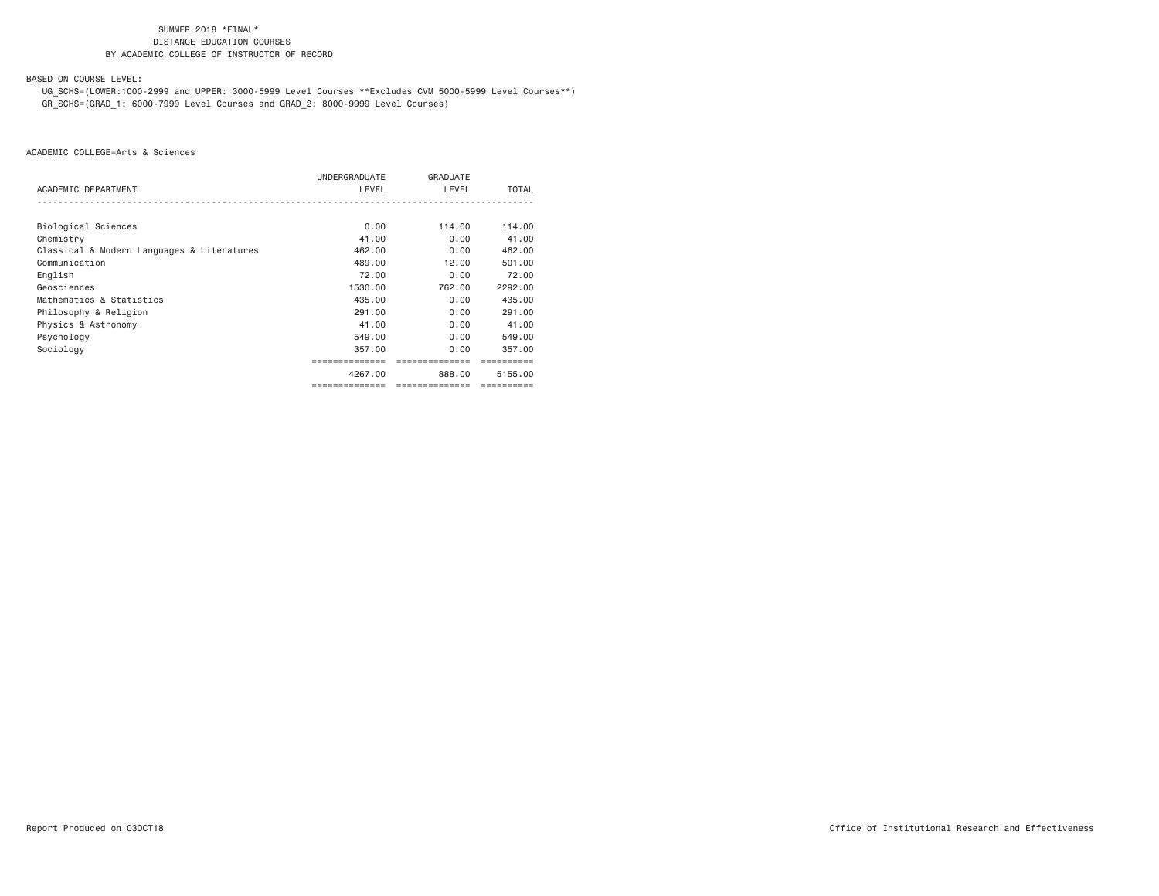BASED ON COURSE LEVEL:

 UG\_SCHS=(LOWER:1000-2999 and UPPER: 3000-5999 Level Courses \*\*Excludes CVM 5000-5999 Level Courses\*\*) GR\_SCHS=(GRAD\_1: 6000-7999 Level Courses and GRAD\_2: 8000-9999 Level Courses)

|                                            | UNDERGRADUATE  | <b>GRADUATE</b> |              |
|--------------------------------------------|----------------|-----------------|--------------|
| ACADEMIC DEPARTMENT                        | LEVEL          | LEVEL           | <b>TOTAL</b> |
|                                            |                |                 |              |
| Biological Sciences                        | 0.00           | 114,00          | 114,00       |
| Chemistry                                  | 41.00          | 0.00            | 41.00        |
| Classical & Modern Languages & Literatures | 462,00         | 0.00            | 462,00       |
| Communication                              | 489,00         | 12.00           | 501.00       |
| English                                    | 72.00          | 0.00            | 72.00        |
| Geosciences                                | 1530.00        | 762.00          | 2292.00      |
| Mathematics & Statistics                   | 435,00         | 0.00            | 435,00       |
| Philosophy & Religion                      | 291,00         | 0.00            | 291,00       |
| Physics & Astronomy                        | 41.00          | 0.00            | 41.00        |
| Psychology                                 | 549.00         | 0.00            | 549,00       |
| Sociology                                  | 357,00         | 0.00            | 357,00       |
|                                            | ============   |                 |              |
|                                            | 4267.00        | 888,00          | 5155.00      |
|                                            | ============== | ==============  |              |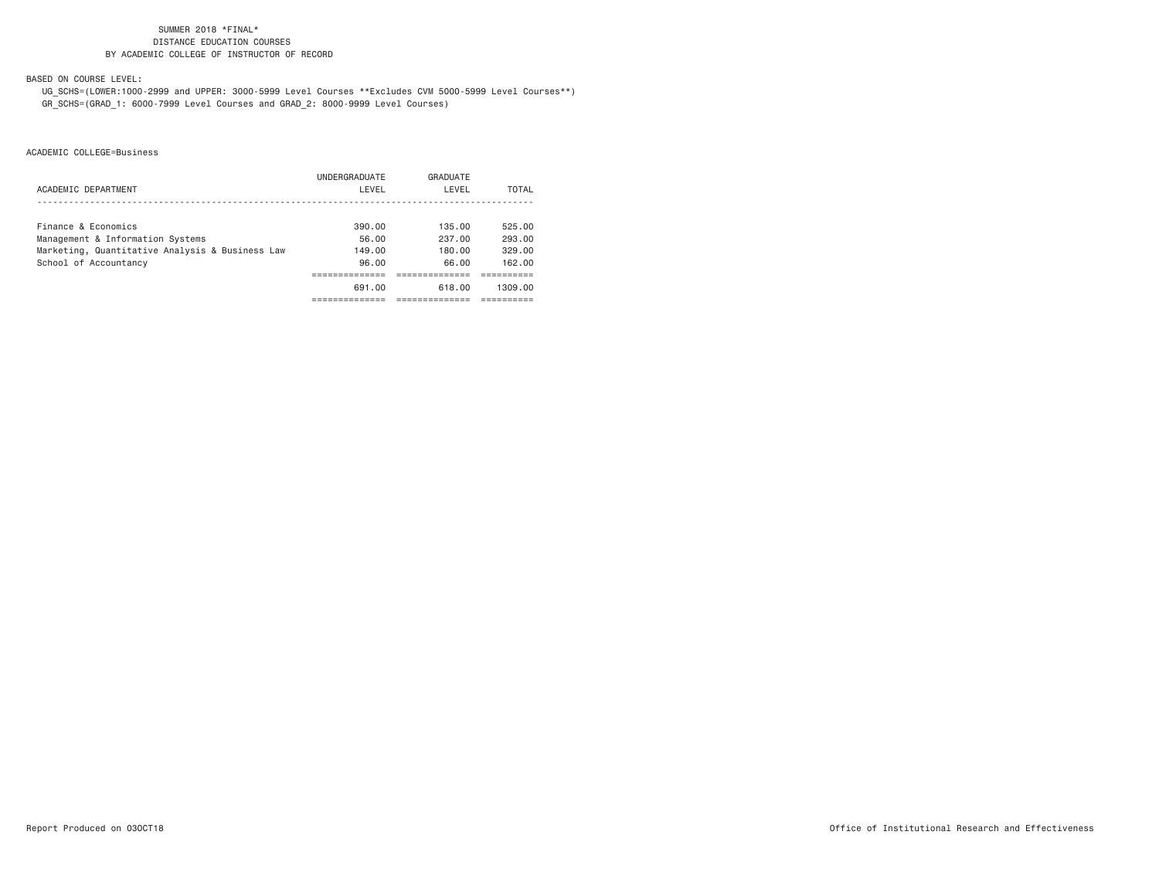BASED ON COURSE LEVEL:

 UG\_SCHS=(LOWER:1000-2999 and UPPER: 3000-5999 Level Courses \*\*Excludes CVM 5000-5999 Level Courses\*\*) GR\_SCHS=(GRAD\_1: 6000-7999 Level Courses and GRAD\_2: 8000-9999 Level Courses)

|                                                 | UNDERGRADUATE | GRADUATE |         |
|-------------------------------------------------|---------------|----------|---------|
| ACADEMIC DEPARTMENT                             | LEVEL         | LEVEL    | TOTAL   |
|                                                 |               |          |         |
| Finance & Economics                             | 390.00        | 135.00   | 525.00  |
| Management & Information Systems                | 56.00         | 237.00   | 293.00  |
| Marketing, Quantitative Analysis & Business Law | 149.00        | 180.00   | 329.00  |
| School of Accountancy                           | 96.00         | 66.00    | 162.00  |
|                                                 |               |          |         |
|                                                 | 691.00        | 618.00   | 1309.00 |
|                                                 |               |          |         |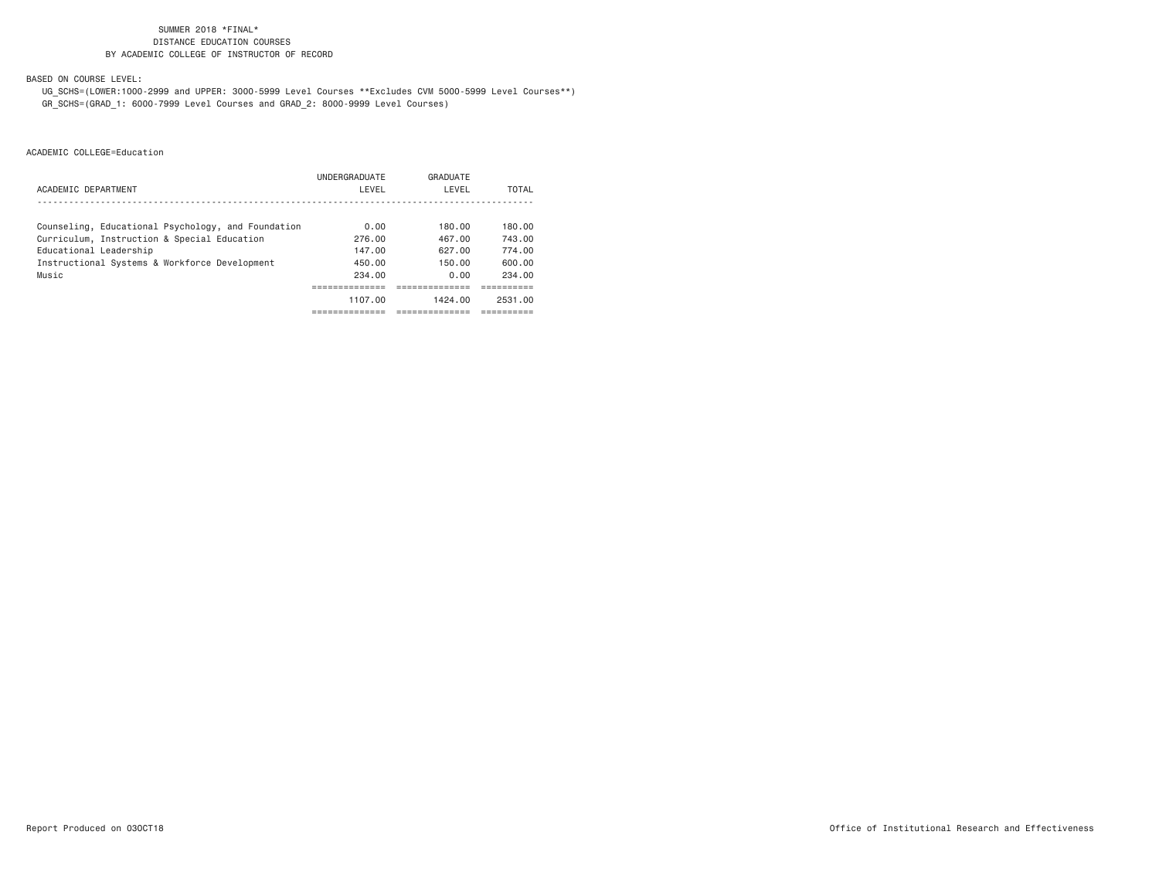BASED ON COURSE LEVEL:

 UG\_SCHS=(LOWER:1000-2999 and UPPER: 3000-5999 Level Courses \*\*Excludes CVM 5000-5999 Level Courses\*\*) GR\_SCHS=(GRAD\_1: 6000-7999 Level Courses and GRAD\_2: 8000-9999 Level Courses)

|                                                    | UNDERGRADUATE | GRADUATE |         |
|----------------------------------------------------|---------------|----------|---------|
| ACADEMIC DEPARTMENT                                | LEVEL         | LEVEL    | TOTAL   |
|                                                    |               |          |         |
| Counseling, Educational Psychology, and Foundation | 0.00          | 180.00   | 180.00  |
| Curriculum, Instruction & Special Education        | 276.00        | 467.00   | 743.00  |
| Educational Leadership                             | 147.00        | 627.00   | 774.00  |
| Instructional Systems & Workforce Development      | 450.00        | 150.00   | 600.00  |
| Music                                              | 234.00        | 0.00     | 234.00  |
|                                                    |               |          |         |
|                                                    | 1107.00       | 1424.00  | 2531.00 |
|                                                    |               |          |         |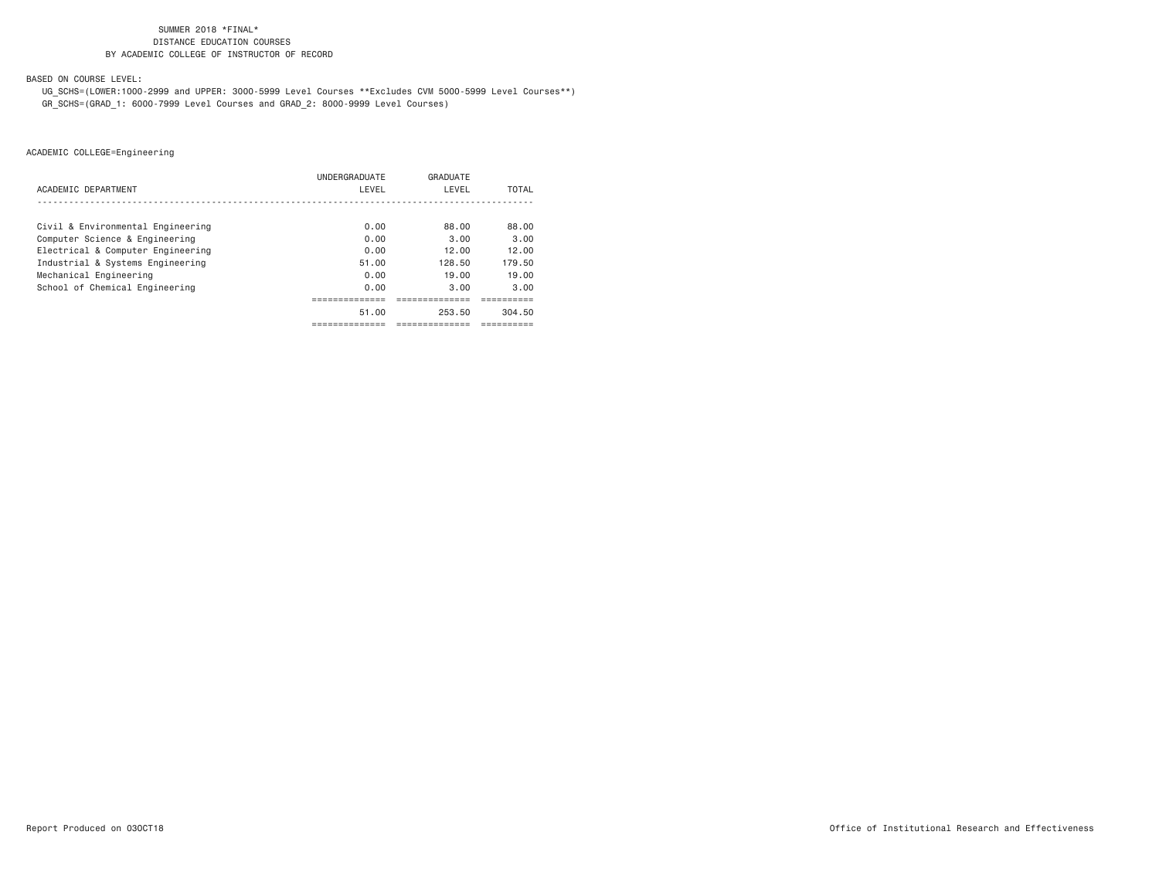BASED ON COURSE LEVEL:

 UG\_SCHS=(LOWER:1000-2999 and UPPER: 3000-5999 Level Courses \*\*Excludes CVM 5000-5999 Level Courses\*\*) GR\_SCHS=(GRAD\_1: 6000-7999 Level Courses and GRAD\_2: 8000-9999 Level Courses)

|                                   | UNDERGRADUATE | GRADUATE    |        |
|-----------------------------------|---------------|-------------|--------|
| ACADEMIC DEPARTMENT               | LEVEL         | LEVEL       | TOTAL  |
|                                   |               |             |        |
| Civil & Environmental Engineering | 0.00          | 88.00       | 88.00  |
| Computer Science & Engineering    | 0.00          | 3.00        | 3.00   |
| Electrical & Computer Engineering | 0.00          | 12.00       | 12.00  |
| Industrial & Systems Engineering  | 51.00         | 128.50      | 179.50 |
| Mechanical Engineering            | 0.00          | 19.00       | 19.00  |
| School of Chemical Engineering    | 0.00          | 3.00        | 3.00   |
|                                   |               |             |        |
|                                   | 51.00         | 253.50      | 304.50 |
|                                   | ------------  | ----------- | ------ |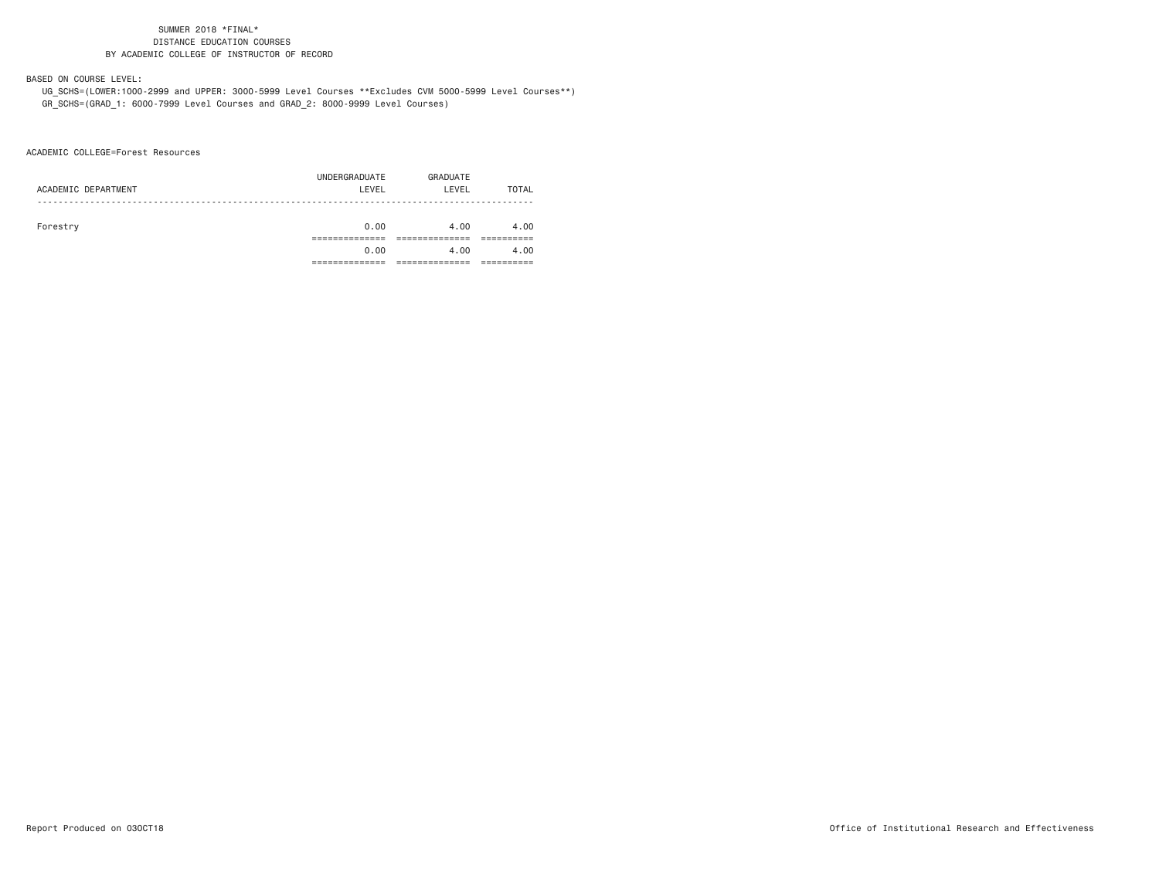#### BASED ON COURSE LEVEL:

 UG\_SCHS=(LOWER:1000-2999 and UPPER: 3000-5999 Level Courses \*\*Excludes CVM 5000-5999 Level Courses\*\*) GR\_SCHS=(GRAD\_1: 6000-7999 Level Courses and GRAD\_2: 8000-9999 Level Courses)

ACADEMIC COLLEGE=Forest Resources

| ACADEMIC DEPARTMENT | UNDERGRADUATE<br>LEVEL | GRADUATE<br>LEVEL | TOTAL |
|---------------------|------------------------|-------------------|-------|
| Forestry            | 0.00                   | 4.00              | 4.00  |
|                     | 0.00                   | 4.00              | 4.00  |
|                     |                        |                   |       |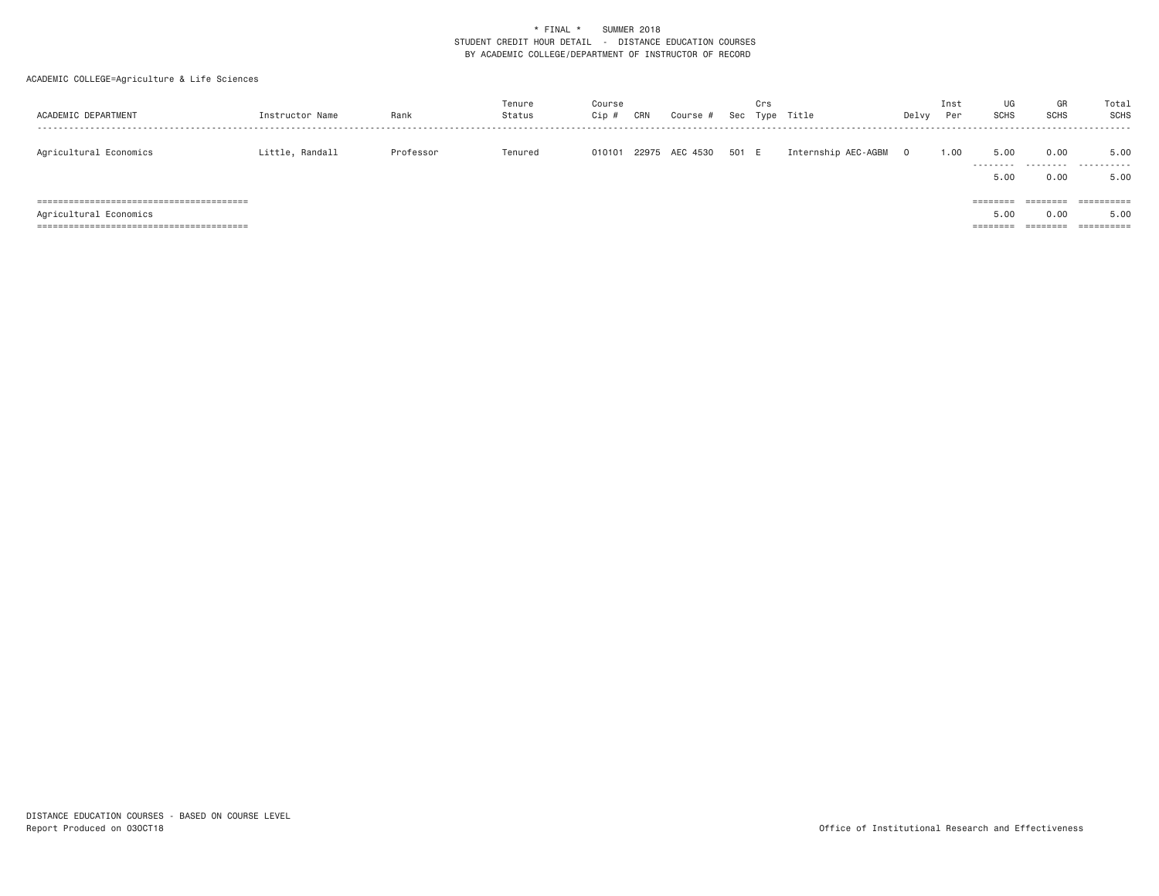| ACADEMIC DEPARTMENT    | Instructor Name | Rank      | Tenure<br>Status | Course<br>Cip | CRN | Course #       | Sec   | Crs<br>Type | Title               | Delvy | Inst<br>Per | UG<br><b>SCHS</b>                     | GR<br><b>SCHS</b>            | Total<br>SCHS                    |
|------------------------|-----------------|-----------|------------------|---------------|-----|----------------|-------|-------------|---------------------|-------|-------------|---------------------------------------|------------------------------|----------------------------------|
| Agricultural Economics | Little, Randall | Professor | Tenured          | 010101        |     | 22975 AEC 4530 | 501 E |             | Internship AEC-AGBM |       | 1.00        | 5,00<br>.<br>5,00                     | 0.00<br>.<br>0.00            | 5.00<br>.<br>5.00                |
| Agricultural Economics |                 |           |                  |               |     |                |       |             |                     |       |             | ========<br>5,00<br>$=$ = = = = = = = | ========<br>0.00<br>======== | ==========<br>5.00<br>========== |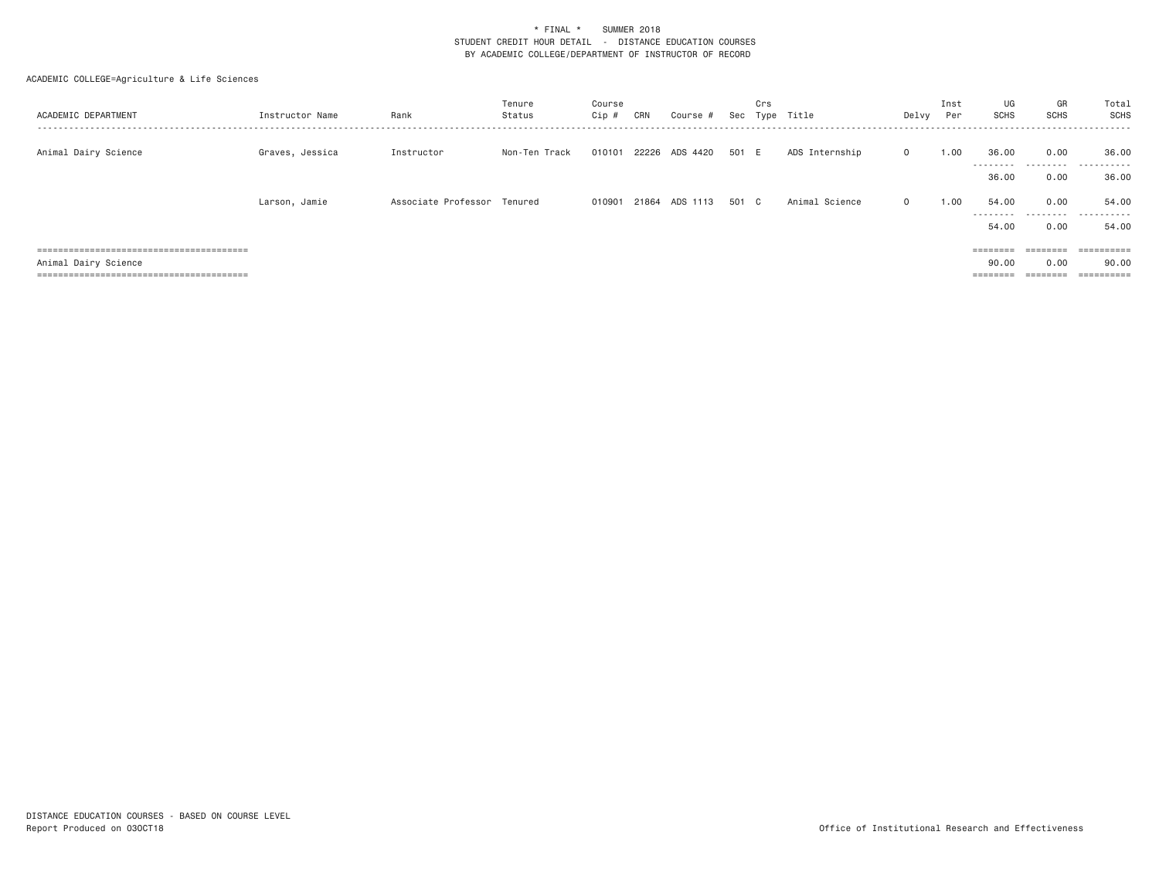| ACADEMIC DEPARTMENT  | Instructor Name | Rank                        | Tenure<br>Status | Course<br>Cip # | CRN | Course #              | Sec   | Crs | Type Title     | Delvy        | Inst<br>Per | UG<br>SCHS                  | GR<br>SCHS                                                              | Total<br>SCHS         |
|----------------------|-----------------|-----------------------------|------------------|-----------------|-----|-----------------------|-------|-----|----------------|--------------|-------------|-----------------------------|-------------------------------------------------------------------------|-----------------------|
| Animal Dairy Science | Graves, Jessica | Instructor                  | Non-Ten Track    | 010101          |     | 22226 ADS 4420        | 501 E |     | ADS Internship | $\mathbf{0}$ | 1.00        | 36.00<br>---------          | 0.00                                                                    | 36.00<br>.            |
|                      |                 |                             |                  |                 |     |                       |       |     |                |              |             | 36.00                       | 0.00                                                                    | 36.00                 |
|                      | Larson, Jamie   | Associate Professor Tenured |                  |                 |     | 010901 21864 ADS 1113 | 501 C |     | Animal Science | $\Omega$     | 1.00        | 54.00<br>---------<br>54,00 | 0.00<br>.<br>0.00                                                       | 54.00<br>.<br>54.00   |
|                      |                 |                             |                  |                 |     |                       |       |     |                |              |             | $=$ = = = = = = =           | $\qquad \qquad \equiv \equiv \equiv \equiv \equiv \equiv \equiv \equiv$ | $=$ = = = = = = = = = |
| Animal Dairy Science |                 |                             |                  |                 |     |                       |       |     |                |              |             | 90.00                       | 0.00                                                                    | 90.00                 |
|                      |                 |                             |                  |                 |     |                       |       |     |                |              |             | ========                    | $\qquad \qquad \equiv \equiv \equiv \equiv \equiv \equiv \equiv \equiv$ |                       |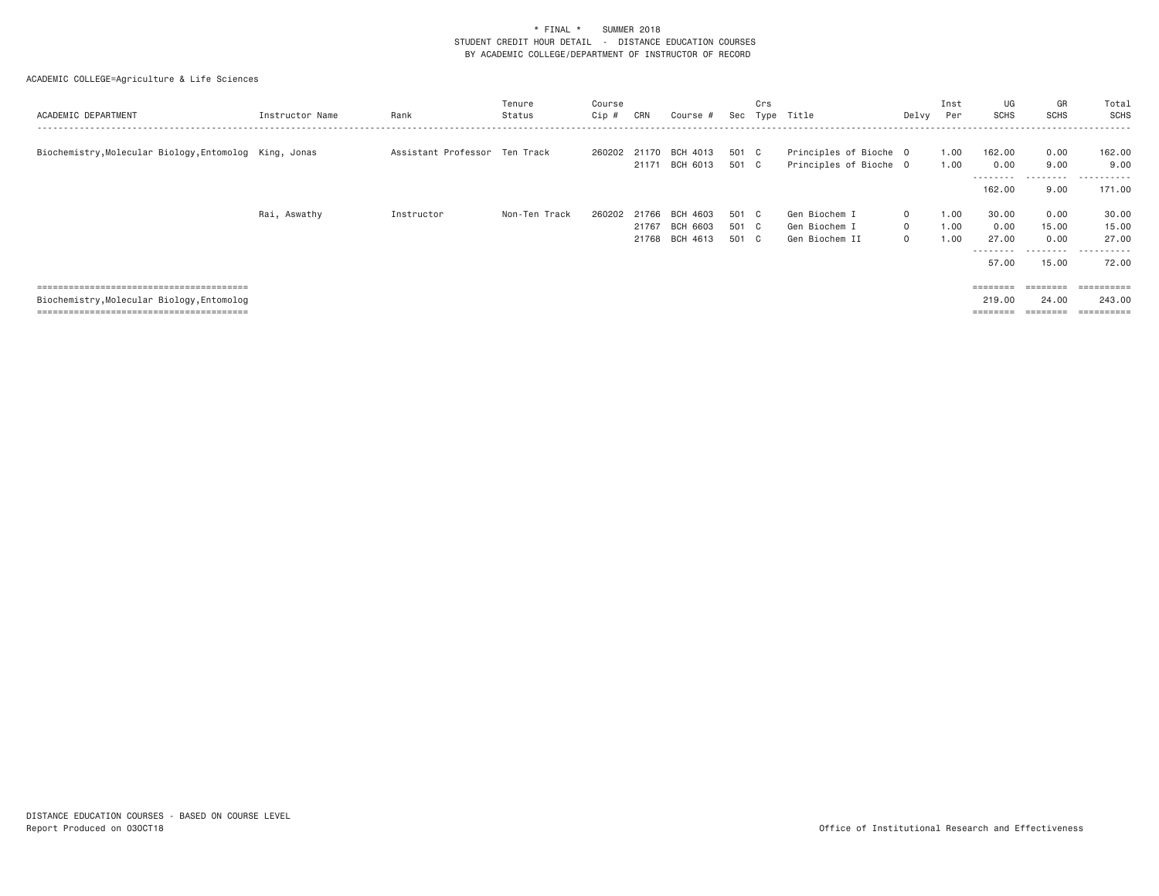| ACADEMIC DEPARTMENT                                    | Instructor Name | Rank                          | Tenure<br>Status | Course<br>Cip # | CRN            | Course #                               | Sec                     | Crs | Type Title                                       | Delvy                                        | Inst<br>Per          | UG<br>SCHS                      | GR<br>SCHS                                  | Total<br><b>SCHS</b>                              |
|--------------------------------------------------------|-----------------|-------------------------------|------------------|-----------------|----------------|----------------------------------------|-------------------------|-----|--------------------------------------------------|----------------------------------------------|----------------------|---------------------------------|---------------------------------------------|---------------------------------------------------|
| Biochemistry, Molecular Biology, Entomolog King, Jonas |                 | Assistant Professor Ten Track |                  | 260202 21170    |                | BCH 4013<br>21171 BCH 6013             | 501 C<br>501 C          |     | Principles of Bioche O<br>Principles of Bioche 0 |                                              | 1.00<br>1.00         | 162.00<br>0.00<br>--------      | 0.00<br>9.00<br>.                           | 162.00<br>9.00<br>.                               |
|                                                        |                 |                               |                  |                 |                |                                        |                         |     |                                                  |                                              |                      | 162.00                          | 9.00                                        | 171.00                                            |
|                                                        | Rai, Aswathy    | Instructor                    | Non-Ten Track    | 260202          | 21766<br>21767 | BCH 4603<br>BCH 6603<br>21768 BCH 4613 | 501 C<br>501 C<br>501 C |     | Gen Biochem I<br>Gen Biochem I<br>Gen Biochem II | $\mathbf{0}$<br>$\mathbf{0}$<br>$\mathbf{0}$ | 1.00<br>1.00<br>1.00 | 30.00<br>0.00<br>27,00<br>57.00 | 0.00<br>15.00<br>0.00<br>---------<br>15.00 | 30.00<br>15.00<br>27.00<br>- - - - - - -<br>72.00 |
| Biochemistry, Molecular Biology, Entomolog             |                 |                               |                  |                 |                |                                        |                         |     |                                                  |                                              |                      | ========<br>219,00<br>========  | ========<br>24.00<br>========               | $=$ = = = = = = = = =<br>243.00<br>==========     |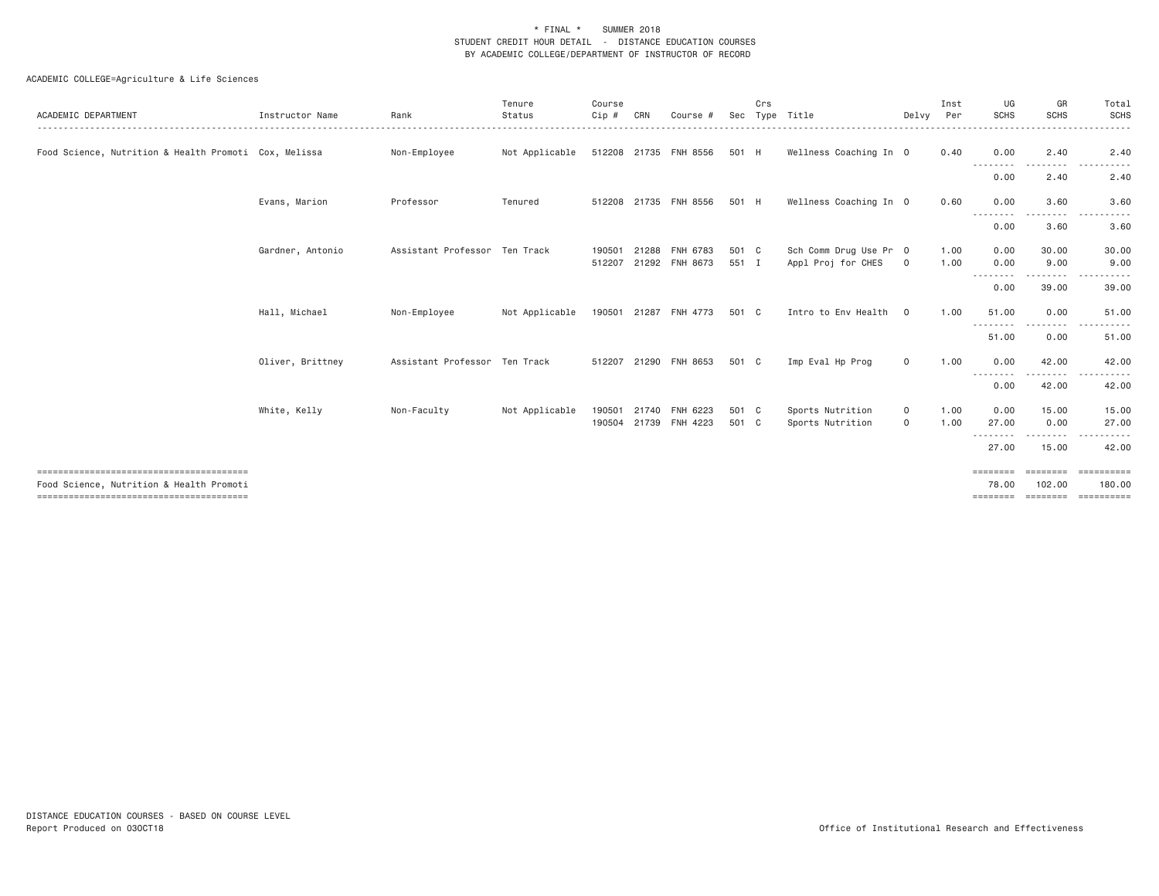| ACADEMIC DEPARTMENT                                   | Instructor Name  | Rank                          | Tenure<br>Status | Course<br>Cip #  | CRN   | Course #                   |                | Crs | Sec Type Title                               | Delvv                  | Inst<br>Per  | UG<br><b>SCHS</b>                                                                                                                                                 | GR<br><b>SCHS</b><br>. | Total<br>SCHS<br>.                           |
|-------------------------------------------------------|------------------|-------------------------------|------------------|------------------|-------|----------------------------|----------------|-----|----------------------------------------------|------------------------|--------------|-------------------------------------------------------------------------------------------------------------------------------------------------------------------|------------------------|----------------------------------------------|
| Food Science, Nutrition & Health Promoti Cox, Melissa |                  | Non-Employee                  | Not Applicable   |                  |       | 512208 21735 FNH 8556      | 501 H          |     | Wellness Coaching In 0                       |                        | 0.40         | 0.00                                                                                                                                                              | 2.40                   | 2.40                                         |
|                                                       |                  |                               |                  |                  |       |                            |                |     |                                              |                        |              | ---------<br>0.00                                                                                                                                                 | .<br>2.40              | .<br>$- - -$<br>2.40                         |
|                                                       | Evans, Marion    | Professor                     | Tenured          |                  |       | 512208 21735 FNH 8556      | 501 H          |     | Wellness Coaching In 0                       |                        | 0.60         | 0.00<br>$\frac{1}{2} \left( \frac{1}{2} \right) \left( \frac{1}{2} \right) \left( \frac{1}{2} \right) \left( \frac{1}{2} \right) \left( \frac{1}{2} \right)$<br>. | 3.60                   | 3.60                                         |
|                                                       |                  |                               |                  |                  |       |                            |                |     |                                              |                        |              | 0.00                                                                                                                                                              | 3.60                   | 3.60                                         |
|                                                       | Gardner, Antonio | Assistant Professor Ten Track |                  | 190501<br>512207 | 21288 | FNH 6783<br>21292 FNH 8673 | 501 C<br>551 I |     | Sch Comm Drug Use Pr 0<br>Appl Proj for CHES | $\circ$                | 1.00<br>1.00 | 0.00<br>0.00                                                                                                                                                      | 30.00<br>9.00          | 30.00<br>9.00                                |
|                                                       |                  |                               |                  |                  |       |                            |                |     |                                              |                        |              | --------<br>0.00                                                                                                                                                  | -----<br>39.00         | 39.00                                        |
|                                                       | Hall, Michael    | Non-Employee                  | Not Applicable   |                  |       | 190501 21287 FNH 4773      | 501 C          |     | Intro to Env Health                          | $\overline{0}$         | 1.00         | 51.00<br>---------                                                                                                                                                | 0.00<br>---------      | 51.00<br>------<br>$- - -$                   |
|                                                       |                  |                               |                  |                  |       |                            |                |     |                                              |                        |              | 51.00                                                                                                                                                             | 0.00                   | 51.00                                        |
|                                                       | Oliver, Brittney | Assistant Professor Ten Track |                  |                  |       | 512207 21290 FNH 8653      | 501 C          |     | Imp Eval Hp Prog                             | $\circ$                | 1.00         | 0.00<br>--------                                                                                                                                                  | 42.00<br>.             | 42.00                                        |
|                                                       |                  |                               |                  |                  |       |                            |                |     |                                              |                        |              | 0.00                                                                                                                                                              | 42.00                  | 42.00                                        |
|                                                       | White, Kelly     | Non-Faculty                   | Not Applicable   | 190501<br>190504 | 21740 | FNH 6223<br>21739 FNH 4223 | 501 C<br>501 C |     | Sports Nutrition<br>Sports Nutrition         | $\mathbf 0$<br>$\circ$ | 1,00<br>1.00 | 0.00<br>27.00                                                                                                                                                     | 15.00<br>0.00          | 15.00<br>27.00                               |
|                                                       |                  |                               |                  |                  |       |                            |                |     |                                              |                        |              | - - - - - - - -<br>27.00                                                                                                                                          | .<br>15.00             | 42.00                                        |
| Food Science, Nutrition & Health Promoti              |                  |                               |                  |                  |       |                            |                |     |                                              |                        |              | ========<br>78.00<br>========                                                                                                                                     | ---------<br>102.00    | ==========<br>180,00<br>-------------------- |
|                                                       |                  |                               |                  |                  |       |                            |                |     |                                              |                        |              |                                                                                                                                                                   |                        |                                              |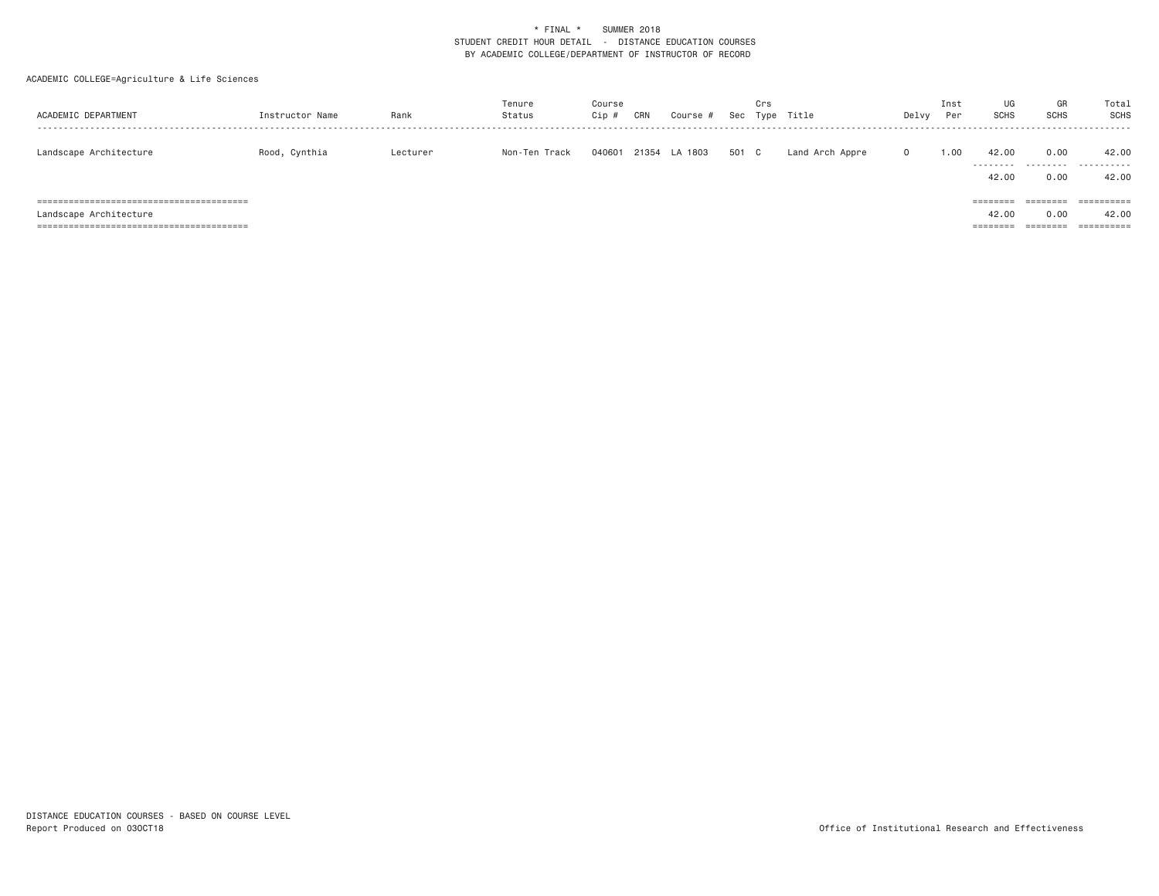| ACADEMIC DEPARTMENT    | Instructor Name | Rank     | Tenure<br>Status | Course<br>Cip # | CRN | Course #      | Sec   | Crs | Type Title      | Delvy        | Inst<br>Per | UG<br><b>SCHS</b>             | GR<br><b>SCHS</b>            | Total<br>SCHS                     |
|------------------------|-----------------|----------|------------------|-----------------|-----|---------------|-------|-----|-----------------|--------------|-------------|-------------------------------|------------------------------|-----------------------------------|
| Landscape Architecture | Rood, Cynthia   | Lecturer | Non-Ten Track    | 040601          |     | 21354 LA 1803 | 501 C |     | Land Arch Appre | $\mathbf{0}$ | 1.00        | 42.00<br>42.00                | 0.00<br>0.00                 | 42.00<br><br>42.00                |
| Landscape Architecture |                 |          |                  |                 |     |               |       |     |                 |              |             | ========<br>42.00<br>======== | ========<br>0.00<br>======== | ==========<br>42.00<br>========== |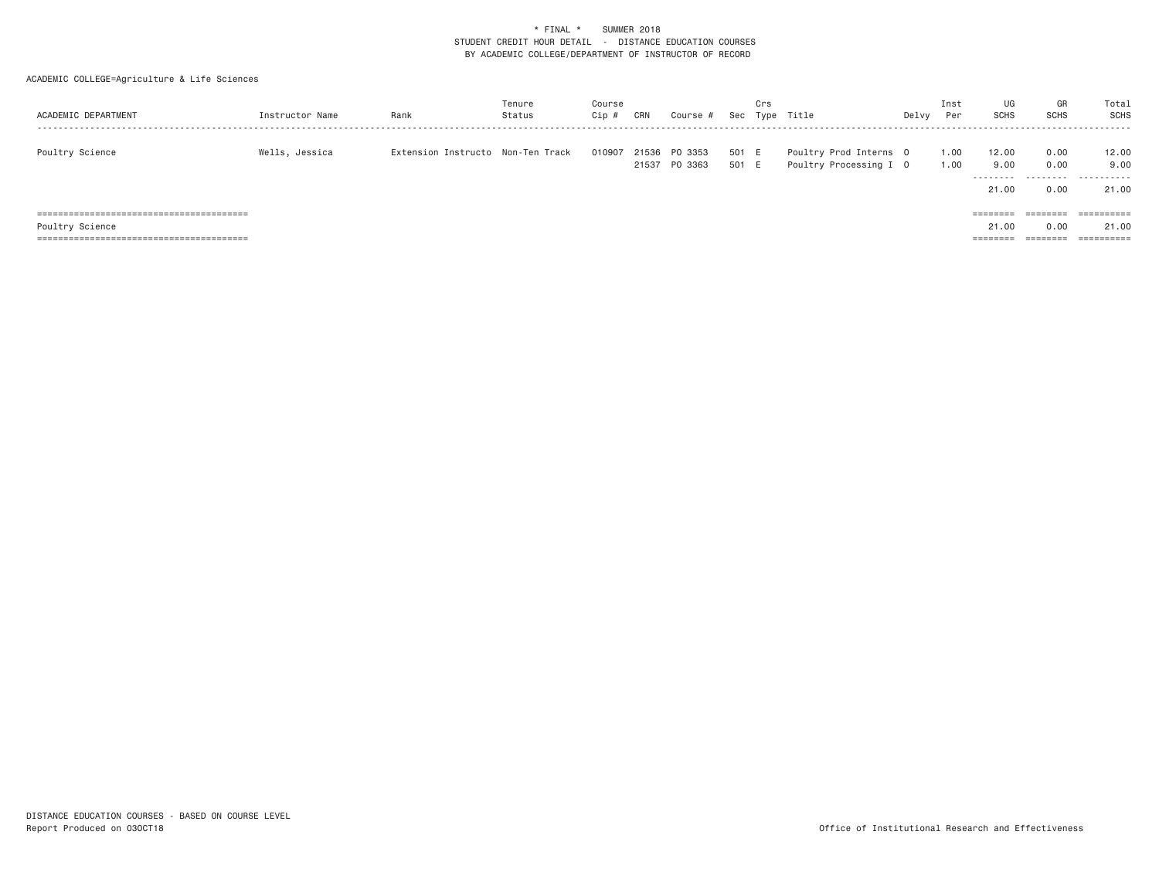| ACADEMIC DEPARTMENT | Instructor Name | Rank                              | Tenure<br>Status | Course<br>$Cip \#$ | CRN | Course #                       | Sec            | Crs | Type Title                                       | Delvy | Inst<br>Per  | UG<br>SCHS                          | GR<br>SCHS                        | Total<br>SCHS               |
|---------------------|-----------------|-----------------------------------|------------------|--------------------|-----|--------------------------------|----------------|-----|--------------------------------------------------|-------|--------------|-------------------------------------|-----------------------------------|-----------------------------|
| Poultry Science     | Wells, Jessica  | Extension Instructo Non-Ten Track |                  | 010907             |     | 21536 PO 3353<br>21537 PO 3363 | 501 E<br>501 E |     | Poultry Prod Interns 0<br>Poultry Processing I 0 |       | 1.00<br>1.00 | 12.00<br>9.00<br>---------<br>21.00 | 0.00<br>0.00<br>---------<br>0.00 | 12.00<br>9.00<br>.<br>21.00 |
|                     |                 |                                   |                  |                    |     |                                |                |     |                                                  |       |              | ========                            | $=$ = = = = = = =                 | $=$ = = = = = = = = = =     |
| Poultry Science     |                 |                                   |                  |                    |     |                                |                |     |                                                  |       |              | 21,00                               | 0.00                              | 21.00                       |
|                     |                 |                                   |                  |                    |     |                                |                |     |                                                  |       |              | ========                            | --------                          | ==========                  |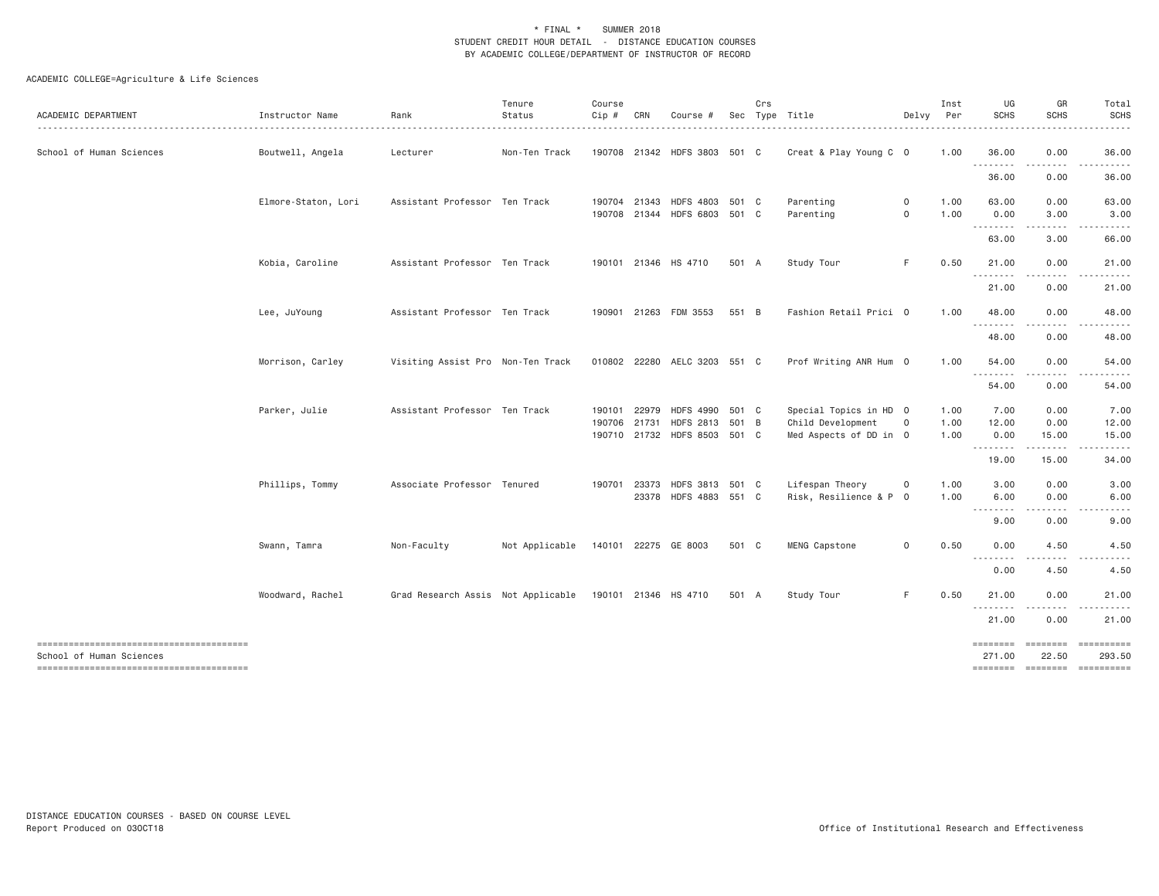| ACADEMIC DEPARTMENT      | Instructor Name     | Rank                                                    | Tenure<br>Status                    | Course<br>Cip # | CRN                   | Course #                                                            |       | Crs | Sec Type Title                                                        | Delvy                  | Inst<br>Per          | UG<br><b>SCHS</b>     | GR<br><b>SCHS</b>                                                                                                                                                                                                                                                                                                                             | Total<br><b>SCHS</b><br>.  |
|--------------------------|---------------------|---------------------------------------------------------|-------------------------------------|-----------------|-----------------------|---------------------------------------------------------------------|-------|-----|-----------------------------------------------------------------------|------------------------|----------------------|-----------------------|-----------------------------------------------------------------------------------------------------------------------------------------------------------------------------------------------------------------------------------------------------------------------------------------------------------------------------------------------|----------------------------|
| School of Human Sciences | Boutwell, Angela    | Lecturer                                                | Non-Ten Track                       |                 |                       | 190708 21342 HDFS 3803 501 C                                        |       |     | Creat & Play Young C 0                                                |                        | 1.00                 | 36.00<br>.            | 0.00<br>.                                                                                                                                                                                                                                                                                                                                     | 36.00                      |
|                          |                     |                                                         |                                     |                 |                       |                                                                     |       |     |                                                                       |                        |                      | 36.00                 | 0.00                                                                                                                                                                                                                                                                                                                                          | 36.00                      |
|                          | Elmore-Staton, Lori | Assistant Professor Ten Track                           |                                     |                 | 190704 21343          | HDFS 4803 501 C<br>190708 21344 HDFS 6803 501 C                     |       |     | Parenting<br>Parenting                                                | $\circ$<br>$\mathbf 0$ | 1.00<br>1.00         | 63.00<br>0.00<br>.    | 0.00<br>3.00<br>.                                                                                                                                                                                                                                                                                                                             | 63.00<br>3.00<br>.         |
|                          |                     |                                                         |                                     |                 |                       |                                                                     |       |     |                                                                       |                        |                      | 63.00                 | 3.00                                                                                                                                                                                                                                                                                                                                          | 66.00                      |
|                          | Kobia, Caroline     | Assistant Professor Ten Track                           |                                     |                 |                       | 190101 21346 HS 4710                                                | 501 A |     | Study Tour                                                            | F.                     | 0.50                 | 21.00<br>.            | 0.00                                                                                                                                                                                                                                                                                                                                          | 21.00                      |
|                          |                     |                                                         |                                     |                 |                       |                                                                     |       |     |                                                                       |                        |                      | 21.00                 | 0.00                                                                                                                                                                                                                                                                                                                                          | 21.00                      |
|                          | Lee, JuYoung        | Assistant Professor Ten Track                           |                                     |                 |                       | 190901 21263 FDM 3553                                               | 551 B |     | Fashion Retail Prici 0                                                |                        | 1.00                 | 48.00<br>.            | 0.00                                                                                                                                                                                                                                                                                                                                          | 48.00                      |
|                          |                     |                                                         |                                     |                 |                       |                                                                     |       |     |                                                                       |                        |                      | 48.00                 | 0.00                                                                                                                                                                                                                                                                                                                                          | 48.00                      |
|                          | Morrison, Carley    | Visiting Assist Pro Non-Ten Track                       |                                     |                 |                       | 010802 22280 AELC 3203 551 C                                        |       |     | Prof Writing ANR Hum 0                                                |                        | 1.00                 | 54.00<br>.            | 0.00<br>.                                                                                                                                                                                                                                                                                                                                     | 54.00                      |
|                          |                     |                                                         |                                     |                 |                       |                                                                     |       |     |                                                                       |                        |                      | 54.00                 | 0.00                                                                                                                                                                                                                                                                                                                                          | 54.00                      |
|                          | Parker, Julie       | Assistant Professor Ten Track                           |                                     | 190101          | 22979<br>190706 21731 | <b>HDFS 4990</b><br>HDFS 2813 501 B<br>190710 21732 HDFS 8503 501 C | 501 C |     | Special Topics in HD 0<br>Child Development<br>Med Aspects of DD in 0 | $\circ$                | 1.00<br>1.00<br>1.00 | 7.00<br>12.00<br>0.00 | 0.00<br>0.00<br>15.00                                                                                                                                                                                                                                                                                                                         | 7.00<br>12.00<br>15.00     |
|                          |                     |                                                         |                                     |                 |                       |                                                                     |       |     |                                                                       |                        |                      | .<br>19.00            | $\frac{1}{2} \left( \begin{array}{ccc} 1 & 0 & 0 & 0 \\ 0 & 0 & 0 & 0 \\ 0 & 0 & 0 & 0 \\ 0 & 0 & 0 & 0 \\ 0 & 0 & 0 & 0 \\ 0 & 0 & 0 & 0 \\ 0 & 0 & 0 & 0 \\ 0 & 0 & 0 & 0 \\ 0 & 0 & 0 & 0 \\ 0 & 0 & 0 & 0 \\ 0 & 0 & 0 & 0 & 0 \\ 0 & 0 & 0 & 0 & 0 \\ 0 & 0 & 0 & 0 & 0 \\ 0 & 0 & 0 & 0 & 0 \\ 0 & 0 & 0 & 0 & 0 \\ 0 & 0 & 0$<br>15.00 | 34.00                      |
|                          | Phillips, Tommy     | Associate Professor Tenured                             |                                     | 190701          | 23373                 | HDFS 3813 501 C<br>23378 HDFS 4883 551 C                            |       |     | Lifespan Theory<br>Risk, Resilience & P 0                             | $\mathbf{O}$           | 1.00<br>1.00         | 3.00<br>6.00          | 0.00<br>0.00                                                                                                                                                                                                                                                                                                                                  | 3.00<br>6.00               |
|                          |                     |                                                         |                                     |                 |                       |                                                                     |       |     |                                                                       |                        |                      | .<br>9.00             | .<br>0.00                                                                                                                                                                                                                                                                                                                                     | .<br>9.00                  |
|                          | Swann, Tamra        | Non-Faculty                                             | Not Applicable 140101 22275 GE 8003 |                 |                       |                                                                     | 501 C |     | MENG Capstone                                                         | 0                      | 0.50                 | 0.00                  | 4.50                                                                                                                                                                                                                                                                                                                                          | 4.50                       |
|                          |                     |                                                         |                                     |                 |                       |                                                                     |       |     |                                                                       |                        |                      | 0.00                  | 4.50                                                                                                                                                                                                                                                                                                                                          | 4.50                       |
|                          | Woodward, Rachel    | Grad Research Assis Not Applicable 190101 21346 HS 4710 |                                     |                 |                       |                                                                     | 501 A |     | Study Tour                                                            | F.                     | 0.50                 | 21.00                 | 0.00<br>.                                                                                                                                                                                                                                                                                                                                     | 21.00                      |
|                          |                     |                                                         |                                     |                 |                       |                                                                     |       |     |                                                                       |                        |                      | 21.00                 | 0.00                                                                                                                                                                                                                                                                                                                                          | 21.00                      |
| School of Human Sciences |                     |                                                         |                                     |                 |                       |                                                                     |       |     |                                                                       |                        |                      | ========<br>271.00    | $= 222222222$<br>22.50                                                                                                                                                                                                                                                                                                                        | <b>BEBEDBERG</b><br>293.50 |
|                          |                     |                                                         |                                     |                 |                       |                                                                     |       |     |                                                                       |                        |                      | <b>ESSESSES</b>       | $= 1.122222222$                                                                                                                                                                                                                                                                                                                               |                            |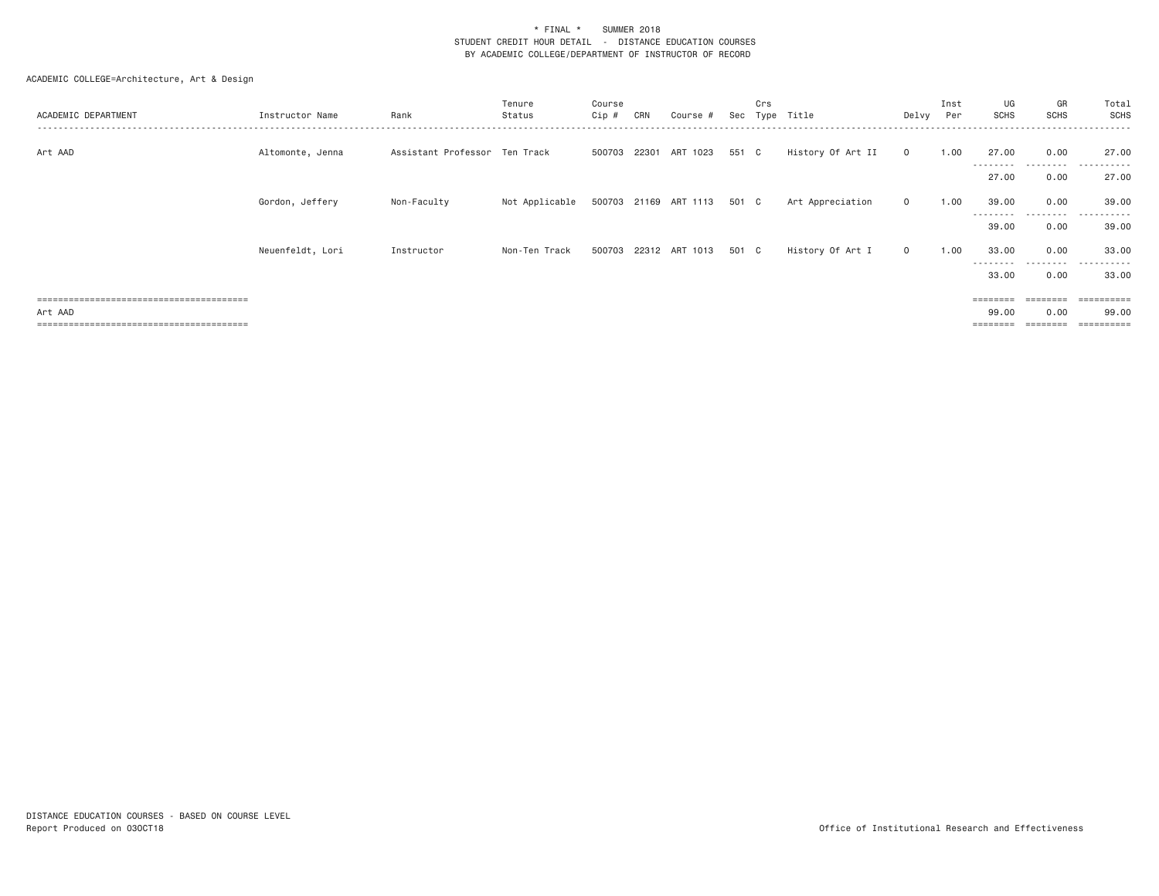### ACADEMIC COLLEGE=Architecture, Art & Design

| ACADEMIC DEPARTMENT          | Instructor Name  | Rank                          | Tenure<br>Status | Course<br>Cip # | CRN | Course #                    | Sec | Crs<br>Type | Title             | Delvy Per      | Inst | UG<br>SCHS         | GR<br><b>SCHS</b> | Total<br><b>SCHS</b> |
|------------------------------|------------------|-------------------------------|------------------|-----------------|-----|-----------------------------|-----|-------------|-------------------|----------------|------|--------------------|-------------------|----------------------|
| Art AAD                      | Altomonte, Jenna | Assistant Professor Ten Track |                  |                 |     | 500703 22301 ART 1023 551 C |     |             | History Of Art II | $\overline{0}$ | 1.00 | 27.00<br>--------- | 0.00<br>.         | 27.00<br>.           |
|                              |                  |                               |                  |                 |     |                             |     |             |                   |                |      | 27.00              | 0.00              | 27.00                |
|                              | Gordon, Jeffery  | Non-Faculty                   | Not Applicable   |                 |     | 500703 21169 ART 1113 501 C |     |             | Art Appreciation  | $\circ$        | 1.00 | 39.00              | 0.00              | 39,00                |
|                              |                  |                               |                  |                 |     |                             |     |             |                   |                |      | --------<br>39.00  | 0.00              | 39.00                |
|                              | Neuenfeldt, Lori | Instructor                    | Non-Ten Track    |                 |     | 500703 22312 ART 1013 501 C |     |             | History Of Art I  | $\mathbf{0}$   | 1.00 | 33.00              | 0.00              | 33,00                |
|                              |                  |                               |                  |                 |     |                             |     |             |                   |                |      | ---------<br>33.00 | .<br>0.00         | .<br>33.00           |
|                              |                  |                               |                  |                 |     |                             |     |             |                   |                |      | ========           | ========          | =========            |
| Art AAD                      |                  |                               |                  |                 |     |                             |     |             |                   |                |      | 99.00              | 0.00              | 99,00                |
| ============================ |                  |                               |                  |                 |     |                             |     |             |                   |                |      | ========           |                   | ==========           |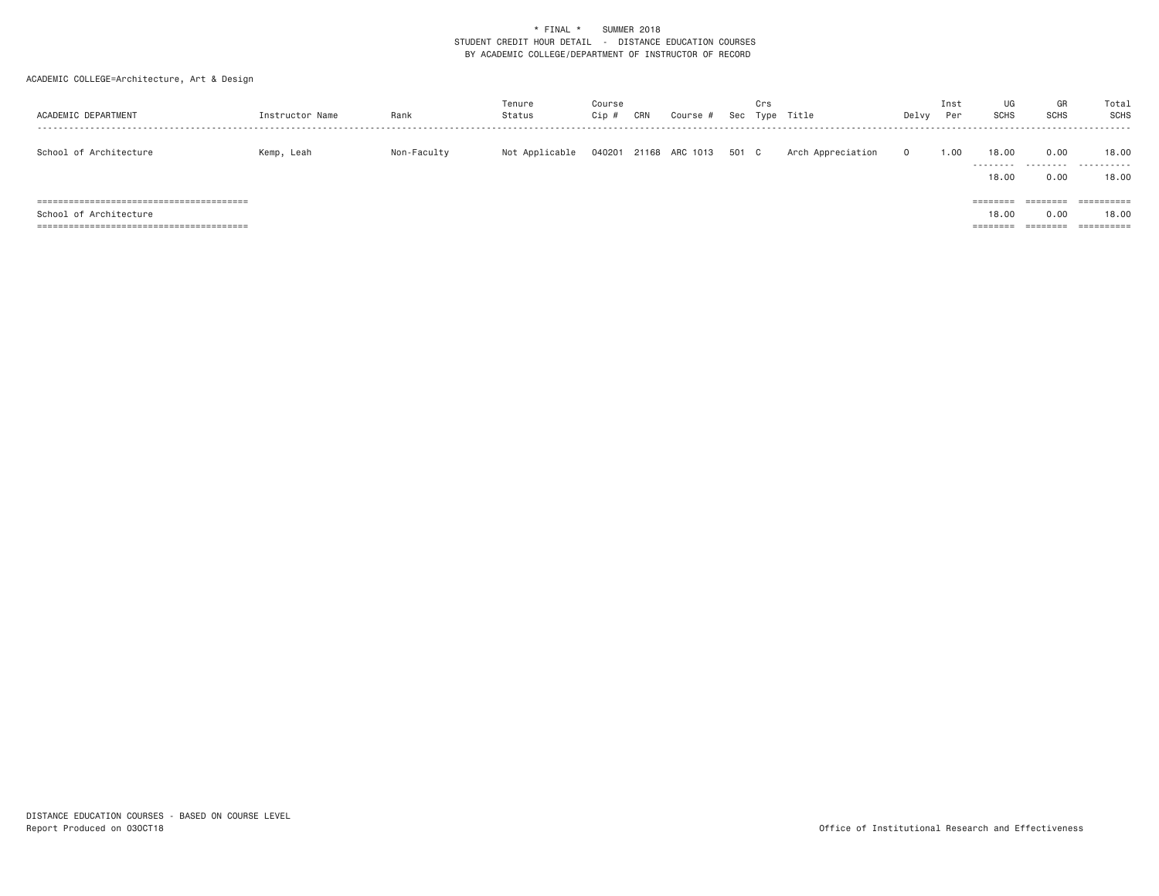### ACADEMIC COLLEGE=Architecture, Art & Design

| ACADEMIC DEPARTMENT    | Instructor Name | Rank        | Tenure<br>Status | Course<br>Cip | CRN | Course #             | Sec | Crs<br>Type | Title             | Delvy        | Inst<br>Per | UG<br><b>SCHS</b>                      | GR<br><b>SCHS</b>                              | Total<br>SCHS                     |
|------------------------|-----------------|-------------|------------------|---------------|-----|----------------------|-----|-------------|-------------------|--------------|-------------|----------------------------------------|------------------------------------------------|-----------------------------------|
| School of Architecture | Kemp, Leah      | Non-Faculty | Not Applicable   | 040201        |     | 21168 ARC 1013 501 C |     |             | Arch Appreciation | $\mathbf{0}$ | 1.00        | 18,00<br>.<br>18,00                    | 0.00<br>.<br>0.00                              | 18,00<br>.<br>18.00               |
| School of Architecture |                 |             |                  |               |     |                      |     |             |                   |              |             | ========<br>18,00<br>$=$ = = = = = = = | $=$ = = = = = = =<br>0.00<br>$=$ = = = = = = = | ==========<br>18,00<br>========== |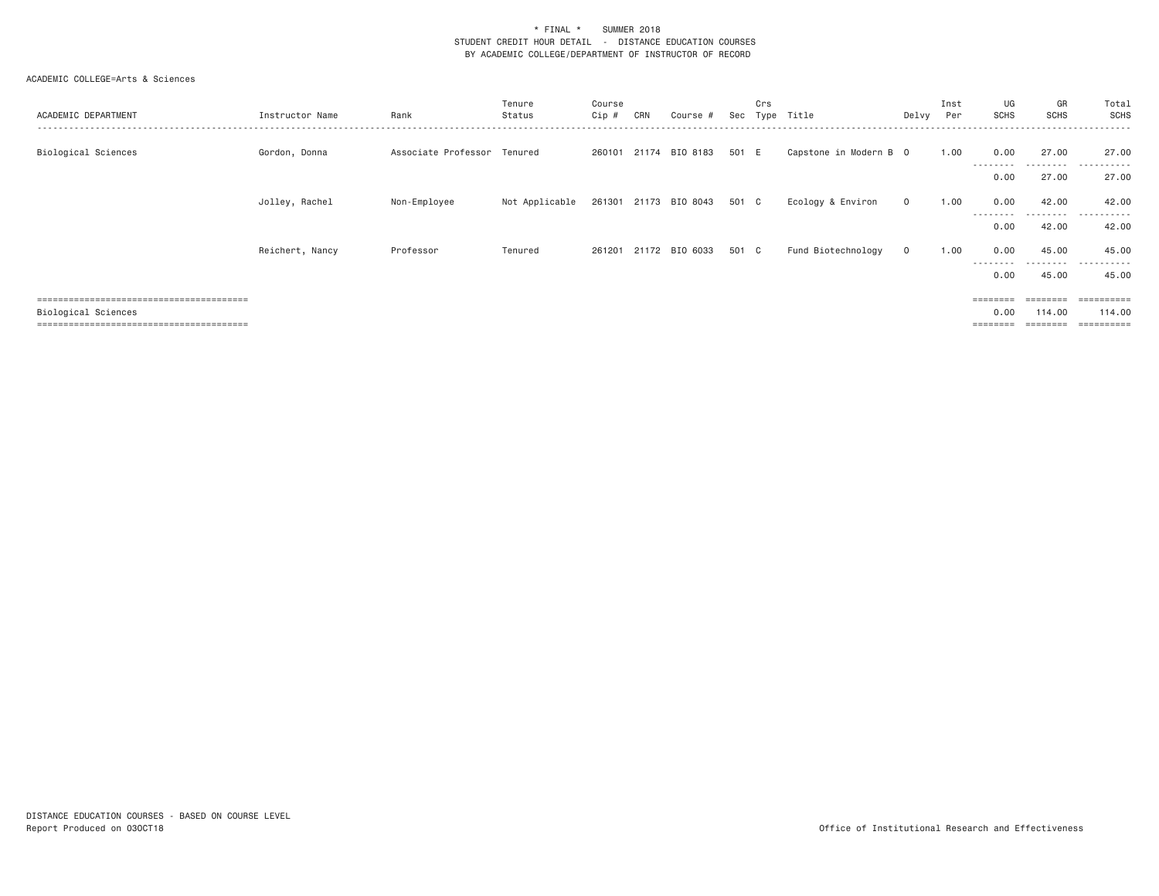| ACADEMIC DEPARTMENT | Instructor Name | Rank                        | Tenure<br>Status | Course<br>$Cip \#$ | CRN | Course #                    | Sec   | Crs<br>Type | Title                  | Delvy        | Inst<br>Per | UG<br><b>SCHS</b> | GR<br><b>SCHS</b>  | Total<br>SCHS<br>- - - - - - |
|---------------------|-----------------|-----------------------------|------------------|--------------------|-----|-----------------------------|-------|-------------|------------------------|--------------|-------------|-------------------|--------------------|------------------------------|
| Biological Sciences | Gordon, Donna   | Associate Professor Tenured |                  | 260101             |     | 21174 BIO 8183              | 501 E |             | Capstone in Modern B 0 |              | 1.00        | 0.00<br>--------- | 27.00<br>.         | 27.00<br>.                   |
|                     |                 |                             |                  |                    |     |                             |       |             |                        |              |             | 0.00              | 27.00              | 27.00                        |
|                     | Jolley, Rachel  | Non-Employee                | Not Applicable   |                    |     | 261301 21173 BIO 8043 501 C |       |             | Ecology & Environ      | $\mathbf{O}$ | 1.00        | 0.00              | 42.00              | 42.00                        |
|                     |                 |                             |                  |                    |     |                             |       |             |                        |              |             | ---------<br>0.00 | ---------<br>42.00 | .<br>42.00                   |
|                     | Reichert, Nancy | Professor                   | Tenured          | 261201             |     | 21172 BIO 6033              | 501 C |             | Fund Biotechnology     | $\circ$      | 1.00        | 0.00              | 45.00              | 45.00                        |
|                     |                 |                             |                  |                    |     |                             |       |             |                        |              |             | ---------<br>0.00 | ---------<br>45.00 | .<br>45.00                   |
|                     |                 |                             |                  |                    |     |                             |       |             |                        |              |             | $=$ = = = = = = = | ========           | $=$ = = = = = = = = =        |
| Biological Sciences |                 |                             |                  |                    |     |                             |       |             |                        |              |             | 0.00              | 114,00             | 114,00                       |
|                     |                 |                             |                  |                    |     |                             |       |             |                        |              |             |                   |                    | ==========                   |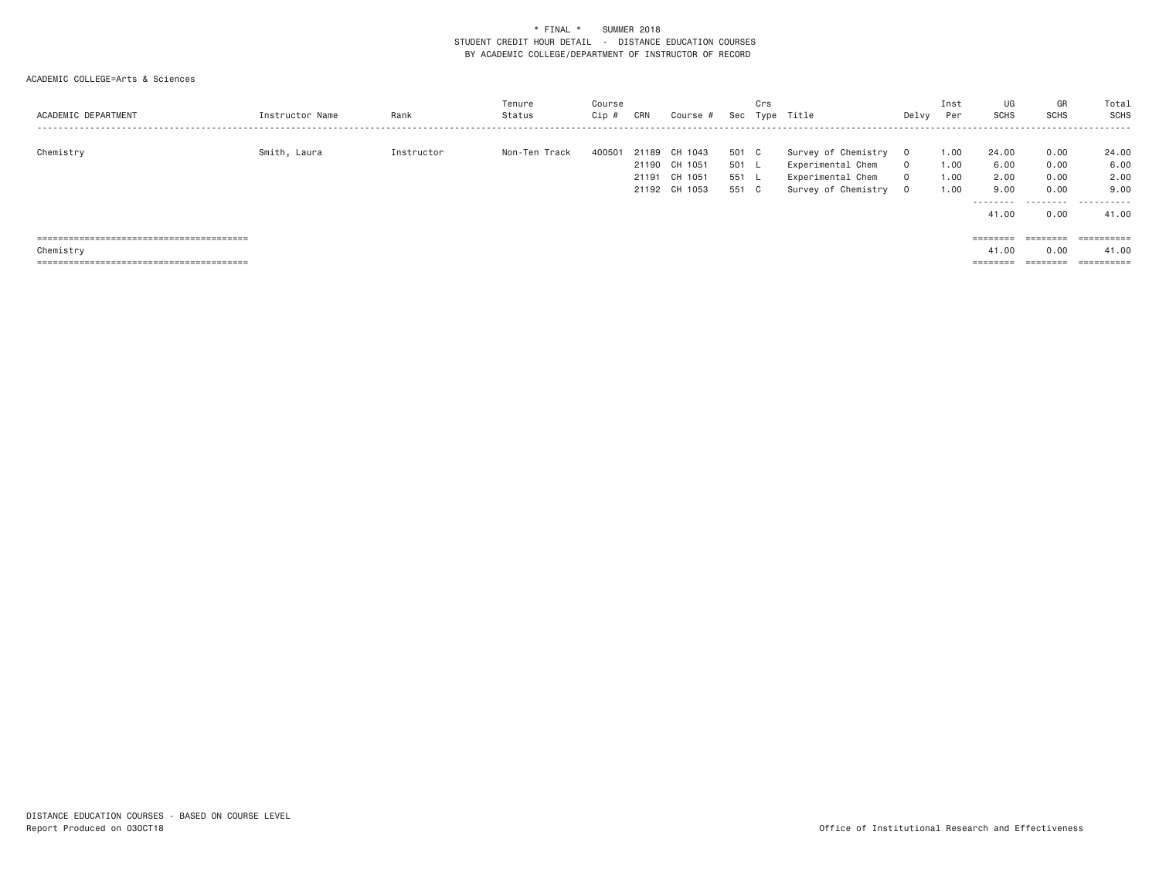| ACADEMIC DEPARTMENT | Instructor Name | Rank       | Tenure<br>Status | Course<br>Cip # | CRN   | Course #                                                   |                                | Crs | Sec Type Title                                                                       | Delvy                                 | Inst<br>Per                  | UG<br><b>SCHS</b>                                   | GR<br><b>SCHS</b>                         | Total<br>SCHS                               |
|---------------------|-----------------|------------|------------------|-----------------|-------|------------------------------------------------------------|--------------------------------|-----|--------------------------------------------------------------------------------------|---------------------------------------|------------------------------|-----------------------------------------------------|-------------------------------------------|---------------------------------------------|
| Chemistry           | Smith, Laura    | Instructor | Non-Ten Track    | 400501          | 21189 | CH 1043<br>21190 CH 1051<br>21191 CH 1051<br>21192 CH 1053 | 501 C<br>501 L<br>551<br>551 C |     | Survey of Chemistry<br>Experimental Chem<br>Experimental Chem<br>Survey of Chemistry | $\Omega$<br>$\Omega$<br>$\Omega$<br>0 | 1.00<br>1.00<br>1.00<br>1.00 | 24.00<br>6.00<br>2.00<br>9,00<br>---------<br>41.00 | 0.00<br>0.00<br>0.00<br>0.00<br>.<br>0.00 | 24.00<br>6.00<br>2.00<br>9,00<br>.<br>41.00 |
|                     |                 |            |                  |                 |       |                                                            |                                |     |                                                                                      |                                       |                              | ========                                            | ========                                  | ==========                                  |
| Chemistry           |                 |            |                  |                 |       |                                                            |                                |     |                                                                                      |                                       |                              | 41.00                                               | 0.00                                      | 41.00                                       |
|                     |                 |            |                  |                 |       |                                                            |                                |     |                                                                                      |                                       |                              | ========                                            | ========                                  | $=$ = = = = = = = = =                       |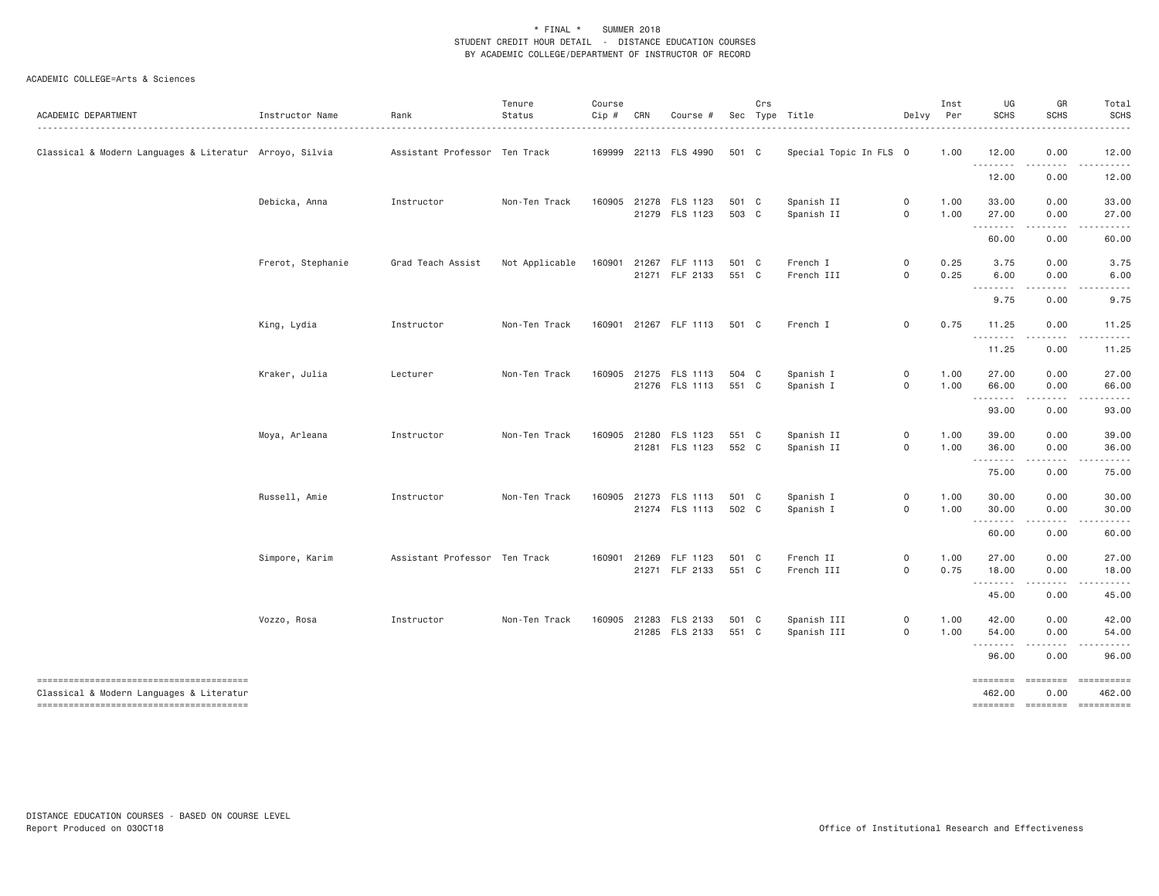| ACADEMIC DEPARTMENT                                     | Instructor Name   | Rank                          | Tenure<br>Status | Course<br>Cip # | CRN | Course #                                |                | Crs | Sec Type Title             | Delvy Per                                  | Inst         | UG<br><b>SCHS</b>   | GR<br><b>SCHS</b>                          | Total<br><b>SCHS</b>                                                                                                                                                                                                                                                                                                                                                                                                                                                                                                               |
|---------------------------------------------------------|-------------------|-------------------------------|------------------|-----------------|-----|-----------------------------------------|----------------|-----|----------------------------|--------------------------------------------|--------------|---------------------|--------------------------------------------|------------------------------------------------------------------------------------------------------------------------------------------------------------------------------------------------------------------------------------------------------------------------------------------------------------------------------------------------------------------------------------------------------------------------------------------------------------------------------------------------------------------------------------|
| Classical & Modern Languages & Literatur Arroyo, Silvia |                   | Assistant Professor Ten Track |                  |                 |     | 169999 22113 FLS 4990                   | 501 C          |     | Special Topic In FLS 0     |                                            | 1.00         | 12.00<br>.          | 0.00<br>.                                  | 12.00                                                                                                                                                                                                                                                                                                                                                                                                                                                                                                                              |
|                                                         |                   |                               |                  |                 |     |                                         |                |     |                            |                                            |              | 12.00               | 0.00                                       | 12.00                                                                                                                                                                                                                                                                                                                                                                                                                                                                                                                              |
|                                                         | Debicka, Anna     | Instructor                    | Non-Ten Track    |                 |     | 160905 21278 FLS 1123<br>21279 FLS 1123 | 501 C<br>503 C |     | Spanish II<br>Spanish II   | $\mathsf{O}$<br>$\mathsf{O}\xspace$        | 1.00<br>1.00 | 33.00<br>27.00<br>. | 0.00<br>0.00                               | 33.00<br>27.00<br>.                                                                                                                                                                                                                                                                                                                                                                                                                                                                                                                |
|                                                         |                   |                               |                  |                 |     |                                         |                |     |                            |                                            |              | 60.00               | $\sim$ $\sim$ $\sim$ $\sim$ $\sim$<br>0.00 | 60.00                                                                                                                                                                                                                                                                                                                                                                                                                                                                                                                              |
|                                                         | Frerot, Stephanie | Grad Teach Assist             | Not Applicable   |                 |     | 160901 21267 FLF 1113<br>21271 FLF 2133 | 501 C<br>551 C |     | French I<br>French III     | $\mathsf{O}\xspace$<br>$\mathsf{O}\xspace$ | 0.25<br>0.25 | 3.75<br>6.00        | 0.00<br>0.00                               | 3.75<br>6.00                                                                                                                                                                                                                                                                                                                                                                                                                                                                                                                       |
|                                                         |                   |                               |                  |                 |     |                                         |                |     |                            |                                            |              | .<br>9.75           | 0.00                                       | 9.75                                                                                                                                                                                                                                                                                                                                                                                                                                                                                                                               |
|                                                         | King, Lydia       | Instructor                    | Non-Ten Track    |                 |     | 160901 21267 FLF 1113                   | 501 C          |     | French I                   | $\mathsf{O}$                               | 0.75         | 11.25<br><u>.</u>   | 0.00                                       | 11.25                                                                                                                                                                                                                                                                                                                                                                                                                                                                                                                              |
|                                                         |                   |                               |                  |                 |     |                                         |                |     |                            |                                            |              | 11.25               | 0.00                                       | 11.25                                                                                                                                                                                                                                                                                                                                                                                                                                                                                                                              |
|                                                         | Kraker, Julia     | Lecturer                      | Non-Ten Track    | 160905          |     | 21275 FLS 1113<br>21276 FLS 1113        | 504 C<br>551 C |     | Spanish I<br>Spanish I     | $\mathsf{O}$<br>$\mathsf{O}\xspace$        | 1.00<br>1.00 | 27.00<br>66.00      | 0.00<br>0.00                               | 27.00<br>66.00                                                                                                                                                                                                                                                                                                                                                                                                                                                                                                                     |
|                                                         |                   |                               |                  |                 |     |                                         |                |     |                            |                                            |              | 93.00               | د د د د<br>0.00                            | 93.00                                                                                                                                                                                                                                                                                                                                                                                                                                                                                                                              |
|                                                         | Moya, Arleana     | Instructor                    | Non-Ten Track    |                 |     | 160905 21280 FLS 1123<br>21281 FLS 1123 | 551 C<br>552 C |     | Spanish II<br>Spanish II   | $\mathsf{O}$<br>$\mathbf 0$                | 1.00<br>1.00 | 39.00<br>36.00      | 0.00<br>0.00                               | 39.00<br>36.00                                                                                                                                                                                                                                                                                                                                                                                                                                                                                                                     |
|                                                         |                   |                               |                  |                 |     |                                         |                |     |                            |                                            |              | .<br>75.00          | .<br>0.00                                  | .<br>75.00                                                                                                                                                                                                                                                                                                                                                                                                                                                                                                                         |
|                                                         | Russell, Amie     | Instructor                    | Non-Ten Track    |                 |     | 160905 21273 FLS 1113<br>21274 FLS 1113 | 501 C<br>502 C |     | Spanish I<br>Spanish I     | $\mathsf{O}\xspace$<br>$\mathsf{O}\xspace$ | 1.00<br>1.00 | 30.00<br>30.00      | 0.00<br>0.00                               | 30.00<br>30.00                                                                                                                                                                                                                                                                                                                                                                                                                                                                                                                     |
|                                                         |                   |                               |                  |                 |     |                                         |                |     |                            |                                            |              | . <b>.</b><br>60.00 | 0.00                                       | 60.00                                                                                                                                                                                                                                                                                                                                                                                                                                                                                                                              |
|                                                         | Simpore, Karim    | Assistant Professor Ten Track |                  | 160901          |     | 21269 FLF 1123<br>21271 FLF 2133        | 501 C<br>551 C |     | French II<br>French III    | $\mathsf{O}$<br>$\mathsf{O}\xspace$        | 1.00<br>0.75 | 27.00<br>18.00      | 0.00<br>0.00                               | 27.00<br>18.00                                                                                                                                                                                                                                                                                                                                                                                                                                                                                                                     |
|                                                         |                   |                               |                  |                 |     |                                         |                |     |                            |                                            |              | 45.00               | -----<br>0.00                              | .<br>45.00                                                                                                                                                                                                                                                                                                                                                                                                                                                                                                                         |
|                                                         | Vozzo, Rosa       | Instructor                    | Non-Ten Track    |                 |     | 160905 21283 FLS 2133<br>21285 FLS 2133 | 501 C<br>551 C |     | Spanish III<br>Spanish III | 0<br>$\mathsf{O}\xspace$                   | 1.00<br>1.00 | 42.00<br>54.00      | 0.00<br>0.00                               | 42.00<br>54.00                                                                                                                                                                                                                                                                                                                                                                                                                                                                                                                     |
|                                                         |                   |                               |                  |                 |     |                                         |                |     |                            |                                            |              | .<br>96.00          | 0.00                                       | 96.00                                                                                                                                                                                                                                                                                                                                                                                                                                                                                                                              |
| Classical & Modern Languages & Literatur                |                   |                               |                  |                 |     |                                         |                |     |                            |                                            |              | ========<br>462.00  | ========<br>0.00                           | $\begin{array}{cccccccccc} \multicolumn{2}{c}{} & \multicolumn{2}{c}{} & \multicolumn{2}{c}{} & \multicolumn{2}{c}{} & \multicolumn{2}{c}{} & \multicolumn{2}{c}{} & \multicolumn{2}{c}{} & \multicolumn{2}{c}{} & \multicolumn{2}{c}{} & \multicolumn{2}{c}{} & \multicolumn{2}{c}{} & \multicolumn{2}{c}{} & \multicolumn{2}{c}{} & \multicolumn{2}{c}{} & \multicolumn{2}{c}{} & \multicolumn{2}{c}{} & \multicolumn{2}{c}{} & \multicolumn{2}{c}{} & \multicolumn{2}{c}{} & \mult$<br>462.00<br>cooperate cooperate cooperates |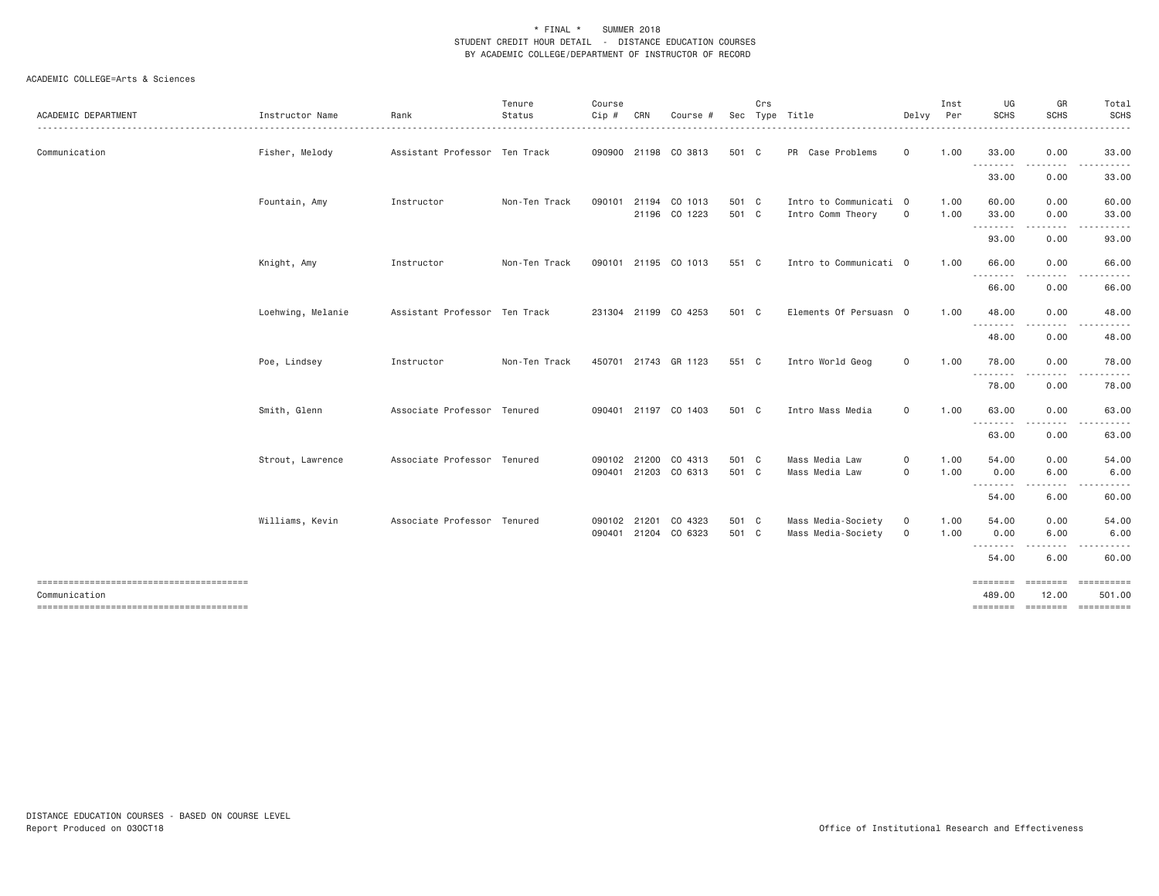| <b>ACADEMIC DEPARTMENT</b> | Instructor Name   | Rank                          | Tenure<br>Status | Course<br>Cip # | CRN          | Course #                                     |                | Crs | Sec Type Title                              | Delvy                   | Inst<br>Per  | UG<br><b>SCHS</b>  | GR<br><b>SCHS</b>     | Total<br><b>SCHS</b>                     |
|----------------------------|-------------------|-------------------------------|------------------|-----------------|--------------|----------------------------------------------|----------------|-----|---------------------------------------------|-------------------------|--------------|--------------------|-----------------------|------------------------------------------|
| Communication              | Fisher, Melody    | Assistant Professor Ten Track |                  |                 |              | 090900 21198 CO 3813                         | 501 C          |     | PR Case Problems                            | $\circ$                 | 1.00         | 33.00<br>.         | 0.00<br>-----         | 33.00                                    |
|                            |                   |                               |                  |                 |              |                                              |                |     |                                             |                         |              | 33.00              | 0.00                  | 33.00                                    |
|                            | Fountain, Amy     | Instructor                    | Non-Ten Track    | 090101          |              | 21194 CO 1013<br>21196 CO 1223               | 501 C<br>501 C |     | Intro to Communicati 0<br>Intro Comm Theory | 0                       | 1.00<br>1.00 | 60.00<br>33.00     | 0.00<br>0.00          | 60.00<br>33.00                           |
|                            |                   |                               |                  |                 |              |                                              |                |     |                                             |                         |              | .<br>93.00         | .<br>0.00             | 93.00                                    |
|                            | Knight, Amy       | Instructor                    | Non-Ten Track    |                 |              | 090101 21195 CO 1013                         | 551 C          |     | Intro to Communicati 0                      |                         | 1.00         | 66.00<br>.         | 0.00<br>.             | 66.00                                    |
|                            |                   |                               |                  |                 |              |                                              |                |     |                                             |                         |              | 66.00              | 0.00                  | 66.00                                    |
|                            | Loehwing, Melanie | Assistant Professor Ten Track |                  |                 |              | 231304 21199 CO 4253                         | 501 C          |     | Elements Of Persuasn 0                      |                         | 1.00         | 48.00<br>.         | 0.00<br>.             | 48.00                                    |
|                            |                   |                               |                  |                 |              |                                              |                |     |                                             |                         |              | 48.00              | 0.00                  | 48.00                                    |
|                            | Poe, Lindsey      | Instructor                    | Non-Ten Track    |                 |              | 450701 21743 GR 1123                         | 551 C          |     | Intro World Geog                            | 0                       | 1.00         | 78.00<br>.         | 0.00<br>-----<br>$ -$ | 78.00                                    |
|                            |                   |                               |                  |                 |              |                                              |                |     |                                             |                         |              | 78.00              | 0.00                  | 78.00                                    |
|                            | Smith, Glenn      | Associate Professor Tenured   |                  |                 |              | 090401 21197 CO 1403                         | 501 C          |     | Intro Mass Media                            | $\mathsf{O}$            | 1.00         | 63.00<br>--------  | 0.00                  | 63.00                                    |
|                            |                   |                               |                  |                 |              |                                              |                |     |                                             |                         |              | 63.00              | 0.00                  | 63.00                                    |
|                            | Strout, Lawrence  | Associate Professor Tenured   |                  |                 |              | 090102 21200 CO 4313<br>090401 21203 CO 6313 | 501 C<br>501 C |     | Mass Media Law<br>Mass Media Law            | $\mathbf 0$<br>$\Omega$ | 1.00<br>1.00 | 54.00<br>0.00      | 0.00<br>6.00          | 54.00<br>6.00                            |
|                            |                   |                               |                  |                 |              |                                              |                |     |                                             |                         |              | ---------<br>54.00 | .<br>$  -$<br>6.00    | 60.00                                    |
|                            | Williams, Kevin   | Associate Professor Tenured   |                  |                 | 090102 21201 | CO 4323<br>090401 21204 CO 6323              | 501 C<br>501 C |     | Mass Media-Society<br>Mass Media-Society    | $\circ$<br>$\circ$      | 1.00<br>1.00 | 54.00<br>0.00      | 0.00<br>6.00          | 54.00<br>6.00                            |
|                            |                   |                               |                  |                 |              |                                              |                |     |                                             |                         |              | --------<br>54.00  | 6.00                  | 60.00                                    |
|                            |                   |                               |                  |                 |              |                                              |                |     |                                             |                         |              | ========           | ========              | ==========                               |
| Communication              |                   |                               |                  |                 |              |                                              |                |     |                                             |                         |              | 489,00             | 12.00                 | 501.00<br>========= ========= ========== |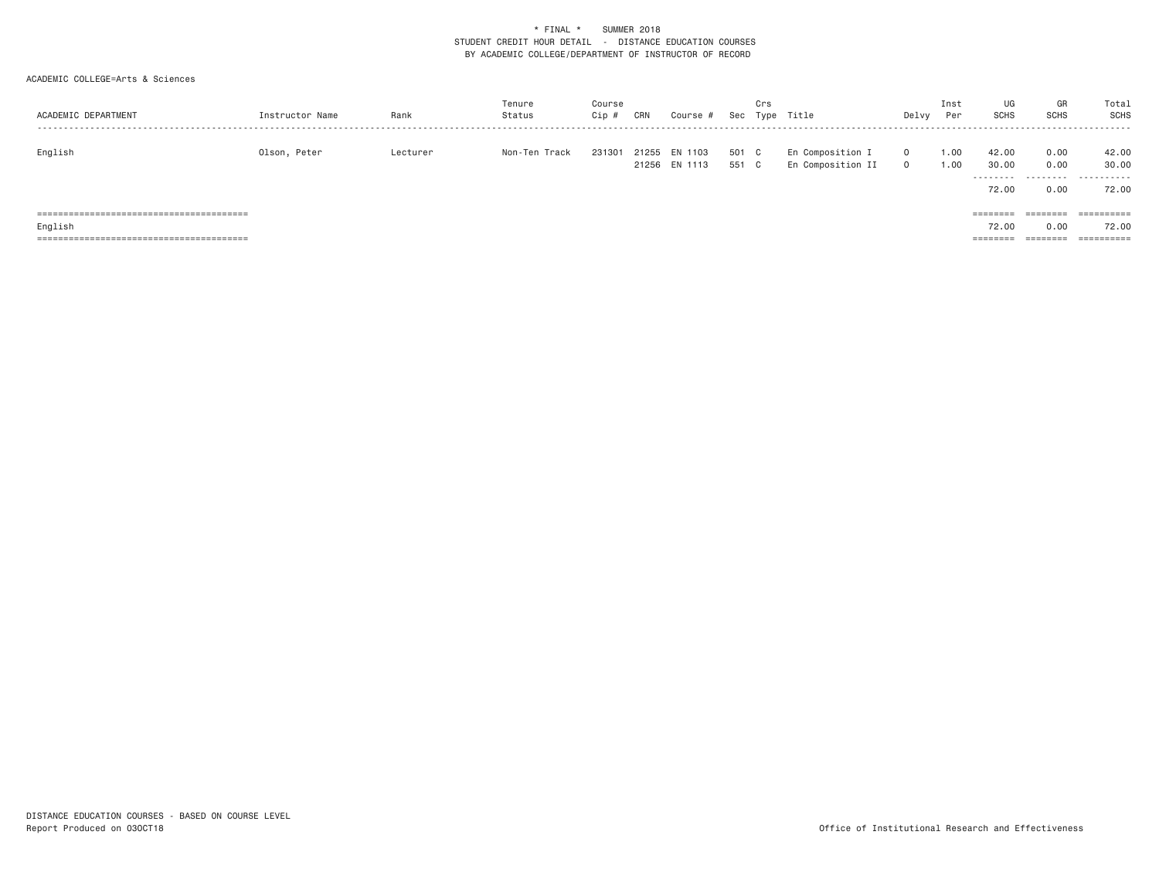| ACADEMIC DEPARTMENT | Instructor Name | Rank     | Tenure<br>Status | Course<br>$Cip$ # | CRN | Course #                       |                | Crs | Sec Type Title                        | Delvy                | Inst<br>Per  | UG<br><b>SCHS</b>                    | GR<br><b>SCHS</b>         | Total<br>SCHS                |
|---------------------|-----------------|----------|------------------|-------------------|-----|--------------------------------|----------------|-----|---------------------------------------|----------------------|--------------|--------------------------------------|---------------------------|------------------------------|
| English             | Olson, Peter    | Lecturer | Non-Ten Track    | 231301            |     | 21255 EN 1103<br>21256 EN 1113 | 501 C<br>551 C |     | En Composition I<br>En Composition II | $\Omega$<br>$\Omega$ | 1.00<br>1.00 | 42.00<br>30.00<br>---------<br>72.00 | 0.00<br>0.00<br>.<br>0.00 | 42.00<br>30.00<br>.<br>72.00 |
|                     |                 |          |                  |                   |     |                                |                |     |                                       |                      |              | ========                             | ========                  | ==========                   |
| English             |                 |          |                  |                   |     |                                |                |     |                                       |                      |              | 72.00                                | 0.00                      | 72.00                        |
|                     |                 |          |                  |                   |     |                                |                |     |                                       |                      |              | $=$ = = = = = = =                    | ========                  | ==========                   |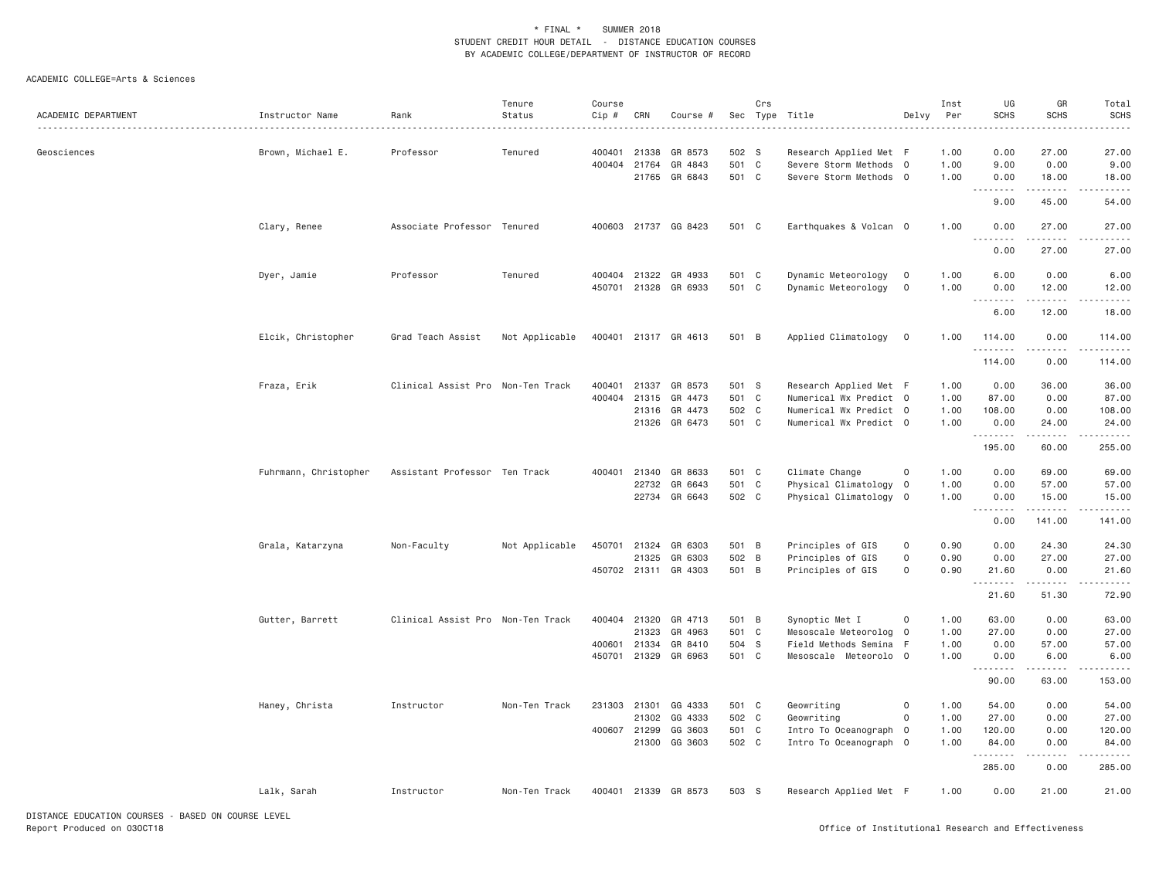| Professor<br>502 S<br>Research Applied Met F<br>0.00<br>27.00<br>Geosciences<br>Brown, Michael E.<br>Tenured<br>400401<br>21338<br>GR 8573<br>1.00<br>400404 21764<br>GR 4843<br>501 C<br>Severe Storm Methods 0<br>1.00<br>9.00<br>0.00<br>21765 GR 6843<br>501 C<br>Severe Storm Methods 0<br>1.00<br>0.00<br>18.00<br>.<br>.<br>9.00<br>45.00<br>Clary, Renee<br>Associate Professor Tenured<br>400603 21737 GG 8423<br>501 C<br>Earthquakes & Volcan 0<br>1.00<br>0.00<br>27.00<br>.<br>.<br>0.00<br>27.00<br>Professor<br>Tenured<br>400404<br>21322<br>GR 4933<br>501<br>$\mathbf{C}$<br>Dynamic Meteorology<br>1.00<br>6.00<br>0.00<br>Dyer, Jamie<br>$\overline{0}$<br>501 C<br>21328<br>GR 6933<br>Dynamic Meteorology<br>$\overline{0}$<br>1.00<br>0.00<br>12.00<br>450701<br>.<br>$\frac{1}{2} \left( \frac{1}{2} \right) \left( \frac{1}{2} \right) \left( \frac{1}{2} \right) \left( \frac{1}{2} \right) \left( \frac{1}{2} \right)$<br>6.00<br>12.00 | Total<br><b>SCHS</b>      |
|--------------------------------------------------------------------------------------------------------------------------------------------------------------------------------------------------------------------------------------------------------------------------------------------------------------------------------------------------------------------------------------------------------------------------------------------------------------------------------------------------------------------------------------------------------------------------------------------------------------------------------------------------------------------------------------------------------------------------------------------------------------------------------------------------------------------------------------------------------------------------------------------------------------------------------------------------------------------|---------------------------|
|                                                                                                                                                                                                                                                                                                                                                                                                                                                                                                                                                                                                                                                                                                                                                                                                                                                                                                                                                                    | 27.00                     |
|                                                                                                                                                                                                                                                                                                                                                                                                                                                                                                                                                                                                                                                                                                                                                                                                                                                                                                                                                                    | 9.00                      |
|                                                                                                                                                                                                                                                                                                                                                                                                                                                                                                                                                                                                                                                                                                                                                                                                                                                                                                                                                                    | 18.00                     |
|                                                                                                                                                                                                                                                                                                                                                                                                                                                                                                                                                                                                                                                                                                                                                                                                                                                                                                                                                                    | .<br>54.00                |
|                                                                                                                                                                                                                                                                                                                                                                                                                                                                                                                                                                                                                                                                                                                                                                                                                                                                                                                                                                    | 27.00                     |
|                                                                                                                                                                                                                                                                                                                                                                                                                                                                                                                                                                                                                                                                                                                                                                                                                                                                                                                                                                    | .<br>27.00                |
|                                                                                                                                                                                                                                                                                                                                                                                                                                                                                                                                                                                                                                                                                                                                                                                                                                                                                                                                                                    | 6.00                      |
|                                                                                                                                                                                                                                                                                                                                                                                                                                                                                                                                                                                                                                                                                                                                                                                                                                                                                                                                                                    | 12.00                     |
|                                                                                                                                                                                                                                                                                                                                                                                                                                                                                                                                                                                                                                                                                                                                                                                                                                                                                                                                                                    | 18.00                     |
| Elcik, Christopher<br>Grad Teach Assist<br>Applied Climatology<br>Not Applicable<br>400401 21317 GR 4613<br>501 B<br>$\overline{0}$<br>1.00<br>114.00<br>0.00<br>.<br>.                                                                                                                                                                                                                                                                                                                                                                                                                                                                                                                                                                                                                                                                                                                                                                                            | 114.00<br>$- - - - - - -$ |
| 114.00<br>0.00                                                                                                                                                                                                                                                                                                                                                                                                                                                                                                                                                                                                                                                                                                                                                                                                                                                                                                                                                     | 114.00                    |
| Fraza, Erik<br>Clinical Assist Pro Non-Ten Track<br>21337<br>GR 8573<br>501 S<br>Research Applied Met F<br>1.00<br>0.00<br>36.00<br>400401                                                                                                                                                                                                                                                                                                                                                                                                                                                                                                                                                                                                                                                                                                                                                                                                                         | 36.00                     |
| 400404<br>21315<br>GR 4473<br>501 C<br>Numerical Wx Predict 0<br>1.00<br>87.00<br>0.00                                                                                                                                                                                                                                                                                                                                                                                                                                                                                                                                                                                                                                                                                                                                                                                                                                                                             | 87.00                     |
| GR 4473<br>502 C<br>21316<br>Numerical Wx Predict 0<br>1.00<br>108.00<br>0.00                                                                                                                                                                                                                                                                                                                                                                                                                                                                                                                                                                                                                                                                                                                                                                                                                                                                                      | 108.00                    |
| 21326<br>GR 6473<br>501 C<br>Numerical Wx Predict 0<br>1.00<br>0.00<br>24.00<br>.<br>$\frac{1}{2} \left( \frac{1}{2} \right) \left( \frac{1}{2} \right) \left( \frac{1}{2} \right) \left( \frac{1}{2} \right) \left( \frac{1}{2} \right)$                                                                                                                                                                                                                                                                                                                                                                                                                                                                                                                                                                                                                                                                                                                          | 24.00<br>$- - - - - - -$  |
| 60.00<br>195.00                                                                                                                                                                                                                                                                                                                                                                                                                                                                                                                                                                                                                                                                                                                                                                                                                                                                                                                                                    | 255.00                    |
| Fuhrmann, Christopher<br>400401 21340<br>GR 8633<br>501 C<br>Climate Change<br>1.00<br>0.00<br>Assistant Professor Ten Track<br>0<br>69.00                                                                                                                                                                                                                                                                                                                                                                                                                                                                                                                                                                                                                                                                                                                                                                                                                         | 69.00                     |
| 22732<br>501 C<br>Physical Climatology 0<br>1.00<br>0.00<br>GR 6643<br>57.00                                                                                                                                                                                                                                                                                                                                                                                                                                                                                                                                                                                                                                                                                                                                                                                                                                                                                       | 57.00                     |
| GR 6643<br>502 C<br>Physical Climatology<br>22734<br>$\overline{0}$<br>1.00<br>15.00<br>0.00<br>.                                                                                                                                                                                                                                                                                                                                                                                                                                                                                                                                                                                                                                                                                                                                                                                                                                                                  | 15.00                     |
| 0.00<br>141.00                                                                                                                                                                                                                                                                                                                                                                                                                                                                                                                                                                                                                                                                                                                                                                                                                                                                                                                                                     | 141.00                    |
| Grala, Katarzyna<br>Non-Faculty<br>Not Applicable<br>450701 21324<br>GR 6303<br>501 B<br>Principles of GIS<br>0<br>0.90<br>0.00<br>24.30                                                                                                                                                                                                                                                                                                                                                                                                                                                                                                                                                                                                                                                                                                                                                                                                                           | 24.30                     |
| 21325<br>GR 6303<br>502 B<br>Principles of GIS<br>0<br>0.90<br>0.00<br>27.00                                                                                                                                                                                                                                                                                                                                                                                                                                                                                                                                                                                                                                                                                                                                                                                                                                                                                       | 27.00                     |
| 501 B<br>450702 21311 GR 4303<br>Principles of GIS<br>0<br>0.90<br>0.00<br>21.60<br>.<br>.                                                                                                                                                                                                                                                                                                                                                                                                                                                                                                                                                                                                                                                                                                                                                                                                                                                                         | 21.60<br>.                |
| 21.60<br>51.30                                                                                                                                                                                                                                                                                                                                                                                                                                                                                                                                                                                                                                                                                                                                                                                                                                                                                                                                                     | 72.90                     |
| Gutter, Barrett<br>Clinical Assist Pro Non-Ten Track<br>400404<br>21320<br>GR 4713<br>501 B<br>Synoptic Met I<br>0<br>1.00<br>63.00<br>0.00                                                                                                                                                                                                                                                                                                                                                                                                                                                                                                                                                                                                                                                                                                                                                                                                                        | 63.00                     |
| 21323<br>GR 4963<br>501 C<br>Mesoscale Meteorolog<br>1.00<br>27.00<br>0.00<br>$\overline{0}$                                                                                                                                                                                                                                                                                                                                                                                                                                                                                                                                                                                                                                                                                                                                                                                                                                                                       | 27.00                     |
| Field Methods Semina F<br>400601 21334<br>GR 8410<br>504 S<br>1.00<br>0.00<br>57.00                                                                                                                                                                                                                                                                                                                                                                                                                                                                                                                                                                                                                                                                                                                                                                                                                                                                                | 57.00                     |
| 501 C<br>450701 21329 GR 6963<br>Mesoscale Meteorolo O<br>1.00<br>0.00<br>6.00<br><u>.</u><br>.                                                                                                                                                                                                                                                                                                                                                                                                                                                                                                                                                                                                                                                                                                                                                                                                                                                                    | 6.00<br>$- - - - - -$     |
| 90.00<br>63.00                                                                                                                                                                                                                                                                                                                                                                                                                                                                                                                                                                                                                                                                                                                                                                                                                                                                                                                                                     | 153.00                    |
| Haney, Christa<br>Instructor<br>501 C<br>Geowriting<br>1.00<br>0.00<br>Non-Ten Track<br>231303 21301<br>GG 4333<br>0<br>54.00                                                                                                                                                                                                                                                                                                                                                                                                                                                                                                                                                                                                                                                                                                                                                                                                                                      | 54.00                     |
| 21302<br>GG 4333<br>502 C<br>Geowriting<br>1.00<br>0<br>27.00<br>0.00                                                                                                                                                                                                                                                                                                                                                                                                                                                                                                                                                                                                                                                                                                                                                                                                                                                                                              | 27.00                     |
| 400607 21299<br>GG 3603<br>501 C<br>1.00<br>120.00<br>0.00<br>Intro To Oceanograph 0                                                                                                                                                                                                                                                                                                                                                                                                                                                                                                                                                                                                                                                                                                                                                                                                                                                                               | 120.00                    |
| 21300 GG 3603<br>502 C<br>Intro To Oceanograph 0<br>1.00<br>0.00<br>84.00                                                                                                                                                                                                                                                                                                                                                                                                                                                                                                                                                                                                                                                                                                                                                                                                                                                                                          | 84.00                     |
| .<br>-----<br>285.00<br>0.00                                                                                                                                                                                                                                                                                                                                                                                                                                                                                                                                                                                                                                                                                                                                                                                                                                                                                                                                       | ------<br>285.00          |
| Lalk, Sarah<br>Instructor<br>400401 21339 GR 8573<br>503 S<br>Research Applied Met F<br>1.00<br>0.00<br>21.00<br>Non-Ten Track                                                                                                                                                                                                                                                                                                                                                                                                                                                                                                                                                                                                                                                                                                                                                                                                                                     | 21.00                     |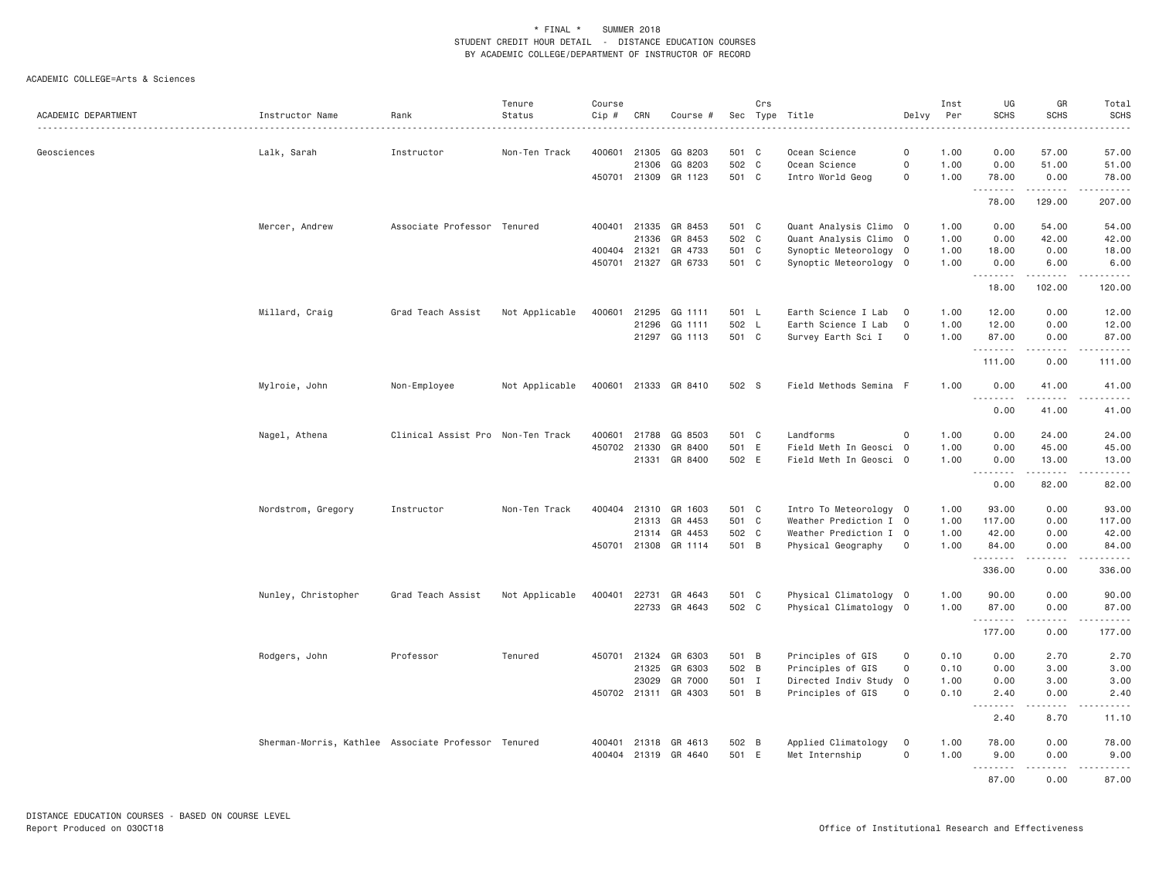|                     |                                                     |                                   | Tenure         | Course       |                |                      |                | Crs            |                                                  |                | Inst         | UG               | GR                | Total                                         |
|---------------------|-----------------------------------------------------|-----------------------------------|----------------|--------------|----------------|----------------------|----------------|----------------|--------------------------------------------------|----------------|--------------|------------------|-------------------|-----------------------------------------------|
| ACADEMIC DEPARTMENT | Instructor Name                                     | Rank                              | Status         | Cip #        | CRN            | Course #             |                |                | Sec Type Title<br>. <u>.</u> .                   | Delvy          | Per          | <b>SCHS</b>      | <b>SCHS</b>       | <b>SCHS</b><br>. <u>.</u> .                   |
| Geosciences         | Lalk, Sarah                                         | Instructor                        | Non-Ten Track  | 400601       | 21305          | GG 8203              | 501 C          |                | Ocean Science                                    | $\circ$        | 1.00         | 0.00             | 57.00             | 57.00                                         |
|                     |                                                     |                                   |                |              | 21306          | GG 8203              | 502 C          |                | Ocean Science                                    | $\mathsf 0$    | 1.00         | 0.00             | 51.00             | 51.00                                         |
|                     |                                                     |                                   |                | 450701 21309 |                | GR 1123              | 501 C          |                | Intro World Geog                                 | $\Omega$       | 1.00         | 78.00            | 0.00              | 78.00                                         |
|                     |                                                     |                                   |                |              |                |                      |                |                |                                                  |                |              | .<br>78.00       | .<br>129.00       | 207.00                                        |
|                     |                                                     |                                   |                |              |                |                      |                |                |                                                  |                |              |                  |                   |                                               |
|                     | Mercer, Andrew                                      | Associate Professor Tenured       |                | 400401       | 21336          | 21335 GR 8453        | 501 C<br>502 C |                | Quant Analysis Climo 0                           |                | 1.00         | 0.00             | 54.00             | 54.00                                         |
|                     |                                                     |                                   |                | 400404       | 21321          | GR 8453<br>GR 4733   | 501 C          |                | Quant Analysis Climo 0<br>Synoptic Meteorology 0 |                | 1.00<br>1.00 | 0.00<br>18.00    | 42.00<br>0.00     | 42.00<br>18.00                                |
|                     |                                                     |                                   |                | 450701       |                | 21327 GR 6733        | 501 C          |                | Synoptic Meteorology 0                           |                | 1.00         | 0.00             | 6.00              | 6.00                                          |
|                     |                                                     |                                   |                |              |                |                      |                |                |                                                  |                |              | .                | .                 | د د د د د د                                   |
|                     |                                                     |                                   |                |              |                |                      |                |                |                                                  |                |              | 18.00            | 102.00            | 120.00                                        |
|                     | Millard, Craig                                      | Grad Teach Assist                 | Not Applicable | 400601       |                | 21295 GG 1111        | 501 L          |                | Earth Science I Lab                              | $\overline{0}$ | 1.00         | 12.00            | 0.00              | 12.00                                         |
|                     |                                                     |                                   |                |              | 21296          | GG 1111              | 502 L          |                | Earth Science I Lab                              | $\mathbf 0$    | 1.00         | 12.00            | 0.00              | 12.00                                         |
|                     |                                                     |                                   |                |              |                | 21297 GG 1113        | 501 C          |                | Survey Earth Sci I                               | $\mathbf 0$    | 1.00         | 87.00            | 0.00              | 87.00                                         |
|                     |                                                     |                                   |                |              |                |                      |                |                |                                                  |                |              | .<br>111.00      | .<br>0.00         | $\omega$ is $\omega$ in $\omega$ in<br>111.00 |
|                     | Mylroie, John                                       | Non-Employee                      | Not Applicable | 400601       |                | 21333 GR 8410        | 502 S          |                | Field Methods Semina F                           |                | 1,00         | 0.00             | 41.00             | 41.00                                         |
|                     |                                                     |                                   |                |              |                |                      |                |                |                                                  |                |              | .<br>0.00        | .<br>41.00        | .<br>41.00                                    |
|                     |                                                     |                                   |                |              |                |                      |                |                |                                                  |                |              |                  |                   |                                               |
|                     | Nagel, Athena                                       | Clinical Assist Pro Non-Ten Track |                | 400601       | 21788          | GG 8503              | 501 C          |                | Landforms                                        | $\mathbf 0$    | 1.00         | 0.00             | 24.00             | 24.00                                         |
|                     |                                                     |                                   |                | 450702       | 21330          | GR 8400              | 501 E          |                | Field Meth In Geosci 0                           |                | 1.00         | 0.00             | 45.00             | 45.00                                         |
|                     |                                                     |                                   |                |              |                | 21331 GR 8400        | 502 E          |                | Field Meth In Geosci 0                           |                | 1.00         | 0.00<br><u>.</u> | 13.00<br>.        | 13.00<br>.                                    |
|                     |                                                     |                                   |                |              |                |                      |                |                |                                                  |                |              | 0.00             | 82.00             | 82.00                                         |
|                     | Nordstrom, Gregory                                  | Instructor                        | Non-Ten Track  | 400404       | 21310          | GR 1603              | 501 C          |                | Intro To Meteorology 0                           |                | 1.00         | 93.00            | 0.00              | 93.00                                         |
|                     |                                                     |                                   |                |              |                | 21313 GR 4453        | 501 C          |                | Weather Prediction I 0                           |                | 1.00         | 117.00           | 0.00              | 117.00                                        |
|                     |                                                     |                                   |                |              |                | 21314 GR 4453        | 502 C          |                | Weather Prediction I 0                           |                | 1.00         | 42.00            | 0.00              | 42.00                                         |
|                     |                                                     |                                   |                | 450701       |                | 21308 GR 1114        | 501 B          |                | Physical Geography                               | $\mathbf 0$    | 1.00         | 84.00            | 0.00              | 84.00                                         |
|                     |                                                     |                                   |                |              |                |                      |                |                |                                                  |                |              | .<br>336.00      | .<br>0.00         | ------<br>336.00                              |
|                     | Nunley, Christopher                                 | Grad Teach Assist                 | Not Applicable | 400401       | 22731          | GR 4643              | 501 C          |                | Physical Climatology 0                           |                | 1.00         | 90.00            | 0.00              | 90.00                                         |
|                     |                                                     |                                   |                |              |                | 22733 GR 4643        | 502 C          |                | Physical Climatology 0                           |                | 1.00         | 87.00            | 0.00              | 87.00                                         |
|                     |                                                     |                                   |                |              |                |                      |                |                |                                                  |                |              | .<br>177.00      | .<br>0.00         | ------<br>177.00                              |
|                     |                                                     |                                   |                |              |                |                      |                |                |                                                  | $\mathbf 0$    |              |                  |                   |                                               |
|                     | Rodgers, John                                       | Professor                         | Tenured        | 450701       | 21324<br>21325 | GR 6303<br>GR 6303   | 501 B<br>502 B |                | Principles of GIS<br>Principles of GIS           | $\mathbf 0$    | 0.10<br>0.10 | 0.00<br>0.00     | 2.70<br>3.00      | 2.70<br>3.00                                  |
|                     |                                                     |                                   |                |              | 23029          | GR 7000              | 501 I          |                | Directed Indiv Study 0                           |                | 1.00         | 0.00             | 3.00              | 3.00                                          |
|                     |                                                     |                                   |                |              |                | 450702 21311 GR 4303 | 501 B          |                | Principles of GIS                                | $\mathbf 0$    | 0.10         | 2.40             | 0.00              | 2.40                                          |
|                     |                                                     |                                   |                |              |                |                      |                |                |                                                  |                |              | <u>.</u><br>2.40 | .<br>8.70         | .<br>11.10                                    |
|                     |                                                     |                                   |                |              |                |                      |                |                |                                                  |                |              |                  |                   |                                               |
|                     | Sherman-Morris, Kathlee Associate Professor Tenured |                                   |                | 400401       | 21318          | GR 4613              | 502            | $\overline{B}$ | Applied Climatology                              | $\mathbf 0$    | 1.00         | 78.00            | 0.00              | 78.00                                         |
|                     |                                                     |                                   |                | 400404       |                | 21319 GR 4640        | 501 E          |                | Met Internship                                   | $\mathbf 0$    | 1,00         | 9,00<br>.        | 0.00<br>الدامات ب | 9.00<br>.                                     |
|                     |                                                     |                                   |                |              |                |                      |                |                |                                                  |                |              | 87.00            | 0.00              | 87.00                                         |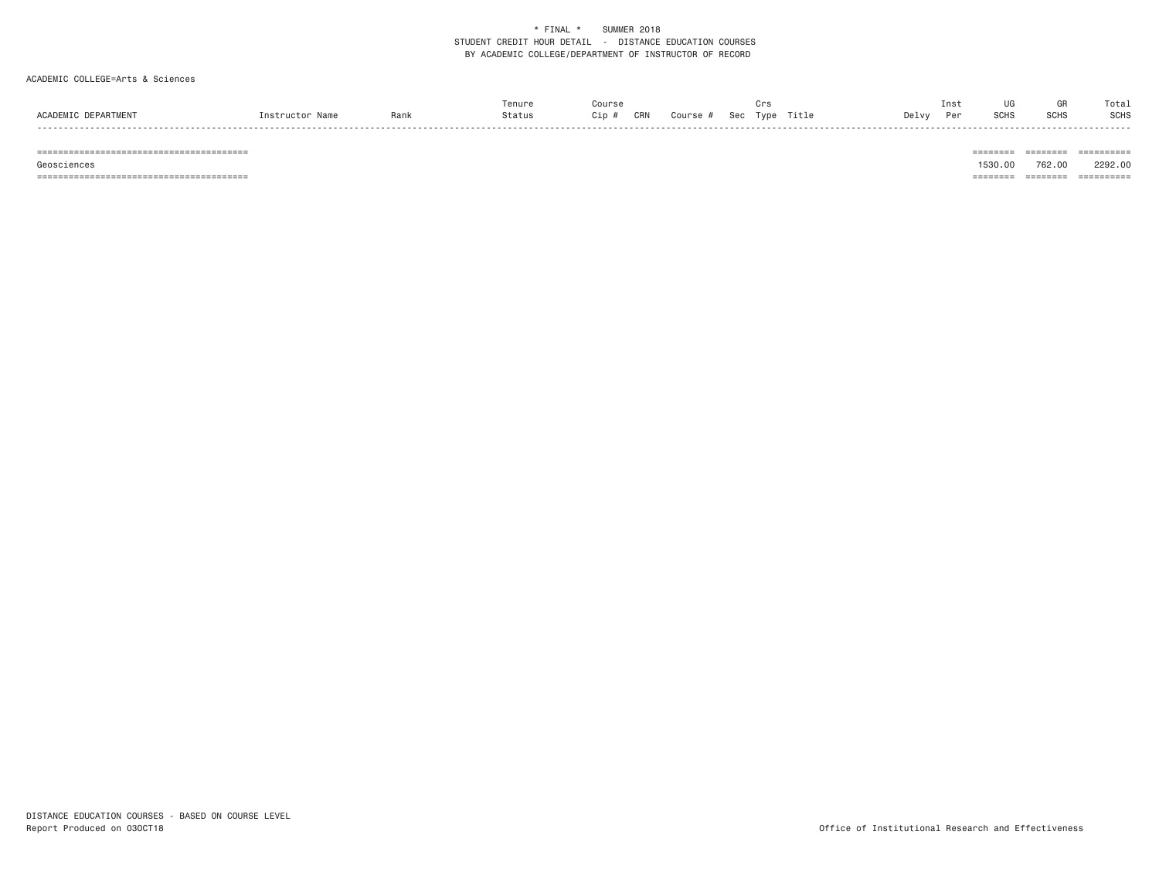#### ACADEMIC COLLEGE=Arts & Sciences

|               |      |        |             |     |       |                                | . |       |       | ⊥ns' | ur.          | Total       |
|---------------|------|--------|-------------|-----|-------|--------------------------------|---|-------|-------|------|--------------|-------------|
| <b>ACADEM</b> | Rank | Status | $\cdot$ - n | CRN | OULCR | $\sim$ $\sim$ $\sim$<br>$\sim$ |   | ritle | Jelv∨ |      | 0010<br>5UH; | <b>SCHS</b> |
| - - - -       |      |        |             |     |       |                                |   |       |       |      |              |             |

======================================== ======== ======== ==========

======================================== ======== ======== ==========

 Geosciences 1530.00 762.00 2292.00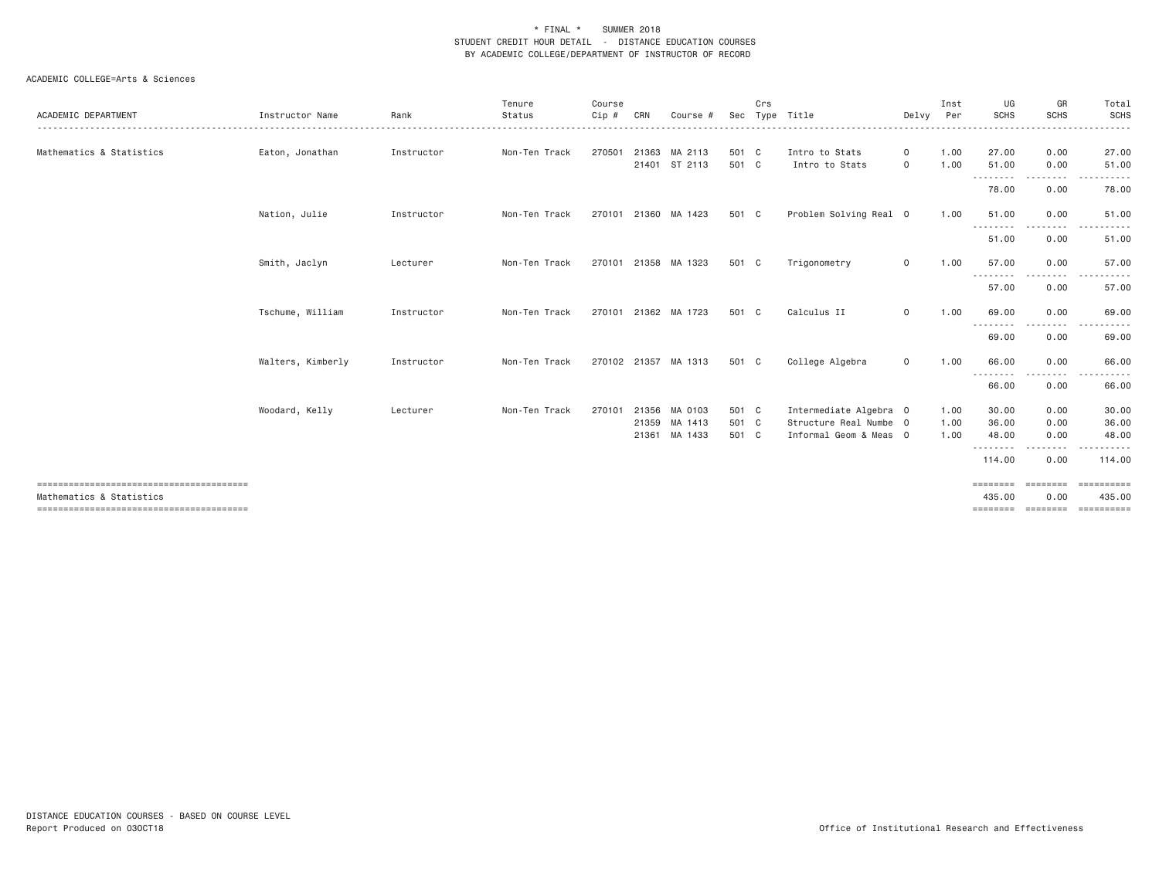| ACADEMIC DEPARTMENT      | Instructor Name   | Rank       | Tenure<br>Status | Course<br>$Cip$ # | CRN   | Course #                 | Sec            | Crs | Type Title                       | Delvy              | Inst<br>Per  | UG<br><b>SCHS</b>   | GR<br><b>SCHS</b> | Total<br>SCHS<br>$\frac{1}{2} \left( \frac{1}{2} \right) \left( \frac{1}{2} \right) \left( \frac{1}{2} \right) \left( \frac{1}{2} \right) \left( \frac{1}{2} \right)$ |
|--------------------------|-------------------|------------|------------------|-------------------|-------|--------------------------|----------------|-----|----------------------------------|--------------------|--------------|---------------------|-------------------|-----------------------------------------------------------------------------------------------------------------------------------------------------------------------|
| Mathematics & Statistics | Eaton, Jonathan   | Instructor | Non-Ten Track    | 270501            | 21363 | MA 2113<br>21401 ST 2113 | 501 C<br>501 C |     | Intro to Stats<br>Intro to Stats | $\circ$<br>$\circ$ | 1.00<br>1.00 | 27,00<br>51.00<br>. | 0.00<br>0.00      | 27.00<br>51.00                                                                                                                                                        |
|                          |                   |            |                  |                   |       |                          |                |     |                                  |                    |              | 78.00               | .<br>0.00         | .<br>78.00                                                                                                                                                            |
|                          | Nation, Julie     | Instructor | Non-Ten Track    | 270101            |       | 21360 MA 1423            | 501 C          |     | Problem Solving Real 0           |                    | 1.00         | 51.00<br>---------  | 0.00<br>.         | 51.00<br>.<br>$  -$                                                                                                                                                   |
|                          |                   |            |                  |                   |       |                          |                |     |                                  |                    |              | 51.00               | 0.00              | 51.00                                                                                                                                                                 |
|                          | Smith, Jaclyn     | Lecturer   | Non-Ten Track    |                   |       | 270101 21358 MA 1323     | 501 C          |     | Trigonometry                     | 0                  | 1.00         | 57.00<br>.          | 0.00<br>.         | 57.00<br>.                                                                                                                                                            |
|                          |                   |            |                  |                   |       |                          |                |     |                                  |                    |              | 57.00               | 0.00              | 57.00                                                                                                                                                                 |
|                          | Tschume, William  | Instructor | Non-Ten Track    | 270101            |       | 21362 MA 1723            | 501 C          |     | Calculus II                      | $\mathsf{O}$       | 1.00         | 69.00               | 0.00<br>.         | 69.00                                                                                                                                                                 |
|                          |                   |            |                  |                   |       |                          |                |     |                                  |                    |              | 69.00               | 0.00              | 69.00                                                                                                                                                                 |
|                          | Walters, Kimberly | Instructor | Non-Ten Track    |                   |       | 270102 21357 MA 1313     | 501 C          |     | College Algebra                  | $\mathbf{0}$       | 1.00         | 66.00<br>.<br>66.00 | 0.00<br>.<br>0.00 | 66.00<br>66.00                                                                                                                                                        |
|                          | Woodard, Kelly    | Lecturer   | Non-Ten Track    | 270101            |       | 21356 MA 0103            | 501 C          |     | Intermediate Algebra 0           |                    | 1.00         | 30.00               | 0.00              | 30.00                                                                                                                                                                 |
|                          |                   |            |                  |                   |       | 21359 MA 1413            | 501 C          |     | Structure Real Numbe 0           |                    | 1.00         | 36.00               | 0.00              | 36.00                                                                                                                                                                 |
|                          |                   |            |                  |                   |       | 21361 MA 1433            | 501 C          |     | Informal Geom & Meas 0           |                    | 1.00         | 48.00<br>.          | 0.00<br>$- - - -$ | 48.00                                                                                                                                                                 |
|                          |                   |            |                  |                   |       |                          |                |     |                                  |                    |              | 114.00              | 0.00              | 114,00                                                                                                                                                                |
|                          |                   |            |                  |                   |       |                          |                |     |                                  |                    |              | ========            | ========          | ESSESSESS                                                                                                                                                             |
| Mathematics & Statistics |                   |            |                  |                   |       |                          |                |     |                                  |                    |              | 435.00<br>========  | 0.00<br>========  | 435,00<br>==========                                                                                                                                                  |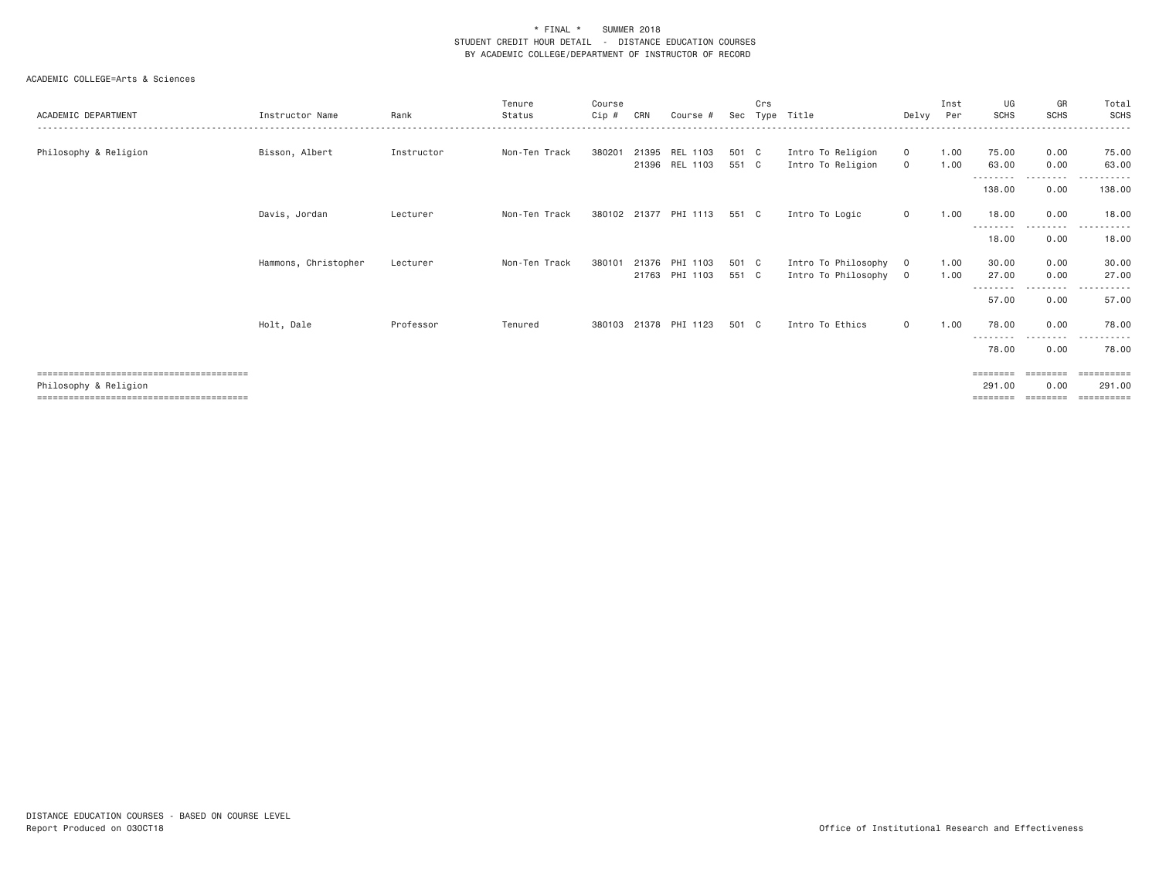| ACADEMIC DEPARTMENT   | Instructor Name      | Rank       | Tenure<br>Status | Course<br>Cip # | CRN | Course #                         | Sec            | Crs | Type Title                                 | Delvv                      | Inst<br>Per  | UG<br><b>SCHS</b>              | GR<br><b>SCHS</b>              | Total<br>SCHS                      |
|-----------------------|----------------------|------------|------------------|-----------------|-----|----------------------------------|----------------|-----|--------------------------------------------|----------------------------|--------------|--------------------------------|--------------------------------|------------------------------------|
| Philosophy & Religion | Bisson, Albert       | Instructor | Non-Ten Track    | 380201          |     | 21395 REL 1103<br>21396 REL 1103 | 501 C<br>551 C |     | Intro To Religion<br>Intro To Religion     | $\mathbf{0}$<br>$\circ$    | 1.00<br>1.00 | 75.00<br>63.00                 | 0.00<br>0.00                   | 75.00<br>63.00                     |
|                       |                      |            |                  |                 |     |                                  |                |     |                                            |                            |              | ---------<br>138.00            | ---------<br>0.00              | .<br>138.00                        |
|                       | Davis, Jordan        | Lecturer   | Non-Ten Track    |                 |     | 380102 21377 PHI 1113            | 551 C          |     | Intro To Logic                             | $\circ$                    | 1.00         | 18.00<br>---------             | 0.00                           | 18.00                              |
|                       |                      |            |                  |                 |     |                                  |                |     |                                            |                            |              | 18.00                          | 0.00                           | 18.00                              |
|                       | Hammons, Christopher | Lecturer   | Non-Ten Track    | 380101          |     | 21376 PHI 1103<br>21763 PHI 1103 | 501 C<br>551 C |     | Intro To Philosophy<br>Intro To Philosophy | $\overline{O}$<br>$\Omega$ | 1.00<br>1.00 | 30.00<br>27.00                 | 0.00<br>0.00                   | 30.00<br>27.00                     |
|                       |                      |            |                  |                 |     |                                  |                |     |                                            |                            |              | 57.00                          | $\frac{1}{2}$<br>$  -$<br>0.00 | 57.00                              |
|                       | Holt, Dale           | Professor  | Tenured          | 380103          |     | 21378 PHI 1123                   | 501 C          |     | Intro To Ethics                            | $\circ$                    | 1.00         | 78.00<br>---------             | 0.00<br>.                      | 78.00<br>.                         |
|                       |                      |            |                  |                 |     |                                  |                |     |                                            |                            |              | 78.00                          | 0.00                           | 78.00                              |
| Philosophy & Religion |                      |            |                  |                 |     |                                  |                |     |                                            |                            |              | ========<br>291.00<br>======== | ========<br>0.00<br>========   | ==========<br>291,00<br>========== |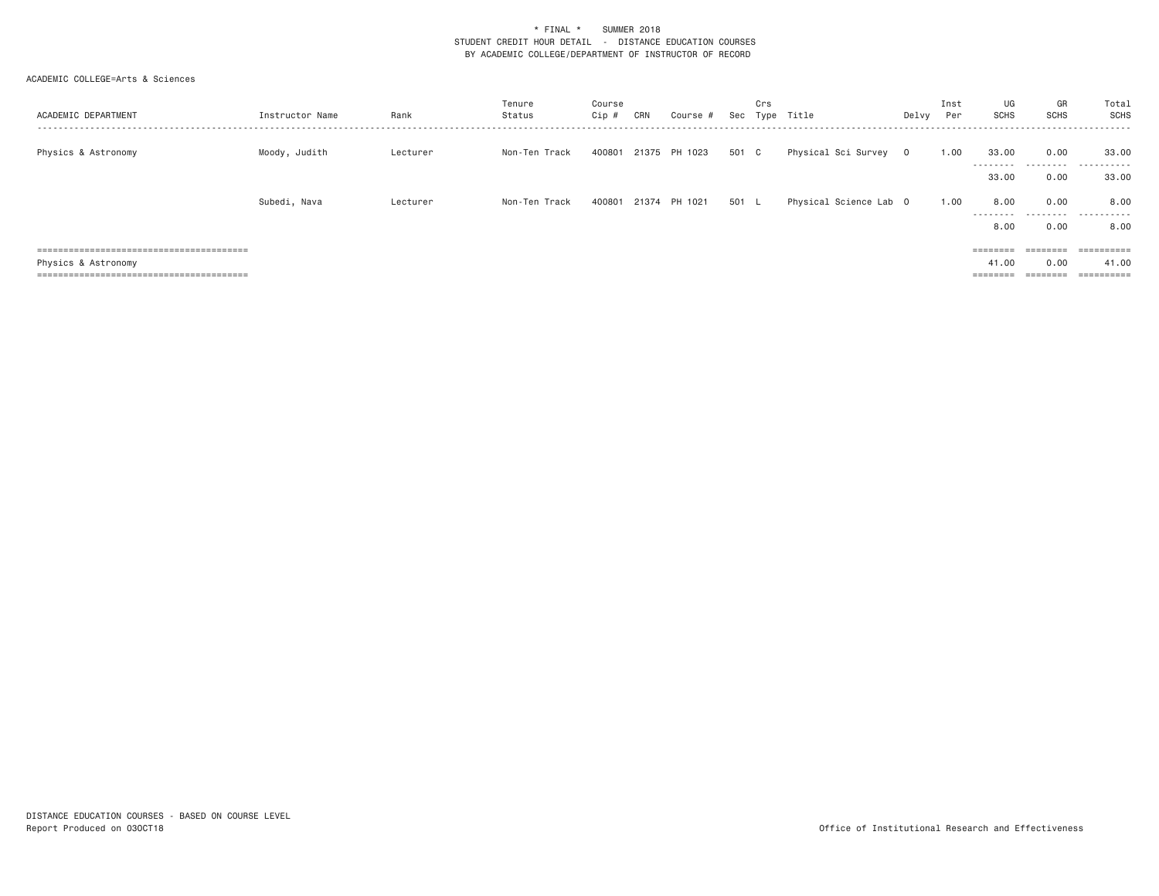| ACADEMIC DEPARTMENT | Instructor Name | Rank     | Tenure<br>Status | Course<br>$Cip$ # | CRN | Course #      | Sec   | Crs | Type Title             | Delvy   | Inst<br>Per | UG<br>SCHS                    | GR<br>SCHS                   | Total<br>SCHS     |
|---------------------|-----------------|----------|------------------|-------------------|-----|---------------|-------|-----|------------------------|---------|-------------|-------------------------------|------------------------------|-------------------|
| Physics & Astronomy | Moody, Judith   | Lecturer | Non-Ten Track    | 400801            |     | 21375 PH 1023 | 501 C |     | Physical Sci Survey    | $\circ$ | 1.00        | 33,00<br>---------            | 0.00<br>.                    | 33,00<br>.        |
|                     |                 |          |                  |                   |     |               |       |     |                        |         |             | 33,00                         | 0.00                         | 33.00             |
|                     | Subedi, Nava    | Lecturer | Non-Ten Track    | 400801            |     | 21374 PH 1021 | 501   | - L | Physical Science Lab 0 |         | 1.00        | 8,00<br>---------<br>8,00     | 0.00<br>.<br>0.00            | 8,00<br>.<br>8.00 |
|                     |                 |          |                  |                   |     |               |       |     |                        |         |             | $=$ = = = = = = =             |                              | ==========        |
| Physics & Astronomy |                 |          |                  |                   |     |               |       |     |                        |         |             | 41.00<br>________<br>-------- | 0.00<br>________<br>-------- | 41.00             |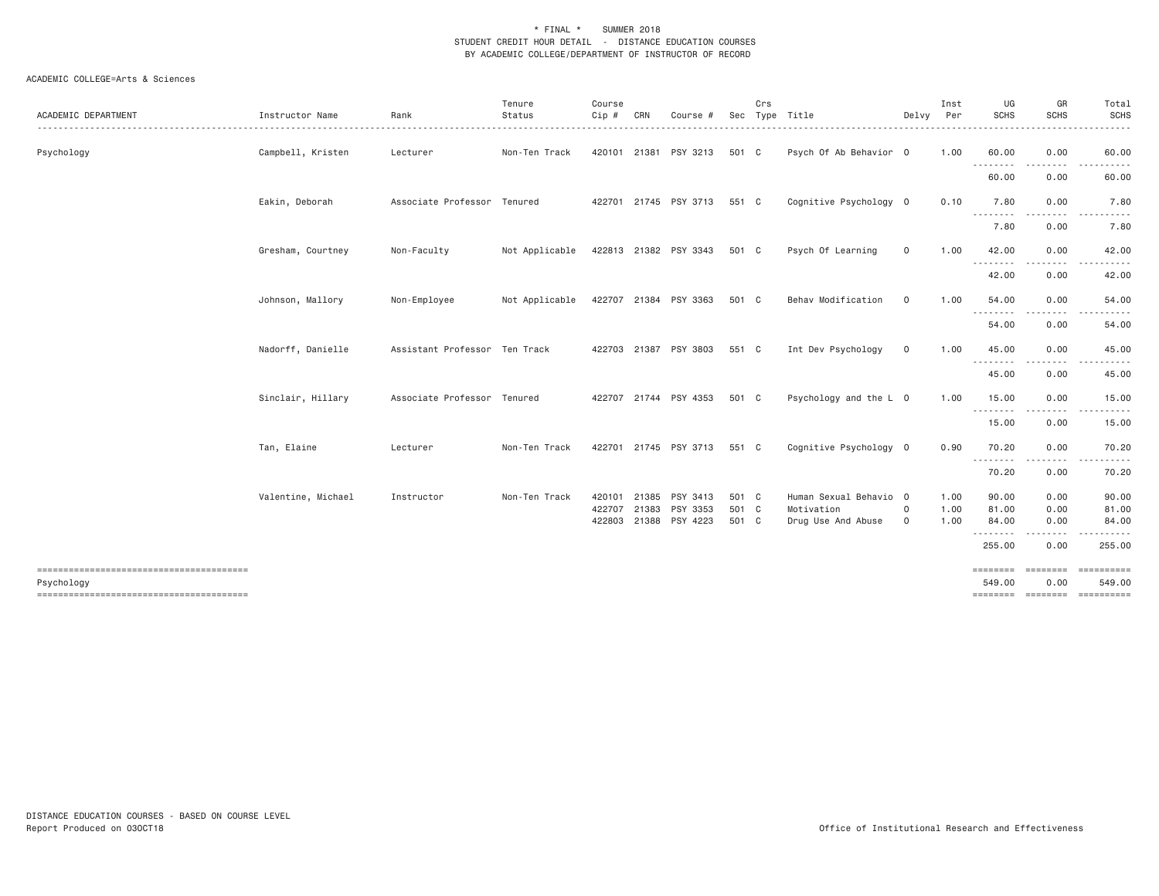| ACADEMIC DEPARTMENT | Instructor Name    | Rank                          | Tenure<br>Status<br>. | Course<br>$Cip$ # | CRN            | Course #              | Sec            | Crs | Type Title                           | Delvy        | Inst<br>Per  | UG<br><b>SCHS</b>  | GR<br><b>SCHS</b>              | Total<br><b>SCHS</b><br>.                                                                                                                                                                                                                                                                                                                                                                                                                                                                       |
|---------------------|--------------------|-------------------------------|-----------------------|-------------------|----------------|-----------------------|----------------|-----|--------------------------------------|--------------|--------------|--------------------|--------------------------------|-------------------------------------------------------------------------------------------------------------------------------------------------------------------------------------------------------------------------------------------------------------------------------------------------------------------------------------------------------------------------------------------------------------------------------------------------------------------------------------------------|
| Psychology          | Campbell, Kristen  | Lecturer                      | Non-Ten Track         |                   |                | 420101 21381 PSY 3213 | 501 C          |     | Psych Of Ab Behavior 0               |              | 1.00         | 60.00              | 0.00<br><u>.</u>               | 60.00<br>.                                                                                                                                                                                                                                                                                                                                                                                                                                                                                      |
|                     |                    |                               |                       |                   |                |                       |                |     |                                      |              |              | .<br>60.00         | 0.00                           | 60.00                                                                                                                                                                                                                                                                                                                                                                                                                                                                                           |
|                     | Eakin, Deborah     | Associate Professor Tenured   |                       |                   |                | 422701 21745 PSY 3713 | 551 C          |     | Cognitive Psychology 0               |              | 0.10         | 7.80<br><b></b>    | 0.00                           | 7.80                                                                                                                                                                                                                                                                                                                                                                                                                                                                                            |
|                     |                    |                               |                       |                   |                |                       |                |     |                                      |              |              | 7.80               | 0.00                           | 7.80                                                                                                                                                                                                                                                                                                                                                                                                                                                                                            |
|                     | Gresham, Courtney  | Non-Faculty                   | Not Applicable        |                   |                | 422813 21382 PSY 3343 | 501 C          |     | Psych Of Learning                    | $\mathbf 0$  | 1.00         | 42.00              | 0.00                           | 42.00                                                                                                                                                                                                                                                                                                                                                                                                                                                                                           |
|                     |                    |                               |                       |                   |                |                       |                |     |                                      |              |              | --------<br>42.00  | -----<br>0.00                  | ------<br>42.00                                                                                                                                                                                                                                                                                                                                                                                                                                                                                 |
|                     | Johnson, Mallory   | Non-Employee                  | Not Applicable        |                   |                | 422707 21384 PSY 3363 | 501 C          |     | Behav Modification                   | $\mathbf 0$  | 1.00         | 54.00<br>--------- | 0.00<br>$\cdots \cdots \cdots$ | 54.00<br>.                                                                                                                                                                                                                                                                                                                                                                                                                                                                                      |
|                     |                    |                               |                       |                   |                |                       |                |     |                                      |              |              | 54.00              | 0.00                           | 54.00                                                                                                                                                                                                                                                                                                                                                                                                                                                                                           |
|                     | Nadorff, Danielle  | Assistant Professor Ten Track |                       |                   |                | 422703 21387 PSY 3803 | 551 C          |     | Int Dev Psychology                   | $\mathbf 0$  | 1.00         | 45.00<br>--------- | 0.00                           | 45.00                                                                                                                                                                                                                                                                                                                                                                                                                                                                                           |
|                     |                    |                               |                       |                   |                |                       |                |     |                                      |              |              | 45.00              | 0.00                           | 45.00                                                                                                                                                                                                                                                                                                                                                                                                                                                                                           |
|                     | Sinclair, Hillary  | Associate Professor Tenured   |                       |                   |                | 422707 21744 PSY 4353 | 501 C          |     | Psychology and the L 0               |              | 1.00         | 15.00<br>.         | 0.00<br>-----                  | 15.00<br>$\begin{array}{cccccccccccccc} \multicolumn{2}{c}{} & \multicolumn{2}{c}{} & \multicolumn{2}{c}{} & \multicolumn{2}{c}{} & \multicolumn{2}{c}{} & \multicolumn{2}{c}{} & \multicolumn{2}{c}{} & \multicolumn{2}{c}{} & \multicolumn{2}{c}{} & \multicolumn{2}{c}{} & \multicolumn{2}{c}{} & \multicolumn{2}{c}{} & \multicolumn{2}{c}{} & \multicolumn{2}{c}{} & \multicolumn{2}{c}{} & \multicolumn{2}{c}{} & \multicolumn{2}{c}{} & \multicolumn{2}{c}{} & \multicolumn{2}{c}{} & \$ |
|                     |                    |                               |                       |                   |                |                       |                |     |                                      |              |              | 15.00              | 0.00                           | 15.00                                                                                                                                                                                                                                                                                                                                                                                                                                                                                           |
|                     | Tan, Elaine        | Lecturer                      | Non-Ten Track         |                   |                | 422701 21745 PSY 3713 | 551 C          |     | Cognitive Psychology 0               |              | 0.90         | 70.20              | 0.00                           | 70.20                                                                                                                                                                                                                                                                                                                                                                                                                                                                                           |
|                     |                    |                               |                       |                   |                |                       |                |     |                                      |              |              | .<br>70.20         | 0.00                           | 70.20                                                                                                                                                                                                                                                                                                                                                                                                                                                                                           |
|                     | Valentine, Michael | Instructor                    | Non-Ten Track         | 420101<br>422707  | 21385<br>21383 | PSY 3413<br>PSY 3353  | 501 C<br>501 C |     | Human Sexual Behavio 0<br>Motivation | 0            | 1.00<br>1.00 | 90.00<br>81.00     | 0.00<br>0.00                   | 90.00<br>81.00                                                                                                                                                                                                                                                                                                                                                                                                                                                                                  |
|                     |                    |                               |                       | 422803            |                | 21388 PSY 4223        | 501 C          |     | Drug Use And Abuse                   | $\mathbf{O}$ | 1.00         | 84.00              | 0.00                           | 84.00                                                                                                                                                                                                                                                                                                                                                                                                                                                                                           |
|                     |                    |                               |                       |                   |                |                       |                |     |                                      |              |              | .                  | .                              | .                                                                                                                                                                                                                                                                                                                                                                                                                                                                                               |
|                     |                    |                               |                       |                   |                |                       |                |     |                                      |              |              | 255.00             | 0.00                           | 255.00                                                                                                                                                                                                                                                                                                                                                                                                                                                                                          |
|                     |                    |                               |                       |                   |                |                       |                |     |                                      |              |              | <b>EBBEREE</b>     | ========                       | ==========                                                                                                                                                                                                                                                                                                                                                                                                                                                                                      |
| Psychology          |                    |                               |                       |                   |                |                       |                |     |                                      |              |              | 549.00             | 0.00                           | 549.00                                                                                                                                                                                                                                                                                                                                                                                                                                                                                          |
|                     |                    |                               |                       |                   |                |                       |                |     |                                      |              |              |                    |                                | ======== ======== =========                                                                                                                                                                                                                                                                                                                                                                                                                                                                     |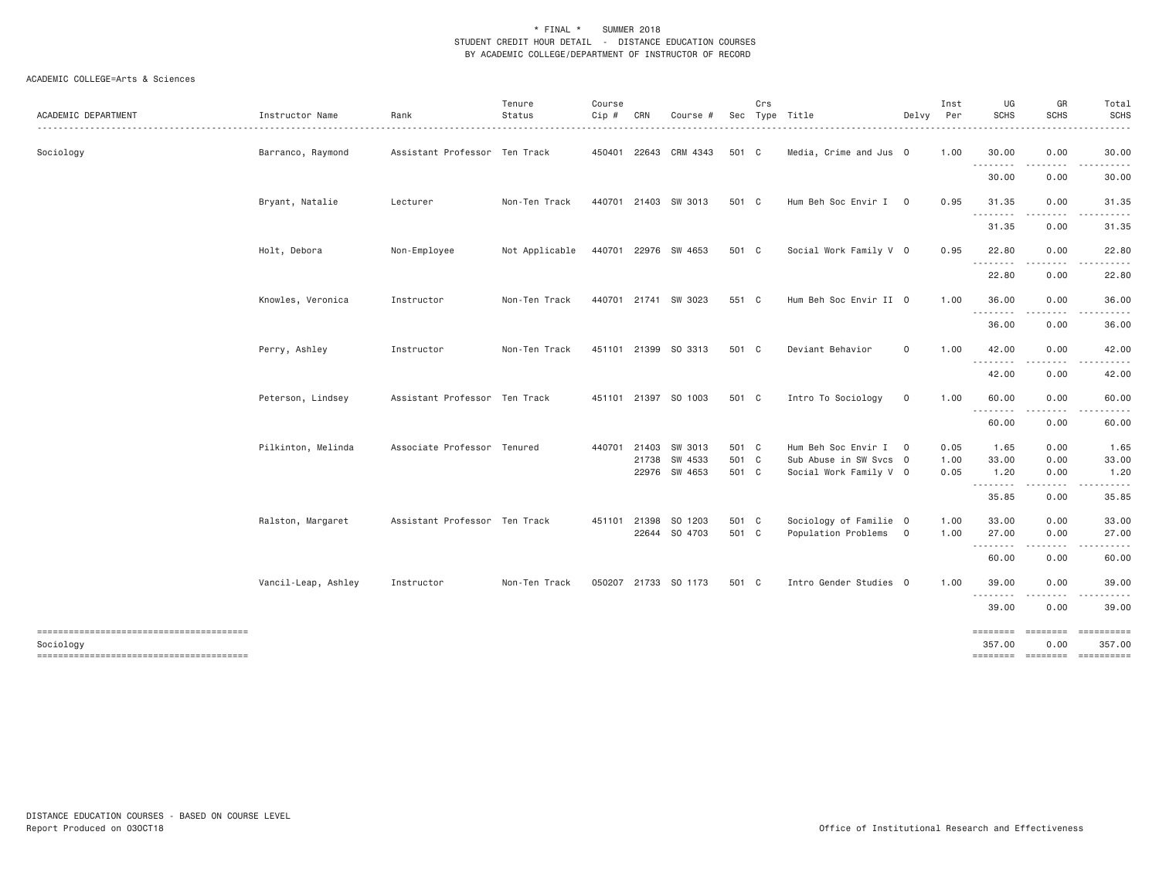| ACADEMIC DEPARTMENT                                 | Instructor Name     | Rank                          | Tenure<br>Status | Course<br>Cip # | CRN          | Course #                 |                | Crs | Sec Type Title                                   | Delvy          | Inst<br>Per  | UG<br><b>SCHS</b>               | GR<br><b>SCHS</b> | Total<br><b>SCHS</b><br>$\frac{1}{2} \left( \frac{1}{2} \right) \left( \frac{1}{2} \right) \left( \frac{1}{2} \right) \left( \frac{1}{2} \right) \left( \frac{1}{2} \right) \left( \frac{1}{2} \right)$ |
|-----------------------------------------------------|---------------------|-------------------------------|------------------|-----------------|--------------|--------------------------|----------------|-----|--------------------------------------------------|----------------|--------------|---------------------------------|-------------------|---------------------------------------------------------------------------------------------------------------------------------------------------------------------------------------------------------|
| Sociology                                           | Barranco, Raymond   | Assistant Professor Ten Track |                  |                 |              | 450401 22643 CRM 4343    | 501 C          |     | Media, Crime and Jus 0                           |                | 1.00         | 30.00<br>.                      | 0.00              | 30.00                                                                                                                                                                                                   |
|                                                     |                     |                               |                  |                 |              |                          |                |     |                                                  |                |              | 30.00                           | 0.00              | 30.00                                                                                                                                                                                                   |
|                                                     | Bryant, Natalie     | Lecturer                      | Non-Ten Track    |                 |              | 440701 21403 SW 3013     | 501 C          |     | Hum Beh Soc Envir I 0                            |                | 0.95         | 31.35<br>$\frac{1}{2}$<br>- - - | 0.00              | 31.35                                                                                                                                                                                                   |
|                                                     |                     |                               |                  |                 |              |                          |                |     |                                                  |                |              | 31.35                           | 0.00              | 31.35                                                                                                                                                                                                   |
|                                                     | Holt, Debora        | Non-Employee                  | Not Applicable   |                 |              | 440701 22976 SW 4653     | 501 C          |     | Social Work Family V 0                           |                | 0.95         | 22.80<br>.                      | 0.00<br>.         | 22.80                                                                                                                                                                                                   |
|                                                     |                     |                               |                  |                 |              |                          |                |     |                                                  |                |              | 22.80                           | 0.00              | 22.80                                                                                                                                                                                                   |
|                                                     | Knowles, Veronica   | Instructor                    | Non-Ten Track    |                 |              | 440701 21741 SW 3023     | 551 C          |     | Hum Beh Soc Envir II 0                           |                | 1.00         | 36.00<br>.                      | 0.00<br>.         | 36.00                                                                                                                                                                                                   |
|                                                     |                     |                               |                  |                 |              |                          |                |     |                                                  |                |              | 36.00                           | 0.00              | 36.00                                                                                                                                                                                                   |
|                                                     | Perry, Ashley       | Instructor                    | Non-Ten Track    |                 |              | 451101 21399 SO 3313     | 501 C          |     | Deviant Behavior                                 | $\mathsf{O}$   | 1.00         | 42.00                           | 0.00              | 42.00                                                                                                                                                                                                   |
|                                                     |                     |                               |                  |                 |              |                          |                |     |                                                  |                |              | .<br>42.00                      | .<br>0.00         | 42.00                                                                                                                                                                                                   |
|                                                     | Peterson, Lindsey   | Assistant Professor Ten Track |                  |                 |              | 451101 21397 SO 1003     | 501 C          |     | Intro To Sociology                               | 0              | 1.00         | 60.00                           | 0.00              | 60.00                                                                                                                                                                                                   |
|                                                     |                     |                               |                  |                 |              |                          |                |     |                                                  |                |              | --------<br>60.00               | 0.00              | 60.00                                                                                                                                                                                                   |
|                                                     | Pilkinton, Melinda  | Associate Professor Tenured   |                  |                 | 440701 21403 | SW 3013                  | 501 C          |     | Hum Beh Soc Envir I                              | $\overline{0}$ | 0.05         | 1.65                            | 0.00              | 1.65                                                                                                                                                                                                    |
|                                                     |                     |                               |                  |                 | 21738        | SW 4533<br>22976 SW 4653 | 501 C<br>501 C |     | Sub Abuse in SW Svcs 0<br>Social Work Family V 0 |                | 1.00<br>0.05 | 33.00<br>1.20                   | 0.00<br>0.00      | 33.00<br>1.20                                                                                                                                                                                           |
|                                                     |                     |                               |                  |                 |              |                          |                |     |                                                  |                |              | .<br>35.85                      | .<br>0.00         | . <u>.</u> .<br>35.85                                                                                                                                                                                   |
|                                                     | Ralston, Margaret   | Assistant Professor Ten Track |                  | 451101 21398    |              | SO 1203                  | 501 C          |     | Sociology of Familie 0                           |                | 1.00         | 33.00                           | 0.00              | 33.00                                                                                                                                                                                                   |
|                                                     |                     |                               |                  |                 |              | 22644 SO 4703            | 501 C          |     | Population Problems 0                            |                | 1.00         | 27,00<br>.                      | 0.00<br>-----     | 27.00                                                                                                                                                                                                   |
|                                                     |                     |                               |                  |                 |              |                          |                |     |                                                  |                |              | 60.00                           | 0.00              | 60.00                                                                                                                                                                                                   |
|                                                     | Vancil-Leap, Ashley | Instructor                    | Non-Ten Track    |                 |              | 050207 21733 SO 1173     | 501 C          |     | Intro Gender Studies 0                           |                | 1.00         | 39.00<br>.                      | 0.00              | 39.00                                                                                                                                                                                                   |
|                                                     |                     |                               |                  |                 |              |                          |                |     |                                                  |                |              | 39.00                           | 0.00              | 39.00                                                                                                                                                                                                   |
| --------------------------------------<br>Sociology |                     |                               |                  |                 |              |                          |                |     |                                                  |                |              | ========<br>357.00              | ========<br>0.00  | 357.00                                                                                                                                                                                                  |
|                                                     |                     |                               |                  |                 |              |                          |                |     |                                                  |                |              |                                 |                   | ======== ======== ==========                                                                                                                                                                            |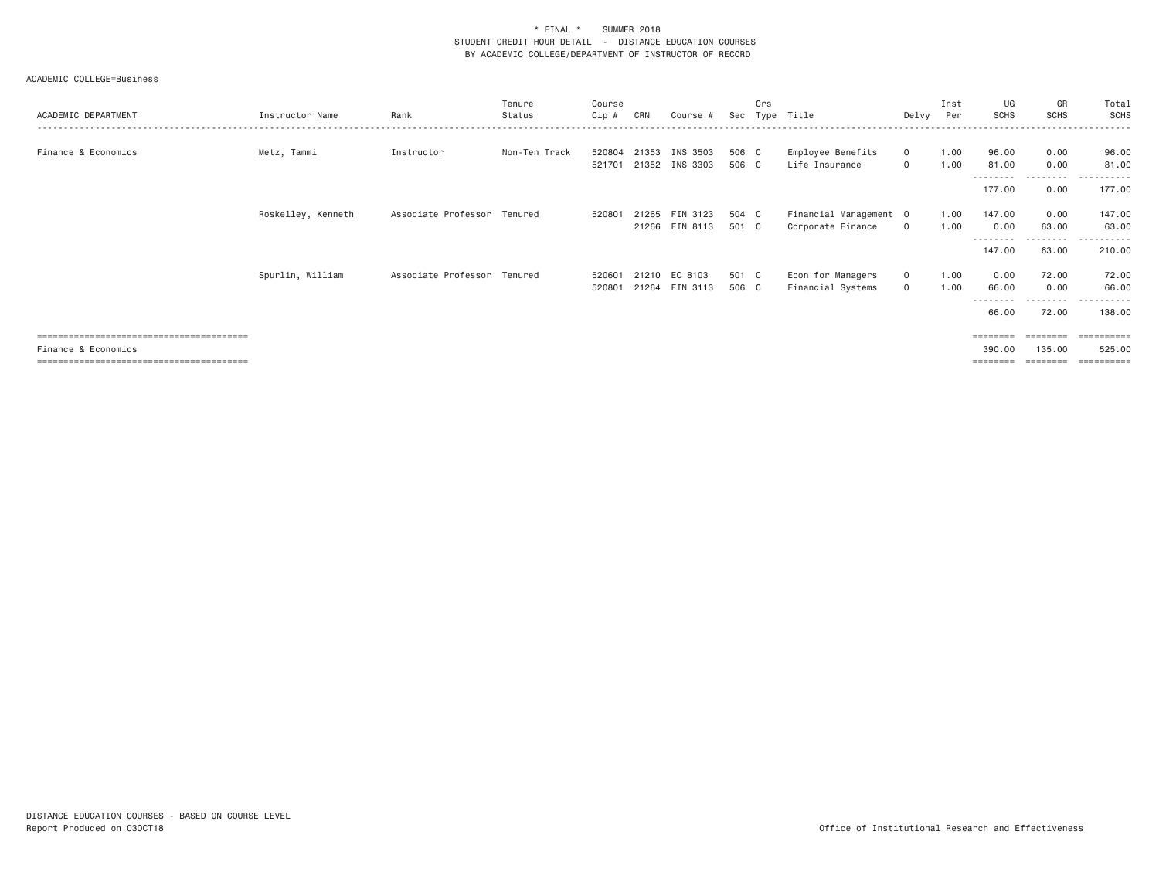| ACADEMIC DEPARTMENT | Instructor Name    | Rank                        | Tenure<br>Status | Course<br>Cip #  | CRN   | Course #                         | Sec            | Crs | Type Title                                  | Delvy                        | Inst<br>Per  | UG<br><b>SCHS</b>       | GR<br><b>SCHS</b>          | Total<br><b>SCHS</b>                           |
|---------------------|--------------------|-----------------------------|------------------|------------------|-------|----------------------------------|----------------|-----|---------------------------------------------|------------------------------|--------------|-------------------------|----------------------------|------------------------------------------------|
| Finance & Economics | Metz, Tammi        | Instructor                  | Non-Ten Track    | 520804<br>521701 | 21353 | INS 3503<br>21352 INS 3303       | 506 C<br>506 C |     | Employee Benefits<br>Life Insurance         | $\mathbf{0}$<br>$\mathbf{0}$ | 1.00<br>1.00 | 96.00<br>81.00          | 0.00<br>0.00               | 96.00<br>81.00                                 |
|                     |                    |                             |                  |                  |       |                                  |                |     |                                             |                              |              | 177.00                  | --------<br>0.00           | 177.00                                         |
|                     | Roskelley, Kenneth | Associate Professor Tenured |                  | 520801           |       | 21265 FIN 3123<br>21266 FIN 8113 | 504 C<br>501 C |     | Financial Management 0<br>Corporate Finance | $\circ$                      | 1.00<br>1.00 | 147.00<br>0.00          | 0.00<br>63.00<br>--------  | 147.00<br>63.00<br>.                           |
|                     | Spurlin, William   | Associate Professor Tenured |                  | 520601<br>520801 |       | 21210 EC 8103<br>21264 FIN 3113  | 501 C<br>506 C |     | Econ for Managers<br>Financial Systems      | $\mathbf{0}$<br>$\mathbf{0}$ | 1.00<br>1.00 | 147.00<br>0.00<br>66.00 | 63.00<br>72.00<br>0.00     | 210.00<br>72.00<br>66.00                       |
|                     |                    |                             |                  |                  |       |                                  |                |     |                                             |                              |              | 66.00                   | - - - - - - - - -<br>72.00 | - - - - - - <b>-</b><br>138.00                 |
| Finance & Economics |                    |                             |                  |                  |       |                                  |                |     |                                             |                              |              | 390,00<br>========      | 135.00<br>========         | $=$ = = = = = = = = =<br>525.00<br>----------- |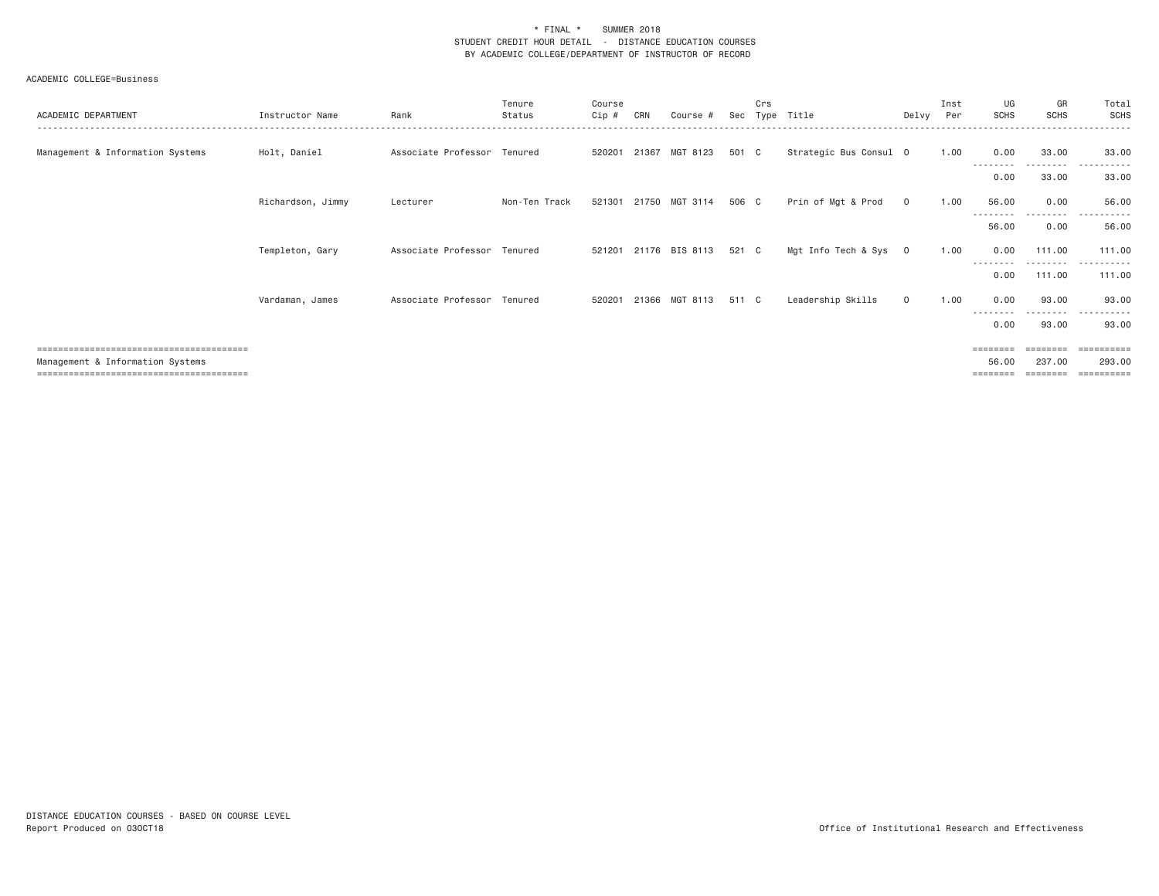| ACADEMIC DEPARTMENT              | Instructor Name   | Rank                        | Tenure<br>Status | Course<br>Cip # | CRN   | Course #              | Sec   | Crs | Tvpe Title             | Delvy        | Inst<br>Per | UG<br><b>SCHS</b> | GR<br><b>SCHS</b>   | Total<br>SCHS                                 |
|----------------------------------|-------------------|-----------------------------|------------------|-----------------|-------|-----------------------|-------|-----|------------------------|--------------|-------------|-------------------|---------------------|-----------------------------------------------|
| Management & Information Systems | Holt, Daniel      | Associate Professor Tenured |                  | 520201 21367    |       | MGT 8123              | 501 C |     | Strategic Bus Consul 0 |              | 1.00        | 0.00              | 33.00               | 33.00                                         |
|                                  |                   |                             |                  |                 |       |                       |       |     |                        |              |             | --------<br>0.00  | ---------<br>33.00  | .<br>.<br>33.00                               |
|                                  | Richardson, Jimmy | Lecturer                    | Non-Ten Track    |                 |       | 521301 21750 MGT 3114 | 506 C |     | Prin of Mgt & Prod     | $\circ$      | 1.00        | 56.00             | 0.00                | 56.00                                         |
|                                  |                   |                             |                  |                 |       |                       |       |     |                        |              |             | 56.00             | 0.00                | 56.00                                         |
|                                  | Templeton, Gary   | Associate Professor Tenured |                  |                 |       | 521201 21176 BIS 8113 | 521 C |     | Mgt Info Tech & Sys 0  |              | 1.00        | 0.00<br>--------  | 111.00<br>--------- | 111.00<br>.                                   |
|                                  |                   |                             |                  |                 |       |                       |       |     |                        |              |             | 0.00              | 111.00              | 111.00                                        |
|                                  | Vardaman, James   | Associate Professor Tenured |                  | 520201          | 21366 | MGT 8113              | 511 C |     | Leadership Skills      | $\mathbf{0}$ | 1.00        | 0.00<br>--------  | 93,00<br>--------   | 93,00<br>.                                    |
|                                  |                   |                             |                  |                 |       |                       |       |     |                        |              |             | 0.00              | 93.00               | 93.00                                         |
| Management & Information Systems |                   |                             |                  |                 |       |                       |       |     |                        |              |             | ========<br>56,00 | 237,00              | $=$ = = = = = = = = =<br>293,00<br>========== |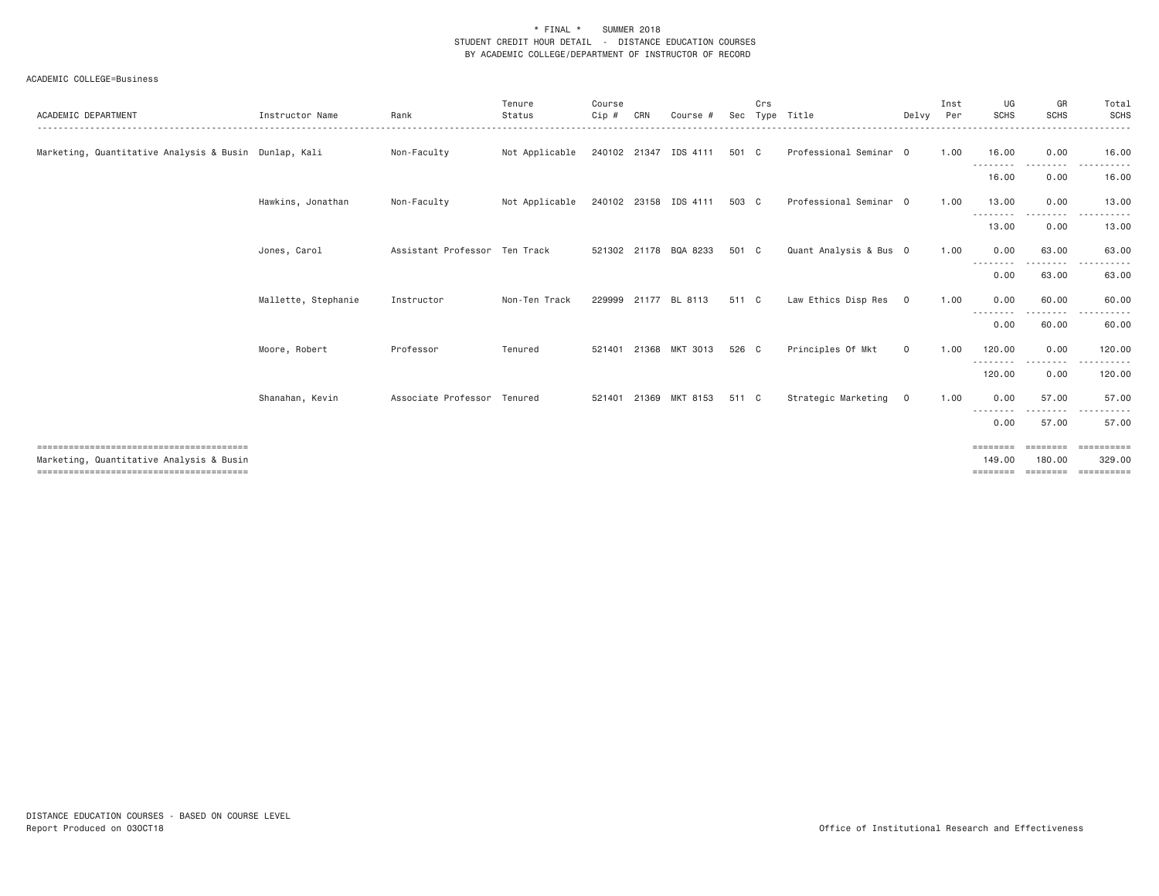| ACADEMIC DEPARTMENT                                   | Instructor Name     | Rank                          | Tenure<br>Status<br>. <b>.</b> . | Course<br>Cip # | CRN | Course #              | Sec   | Crs | Type Title             | Delvy Per      | Inst | UG<br><b>SCHS</b>  | GR<br><b>SCHS</b> | Total<br>SCHS<br>.    |
|-------------------------------------------------------|---------------------|-------------------------------|----------------------------------|-----------------|-----|-----------------------|-------|-----|------------------------|----------------|------|--------------------|-------------------|-----------------------|
| Marketing, Quantitative Analysis & Busin Dunlap, Kali |                     | Non-Faculty                   | Not Applicable                   |                 |     | 240102 21347 IDS 4111 | 501 C |     | Professional Seminar 0 |                | 1.00 | 16.00<br>--------- | 0.00<br>--------  | 16.00<br>------       |
|                                                       |                     |                               |                                  |                 |     |                       |       |     |                        |                |      | 16.00              | 0.00              | 16.00                 |
|                                                       | Hawkins, Jonathan   | Non-Faculty                   | Not Applicable                   |                 |     | 240102 23158 IDS 4111 | 503 C |     | Professional Seminar 0 |                | 1.00 | 13.00<br>--------  | 0.00              | 13.00                 |
|                                                       |                     |                               |                                  |                 |     |                       |       |     |                        |                |      | 13.00              | 0.00              | 13.00                 |
|                                                       | Jones, Carol        | Assistant Professor Ten Track |                                  |                 |     | 521302 21178 BQA 8233 | 501 C |     | Quant Analysis & Bus 0 |                | 1.00 | 0.00<br>. <i>.</i> | 63.00<br>.        | 63,00<br>$- - -$<br>. |
|                                                       |                     |                               |                                  |                 |     |                       |       |     |                        |                |      | 0.00               | 63.00             | 63.00                 |
|                                                       | Mallette, Stephanie | Instructor                    | Non-Ten Track                    | 229999          |     | 21177 BL 8113         | 511 C |     | Law Ethics Disp Res    | $\circ$        | 1.00 | 0.00<br>--------   | 60.00             | 60.00                 |
|                                                       |                     |                               |                                  |                 |     |                       |       |     |                        |                |      | 0.00               | 60.00             | 60.00                 |
|                                                       | Moore, Robert       | Professor                     | Tenured                          | 521401          |     | 21368 MKT 3013        | 526 C |     | Principles Of Mkt      | $\circ$        | 1.00 | 120.00             | 0.00              | 120.00                |
|                                                       |                     |                               |                                  |                 |     |                       |       |     |                        |                |      | 120.00             | 0.00              | 120.00                |
|                                                       | Shanahan, Kevin     | Associate Professor Tenured   |                                  | 521401          |     | 21369 MKT 8153        | 511 C |     | Strategic Marketing    | $\overline{0}$ | 1.00 | 0.00<br>---------  | 57.00             | 57.00                 |
|                                                       |                     |                               |                                  |                 |     |                       |       |     |                        |                |      | 0.00               | 57.00             | 57.00                 |
| Marketing, Quantitative Analysis & Busin              |                     |                               |                                  |                 |     |                       |       |     |                        |                |      | ========<br>149.00 | 180.00            | 329,00                |
|                                                       |                     |                               |                                  |                 |     |                       |       |     |                        |                |      | ========           | ========          | ==========            |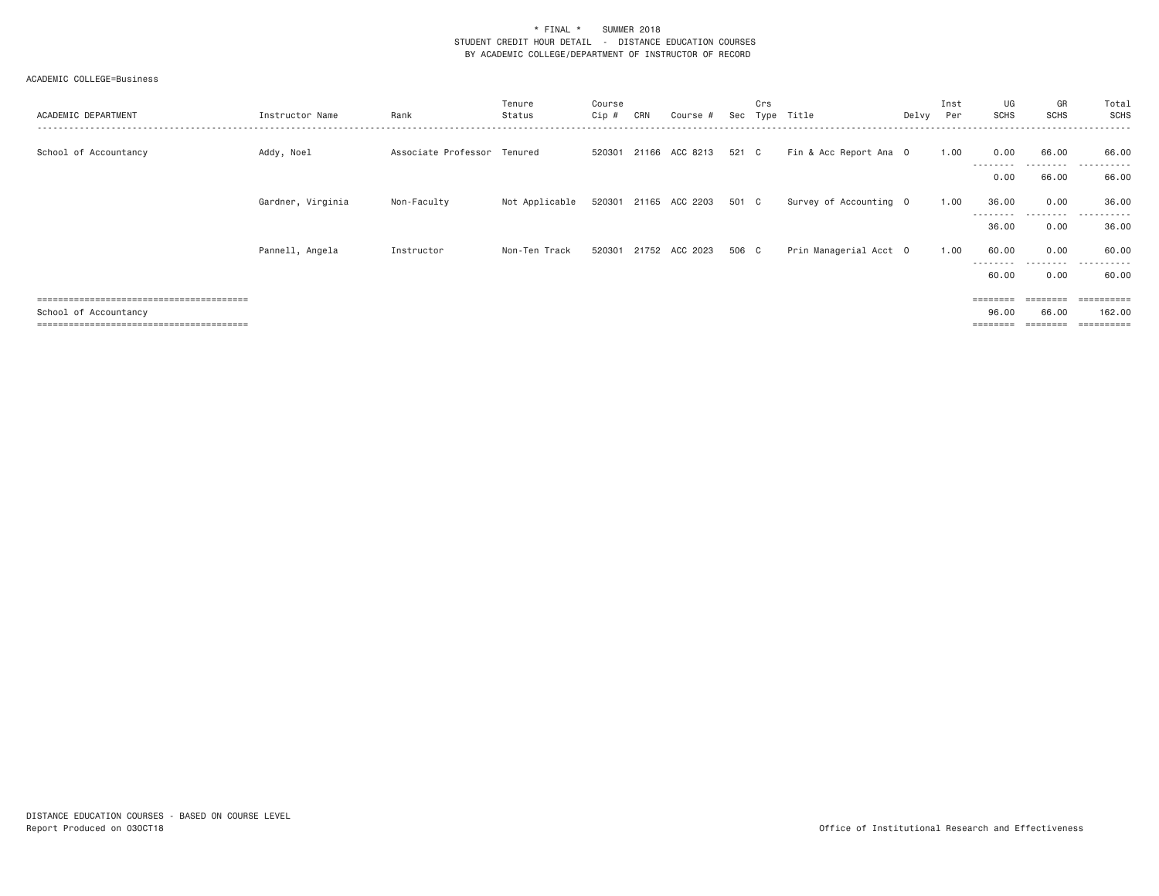| ACADEMIC DEPARTMENT   | Instructor Name   | Rank                        | Tenure<br>Status | Course<br>$Cip \#$ | CRN | Course #                    | Sec   | Crs<br>Type | Title                  | Delvy | Inst<br>Per | UG<br><b>SCHS</b>                   | GR<br><b>SCHS</b> | Total<br>SCHS                          |
|-----------------------|-------------------|-----------------------------|------------------|--------------------|-----|-----------------------------|-------|-------------|------------------------|-------|-------------|-------------------------------------|-------------------|----------------------------------------|
| School of Accountancy | Addy, Noel        | Associate Professor Tenured |                  | 520301             |     | 21166 ACC 8213              | 521 C |             | Fin & Acc Report Ana 0 |       | 1.00        | 0.00<br>---------                   | 66.00<br>.        | 66.00<br>.<br>$- - -$                  |
|                       |                   |                             |                  |                    |     |                             |       |             |                        |       |             | 0.00                                | 66.00             | 66.00                                  |
|                       | Gardner, Virginia | Non-Faculty                 | Not Applicable   |                    |     | 520301 21165 ACC 2203 501 C |       |             | Survey of Accounting 0 |       | 1.00        | 36.00<br>--------                   | 0.00<br>- - - - - | 36.00<br>- - - - - - <b>-</b><br>$  -$ |
|                       |                   |                             |                  |                    |     |                             |       |             |                        |       |             | 36.00                               | 0.00              | 36.00                                  |
|                       | Pannell, Angela   | Instructor                  | Non-Ten Track    | 520301             |     | 21752 ACC 2023              | 506 C |             | Prin Managerial Acct 0 |       | 1.00        | 60.00                               | 0.00              | 60.00                                  |
|                       |                   |                             |                  |                    |     |                             |       |             |                        |       |             | ---------<br>60.00                  | .<br>0.00         | ----------<br>60.00                    |
|                       |                   |                             |                  |                    |     |                             |       |             |                        |       |             | $=$ $=$ $=$ $=$ $=$ $=$ $=$ $=$ $=$ |                   | =======                                |
| School of Accountancy |                   |                             |                  |                    |     |                             |       |             |                        |       |             | 96.00                               | 66.00             | 162,00                                 |
|                       |                   |                             |                  |                    |     |                             |       |             |                        |       |             | $=$ = = = = = = =                   | ========          | $=$ = = = = = = = = =                  |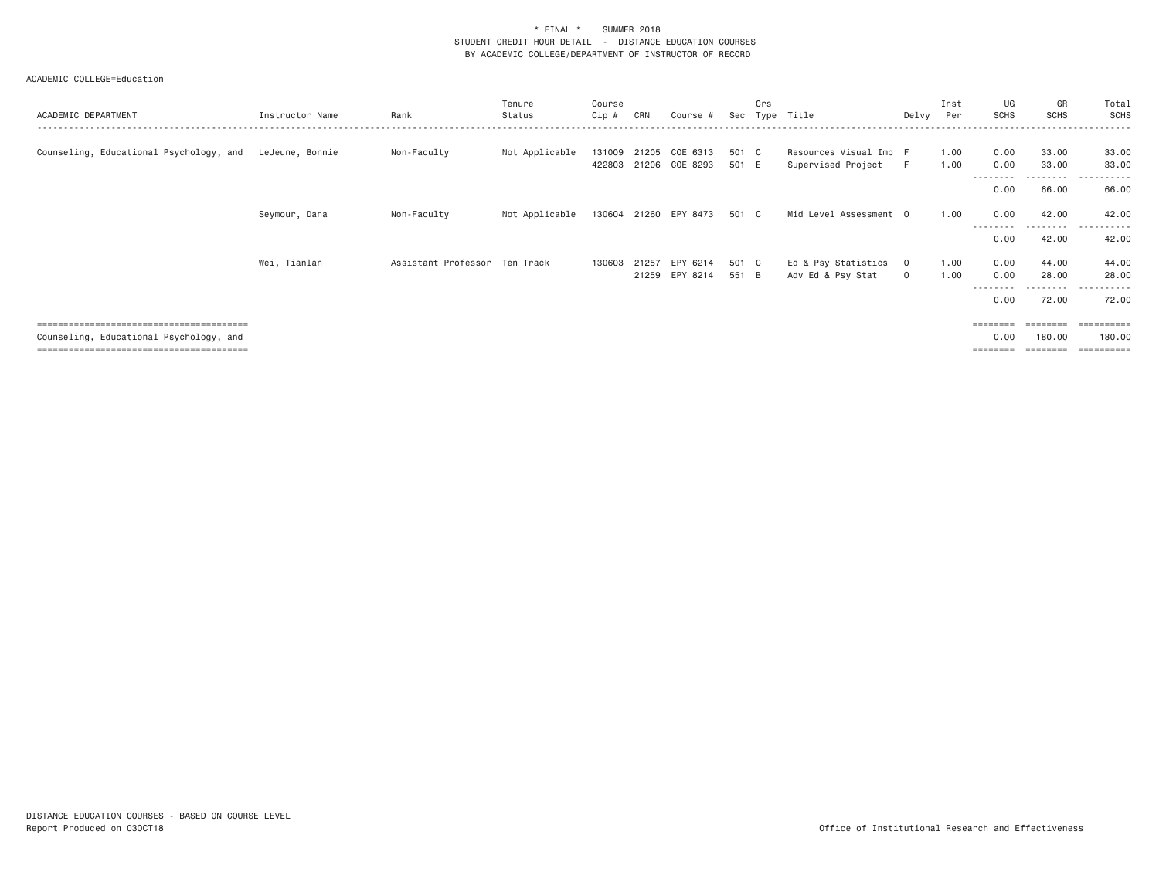| ACADEMIC DEPARTMENT                     | Instructor Name | Rank                          | Tenure<br>Status | Course<br>Cip #  | CRN            | Course #                         | Sec            | Crs | Type Title                                   | Delvy                          | Inst<br>Per  | UG<br><b>SCHS</b>        | GR<br><b>SCHS</b>                   | Total<br>SCHS                       |
|-----------------------------------------|-----------------|-------------------------------|------------------|------------------|----------------|----------------------------------|----------------|-----|----------------------------------------------|--------------------------------|--------------|--------------------------|-------------------------------------|-------------------------------------|
| Counseling, Educational Psychology, and | LeJeune, Bonnie | Non-Faculty                   | Not Applicable   | 131009<br>422803 |                | 21205 COE 6313<br>21206 COE 8293 | 501 C<br>501 E |     | Resources Visual Imp F<br>Supervised Project | -F                             | 1.00<br>1.00 | 0.00<br>0.00<br>-------- | 33.00<br>33.00<br>- - - - - - - - - | 33.00<br>33.00<br>.<br>$- - -$      |
|                                         |                 |                               |                  |                  |                |                                  |                |     |                                              |                                |              | 0.00                     | 66.00                               | 66.00                               |
|                                         | Seymour, Dana   | Non-Faculty                   | Not Applicable   | 130604           |                | 21260 EPY 8473                   | 501 C          |     | Mid Level Assessment 0                       |                                | 1.00         | 0.00                     | 42.00                               | 42.00                               |
|                                         |                 |                               |                  |                  |                |                                  |                |     |                                              |                                |              | ---------<br>0.00        | ---------<br>42.00                  | ------<br>$- - -$<br>42.00          |
|                                         | Wei, Tianlan    | Assistant Professor Ten Track |                  | 130603           | 21257<br>21259 | EPY 6214<br>EPY 8214             | 501 C<br>551 B |     | Ed & Psy Statistics<br>Adv Ed & Psy Stat     | $\overline{0}$<br>$\mathbf{0}$ | 1.00<br>1.00 | 0.00<br>0.00<br>-------- | 44.00<br>28.00<br>- - - - - - - - - | 44.00<br>28.00<br>------<br>$- - -$ |
|                                         |                 |                               |                  |                  |                |                                  |                |     |                                              |                                |              | 0.00                     | 72.00                               | 72.00                               |
| Counseling, Educational Psychology, and |                 |                               |                  |                  |                |                                  |                |     |                                              |                                |              | 0.00                     | 180,00                              | $=$ = = = = = = = = =<br>180,00     |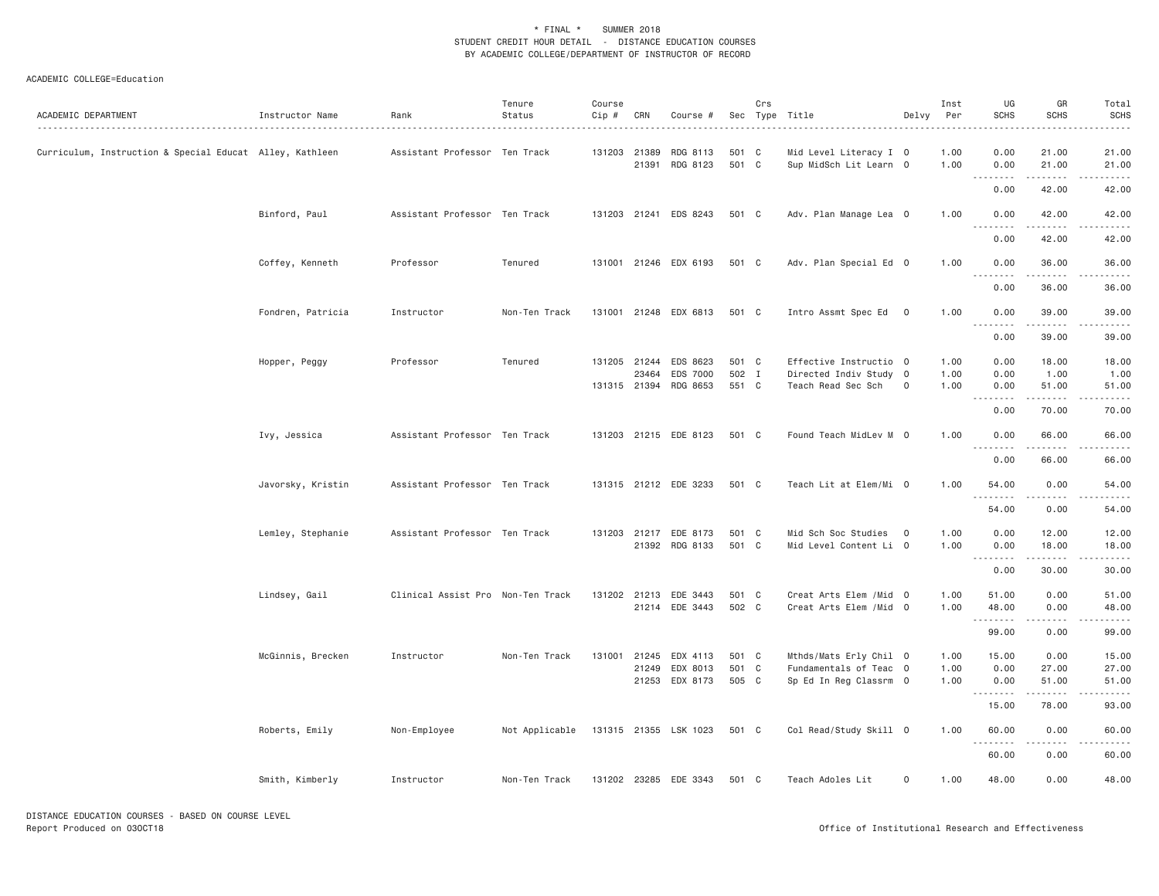| ACADEMIC DEPARTMENT                                      | Instructor Name   | Rank                              | Tenure<br>Status | Course<br>Cip # | CRN                   | Course #                                      |                         | Crs | Sec Type Title<br>.                                                    | Delvy          | Inst<br>Per          | UG<br><b>SCHS</b>    | GR<br><b>SCHS</b>                                                                                                                  | Total<br><b>SCHS</b><br>$\sim$ $\sim$ $\sim$ $\sim$ $\sim$ |
|----------------------------------------------------------|-------------------|-----------------------------------|------------------|-----------------|-----------------------|-----------------------------------------------|-------------------------|-----|------------------------------------------------------------------------|----------------|----------------------|----------------------|------------------------------------------------------------------------------------------------------------------------------------|------------------------------------------------------------|
| Curriculum, Instruction & Special Educat Alley, Kathleen |                   | Assistant Professor Ten Track     |                  | 131203 21389    |                       | RDG 8113<br>21391 RDG 8123                    | 501 C<br>501 C          |     | Mid Level Literacy I 0<br>Sup MidSch Lit Learn 0                       |                | 1.00<br>1.00         | 0.00<br>0.00         | 21.00<br>21.00                                                                                                                     | 21.00<br>21.00                                             |
|                                                          |                   |                                   |                  |                 |                       |                                               |                         |     |                                                                        |                |                      | .<br>0.00            | $\begin{array}{cccccccccccccc} \bullet & \bullet & \bullet & \bullet & \bullet & \bullet & \bullet & \bullet \end{array}$<br>42.00 | .<br>42.00                                                 |
|                                                          | Binford, Paul     | Assistant Professor Ten Track     |                  | 131203          |                       | 21241 EDS 8243                                | 501 C                   |     | Adv. Plan Manage Lea 0                                                 |                | 1.00                 | 0.00<br>.            | 42.00<br>-----                                                                                                                     | 42.00<br>$- - - - -$                                       |
|                                                          |                   |                                   |                  |                 |                       |                                               |                         |     |                                                                        |                |                      | 0.00                 | 42.00                                                                                                                              | 42.00                                                      |
|                                                          | Coffey, Kenneth   | Professor                         | Tenured          |                 |                       | 131001 21246 EDX 6193                         | 501 C                   |     | Adv. Plan Special Ed 0                                                 |                | 1.00                 | 0.00<br>.            | 36.00<br>1.1.1.1.1                                                                                                                 | 36.00<br>.                                                 |
|                                                          |                   |                                   |                  |                 |                       |                                               |                         |     |                                                                        |                |                      | 0.00                 | 36.00                                                                                                                              | 36.00                                                      |
|                                                          | Fondren, Patricia | Instructor                        | Non-Ten Track    |                 |                       | 131001 21248 EDX 6813                         | 501 C                   |     | Intro Assmt Spec Ed 0                                                  |                | 1.00                 | 0.00                 | 39.00<br>.                                                                                                                         | 39.00<br>.                                                 |
|                                                          |                   |                                   |                  |                 |                       |                                               |                         |     |                                                                        |                |                      | .<br>0.00            | 39.00                                                                                                                              | 39.00                                                      |
|                                                          | Hopper, Peggy     | Professor                         | Tenured          |                 | 131205 21244<br>23464 | EDS 8623<br>EDS 7000<br>131315 21394 RDG 8653 | 501 C<br>502 I<br>551 C |     | Effective Instructio 0<br>Directed Indiv Study 0<br>Teach Read Sec Sch | $\mathbf{O}$   | 1.00<br>1.00<br>1.00 | 0.00<br>0.00<br>0.00 | 18.00<br>1.00<br>51.00                                                                                                             | 18.00<br>1.00<br>51.00                                     |
|                                                          |                   |                                   |                  |                 |                       |                                               |                         |     |                                                                        |                |                      | --------<br>0.00     | .<br>70.00                                                                                                                         | .<br>70.00                                                 |
|                                                          | Ivy, Jessica      | Assistant Professor Ten Track     |                  |                 |                       | 131203 21215 EDE 8123                         | 501 C                   |     | Found Teach MidLev M 0                                                 |                | 1.00                 | 0.00                 | 66.00                                                                                                                              | 66.00                                                      |
|                                                          |                   |                                   |                  |                 |                       |                                               |                         |     |                                                                        |                |                      | .<br>0.00            | .<br>66.00                                                                                                                         | .<br>66.00                                                 |
|                                                          | Javorsky, Kristin | Assistant Professor Ten Track     |                  |                 |                       | 131315 21212 EDE 3233                         | 501 C                   |     | Teach Lit at Elem/Mi 0                                                 |                | 1.00                 | 54.00                | 0.00                                                                                                                               | 54.00                                                      |
|                                                          |                   |                                   |                  |                 |                       |                                               |                         |     |                                                                        |                |                      | .<br>54.00           | 0.00                                                                                                                               | .<br>54.00                                                 |
|                                                          | Lemley, Stephanie | Assistant Professor Ten Track     |                  |                 |                       | 131203 21217 EDE 8173<br>21392 RDG 8133       | 501 C<br>501 C          |     | Mid Sch Soc Studies<br>Mid Level Content Li 0                          | $\overline{0}$ | 1.00<br>1,00         | 0.00<br>0.00<br>.    | 12.00<br>18.00<br>.                                                                                                                | 12.00<br>18.00<br>.                                        |
|                                                          |                   |                                   |                  |                 |                       |                                               |                         |     |                                                                        |                |                      | 0.00                 | 30.00                                                                                                                              | 30.00                                                      |
|                                                          | Lindsey, Gail     | Clinical Assist Pro Non-Ten Track |                  |                 | 131202 21213          | EDE 3443<br>21214 EDE 3443                    | 501 C<br>502 C          |     | Creat Arts Elem / Mid 0<br>Creat Arts Elem / Mid 0                     |                | 1.00<br>1.00         | 51.00<br>48.00<br>.  | 0.00<br>0.00<br>$\sim$ $\sim$ $\sim$ $\sim$                                                                                        | 51.00<br>48.00<br>$\omega$ is $\omega$ in .                |
|                                                          |                   |                                   |                  |                 |                       |                                               |                         |     |                                                                        |                |                      | 99.00                | 0.00                                                                                                                               | 99.00                                                      |
|                                                          | McGinnis, Brecken | Instructor                        | Non-Ten Track    | 131001          | 21245                 | EDX 4113                                      | 501 C                   |     | Mthds/Mats Erly Chil 0                                                 |                | 1.00                 | 15.00                | 0.00                                                                                                                               | 15.00                                                      |
|                                                          |                   |                                   |                  |                 | 21249                 | EDX 8013<br>21253 EDX 8173                    | 501 C<br>505 C          |     | Fundamentals of Teac 0<br>Sp Ed In Reg Classrm 0                       |                | 1.00<br>1.00         | 0.00<br>0.00         | 27.00<br>51.00                                                                                                                     | 27.00<br>51.00                                             |
|                                                          |                   |                                   |                  |                 |                       |                                               |                         |     |                                                                        |                |                      | .<br>15.00           | .<br>78.00                                                                                                                         | $\omega$ is $\omega$ in .<br>93.00                         |
|                                                          | Roberts, Emily    | Non-Employee                      | Not Applicable   |                 |                       | 131315 21355 LSK 1023                         | 501 C                   |     | Col Read/Study Skill 0                                                 |                | 1.00                 | 60.00                | 0.00                                                                                                                               | 60.00                                                      |
|                                                          |                   |                                   |                  |                 |                       |                                               |                         |     |                                                                        |                |                      | .<br>60.00           | د د د د<br>0.00                                                                                                                    | $\sim$ $\sim$ $\sim$ $\sim$ $\sim$<br>60.00                |
|                                                          | Smith, Kimberly   | Instructor                        | Non-Ten Track    |                 |                       | 131202 23285 EDE 3343                         | 501 C                   |     | Teach Adoles Lit                                                       | 0              | 1.00                 | 48.00                | 0.00                                                                                                                               | 48.00                                                      |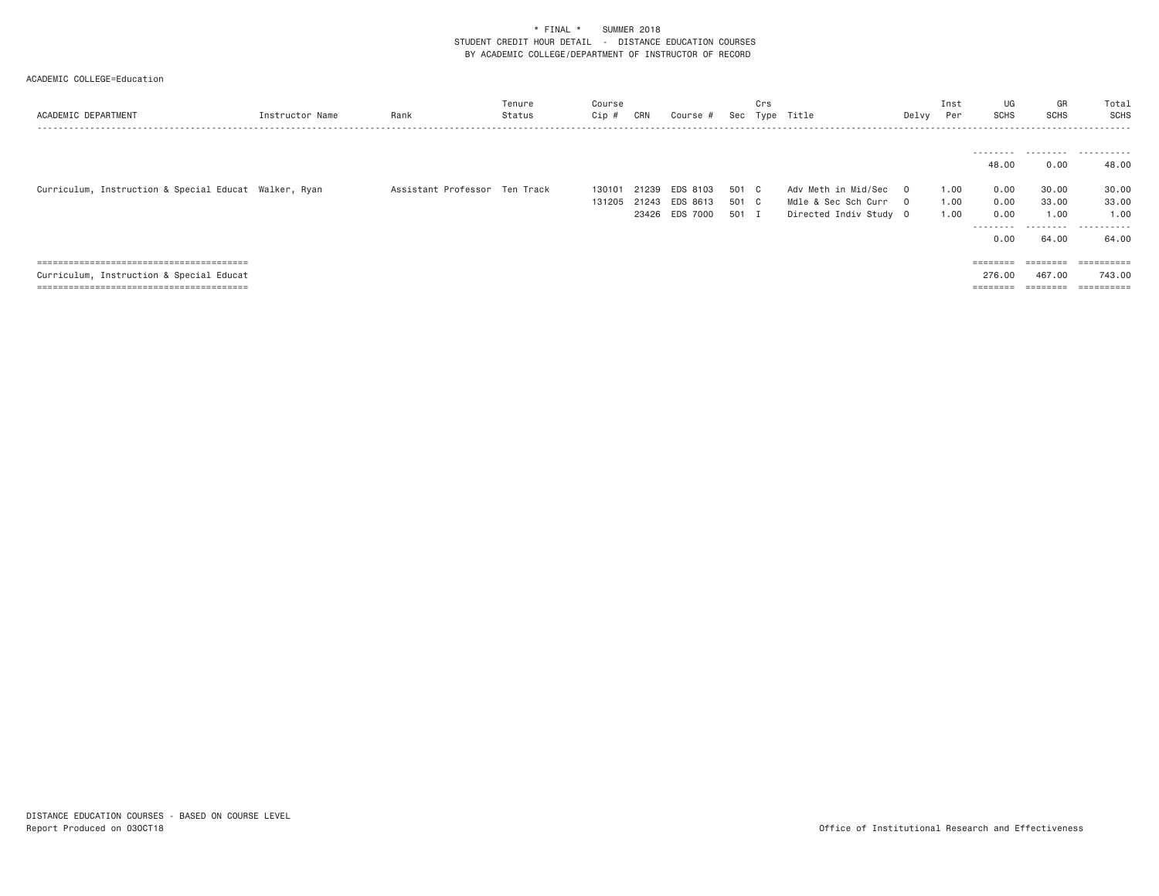| ACADEMIC DEPARTMENT                                   | Instructor Name | Rank                          | Tenure<br>Status | Course<br>Cip #  | CRN                     | Course #                         | Sec                   | Crs<br>Type  | Title                                                                  | Delvy    | Inst<br>Per          | UG<br><b>SCHS</b>                         | GR<br><b>SCHS</b>                                                       | Total<br><b>SCHS</b><br>- - - - - - - |
|-------------------------------------------------------|-----------------|-------------------------------|------------------|------------------|-------------------------|----------------------------------|-----------------------|--------------|------------------------------------------------------------------------|----------|----------------------|-------------------------------------------|-------------------------------------------------------------------------|---------------------------------------|
|                                                       |                 |                               |                  |                  |                         |                                  |                       |              |                                                                        |          |                      | 48,00                                     | 0.00                                                                    | <br>48.00                             |
| Curriculum, Instruction & Special Educat Walker, Ryan |                 | Assistant Professor Ten Track |                  | 130101<br>131205 | 21239<br>21243<br>23426 | EDS 8103<br>EDS 8613<br>EDS 7000 | 501 C<br>501<br>501 I | $\mathbb{C}$ | Adv Meth in Mid/Sec 0<br>Mdle & Sec Sch Curr<br>Directed Indiv Study 0 | $\Omega$ | 1.00<br>1.00<br>1.00 | 0.00<br>0.00<br>0.00<br>---------<br>0.00 | 30.00<br>33,00<br>1.00<br>.<br>64.00                                    | 30.00<br>33.00<br>1.00<br>.<br>64.00  |
|                                                       |                 |                               |                  |                  |                         |                                  |                       |              |                                                                        |          |                      | $=$ = = = = = = =                         | $=$ = = = = = = =                                                       | ==========                            |
| Curriculum, Instruction & Special Educat              |                 |                               |                  |                  |                         |                                  |                       |              |                                                                        |          |                      | 276.00                                    | 467.00                                                                  | 743,00                                |
|                                                       |                 |                               |                  |                  |                         |                                  |                       |              |                                                                        |          |                      | ________<br>--------                      | $\qquad \qquad \equiv \equiv \equiv \equiv \equiv \equiv \equiv \equiv$ | ==========                            |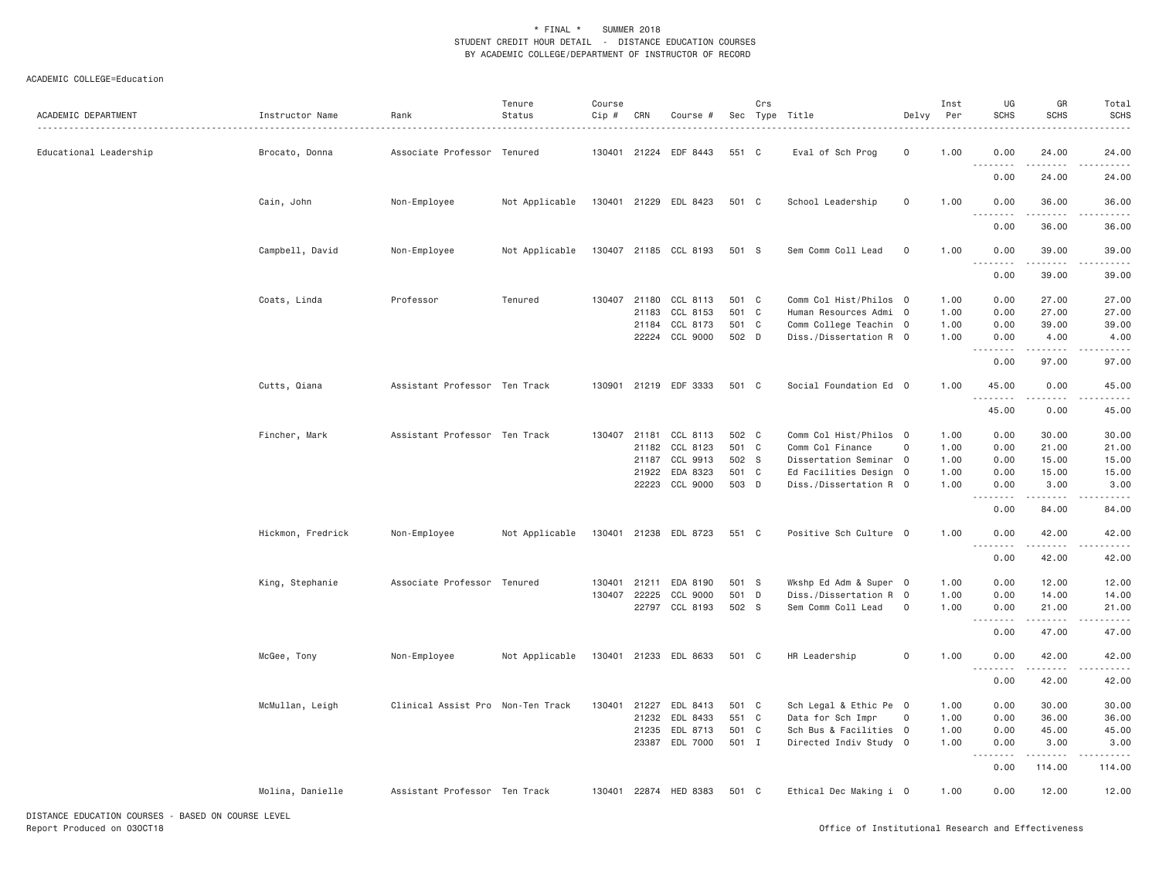| ACADEMIC DEPARTMENT          | Instructor Name       | Rank<br>.                         | Tenure<br>Status | Course<br>$Cip$ # | CRN          | Course #              |       | Crs | Sec Type Title         | Delvy               | Inst<br>Per | UG<br><b>SCHS</b>                               | GR<br><b>SCHS</b>                                                                                                                                            | Total<br><b>SCHS</b> |
|------------------------------|-----------------------|-----------------------------------|------------------|-------------------|--------------|-----------------------|-------|-----|------------------------|---------------------|-------------|-------------------------------------------------|--------------------------------------------------------------------------------------------------------------------------------------------------------------|----------------------|
| Educational Leadership       | Brocato, Donna        | Associate Professor Tenured       |                  |                   |              | 130401 21224 EDF 8443 | 551 C |     | Eval of Sch Prog       | $\mathbf 0$         | 1.00        | 0.00                                            | 24.00                                                                                                                                                        | 24.00                |
|                              |                       |                                   |                  |                   |              |                       |       |     |                        |                     |             | 0.00                                            | 24.00                                                                                                                                                        | 24.00                |
|                              | Cain, John            | Non-Employee                      | Not Applicable   |                   |              | 130401 21229 EDL 8423 | 501 C |     | School Leadership      | $\mathsf{O}\xspace$ | 1.00        | 0.00<br>$  -$<br>-----                          | 36.00<br>$- - - - -$                                                                                                                                         | 36.00                |
|                              |                       |                                   |                  |                   |              |                       |       |     |                        |                     |             | 0.00                                            | 36.00                                                                                                                                                        | 36.00                |
|                              | Campbell, David       | Non-Employee                      | Not Applicable   |                   |              | 130407 21185 CCL 8193 | 501 S |     | Sem Comm Coll Lead     | $\mathbf 0$         | 1.00        | 0.00<br>$\sim$ $\sim$ .<br>$\sim$ $\sim$ $\sim$ | 39.00                                                                                                                                                        | 39.00                |
|                              |                       |                                   |                  |                   |              |                       |       |     |                        |                     |             | 0.00                                            | 39.00                                                                                                                                                        | 39.00                |
|                              | Coats, Linda          | Professor                         | Tenured          |                   |              | 130407 21180 CCL 8113 | 501 C |     | Comm Col Hist/Philos 0 |                     | 1.00        | 0.00                                            | 27.00                                                                                                                                                        | 27.00                |
|                              |                       |                                   |                  |                   | 21183        | CCL 8153              | 501 C |     | Human Resources Admi 0 |                     | 1.00        | 0.00                                            | 27.00                                                                                                                                                        | 27.00                |
|                              |                       |                                   |                  |                   | 21184        | CCL 8173              | 501 C |     | Comm College Teachin 0 |                     | 1.00        | 0.00                                            | 39.00                                                                                                                                                        | 39.00                |
|                              |                       |                                   |                  |                   |              | 22224 CCL 9000        | 502 D |     | Diss./Dissertation R 0 |                     | 1.00        | 0.00<br>.                                       | 4.00<br><u>.</u>                                                                                                                                             | 4.00                 |
|                              |                       |                                   |                  |                   |              |                       |       |     |                        |                     |             | 0.00                                            | 97.00                                                                                                                                                        | 97.00                |
|                              | Cutts, Qiana          | Assistant Professor Ten Track     |                  | 130901            |              | 21219 EDF 3333        | 501 C |     | Social Foundation Ed 0 |                     | 1.00        | 45.00<br>.                                      | 0.00                                                                                                                                                         | 45.00                |
|                              |                       |                                   |                  |                   |              |                       |       |     |                        |                     |             | 45.00                                           | 0.00                                                                                                                                                         | 45.00                |
|                              | Fincher, Mark         | Assistant Professor Ten Track     |                  |                   |              | 130407 21181 CCL 8113 | 502 C |     | Comm Col Hist/Philos 0 |                     | 1.00        | 0.00                                            | 30.00                                                                                                                                                        | 30.00                |
|                              |                       |                                   |                  |                   | 21182        | CCL 8123              | 501 C |     | Comm Col Finance       | $\mathsf{O}\xspace$ | 1.00        | 0.00                                            | 21.00                                                                                                                                                        | 21.00                |
|                              |                       |                                   |                  |                   | 21187        | CCL 9913              | 502 S |     | Dissertation Seminar 0 |                     | 1.00        | 0.00                                            | 15.00                                                                                                                                                        | 15.00                |
|                              |                       |                                   |                  |                   | 21922        | EDA 8323              | 501 C |     | Ed Facilities Design 0 |                     | 1.00        | 0.00                                            | 15.00                                                                                                                                                        | 15.00                |
|                              |                       |                                   |                  |                   |              | 22223 CCL 9000        | 503 D |     | Diss./Dissertation R 0 |                     | 1.00        | 0.00<br>.                                       | 3.00<br>$\frac{1}{2} \left( \frac{1}{2} \right) \left( \frac{1}{2} \right) \left( \frac{1}{2} \right) \left( \frac{1}{2} \right) \left( \frac{1}{2} \right)$ | 3.00<br>.            |
|                              |                       |                                   |                  |                   |              |                       |       |     |                        |                     |             | 0.00                                            | 84.00                                                                                                                                                        | 84.00                |
|                              | Hickmon, Fredrick     | Non-Employee                      | Not Applicable   |                   |              | 130401 21238 EDL 8723 | 551 C |     | Positive Sch Culture 0 |                     | 1.00        | 0.00<br>.                                       | 42.00<br>$\omega$ is a set                                                                                                                                   | 42.00                |
|                              |                       |                                   |                  |                   |              |                       |       |     |                        |                     |             | 0.00                                            | 42.00                                                                                                                                                        | 42.00                |
|                              | King, Stephanie       | Associate Professor Tenured       |                  | 130401            | 21211        | EDA 8190              | 501 S |     | Wkshp Ed Adm & Super 0 |                     | 1.00        | 0.00                                            | 12.00                                                                                                                                                        | 12.00                |
|                              |                       |                                   |                  |                   | 130407 22225 | CCL 9000              | 501 D |     | Diss./Dissertation R 0 |                     | 1.00        | 0.00                                            | 14.00                                                                                                                                                        | 14.00                |
|                              |                       |                                   |                  |                   |              | 22797 CCL 8193        | 502 S |     | Sem Comm Coll Lead     | $\mathbf 0$         | 1.00        | 0.00                                            | 21.00                                                                                                                                                        | 21.00                |
|                              |                       |                                   |                  |                   |              |                       |       |     |                        |                     |             | .<br>$  -$<br>0.00                              | .<br>47.00                                                                                                                                                   | 47.00                |
|                              | McGee, Tony           | Non-Employee                      | Not Applicable   |                   |              | 130401 21233 EDL 8633 | 501 C |     | HR Leadership          | $\Omega$            | 1.00        | 0.00                                            | 42.00                                                                                                                                                        | 42.00                |
|                              |                       |                                   |                  |                   |              |                       |       |     |                        |                     |             | $\sim$ $\sim$ $\sim$<br>.<br>0.00               | .<br>42.00                                                                                                                                                   | 42.00                |
|                              | McMullan, Leigh       | Clinical Assist Pro Non-Ten Track |                  |                   |              | 130401 21227 EDL 8413 | 501 C |     | Sch Legal & Ethic Pe 0 |                     | 1.00        | 0.00                                            | 30.00                                                                                                                                                        | 30.00                |
|                              |                       |                                   |                  |                   | 21232        | EDL 8433              | 551 C |     | Data for Sch Impr      | 0                   | 1.00        | 0.00                                            | 36.00                                                                                                                                                        | 36.00                |
|                              |                       |                                   |                  |                   | 21235        | EDL 8713              | 501 C |     | Sch Bus & Facilities 0 |                     | 1.00        | 0.00                                            | 45.00                                                                                                                                                        | 45.00                |
|                              |                       |                                   |                  |                   |              | 23387 EDL 7000        | 501 I |     | Directed Indiv Study 0 |                     | 1.00        | 0.00<br>22,                                     | 3.00                                                                                                                                                         | 3.00                 |
|                              |                       |                                   |                  |                   |              |                       |       |     |                        |                     |             | 0.00                                            | 114.00                                                                                                                                                       | 114.00               |
|                              | Molina, Danielle      | Assistant Professor Ten Track     |                  |                   |              | 130401 22874 HED 8383 | 501 C |     | Ethical Dec Making i 0 |                     | 1.00        | 0.00                                            | 12.00                                                                                                                                                        | 12.00                |
| 17071107 7010177011 00110070 | BASED AU ASUBAR LEVEL |                                   |                  |                   |              |                       |       |     |                        |                     |             |                                                 |                                                                                                                                                              |                      |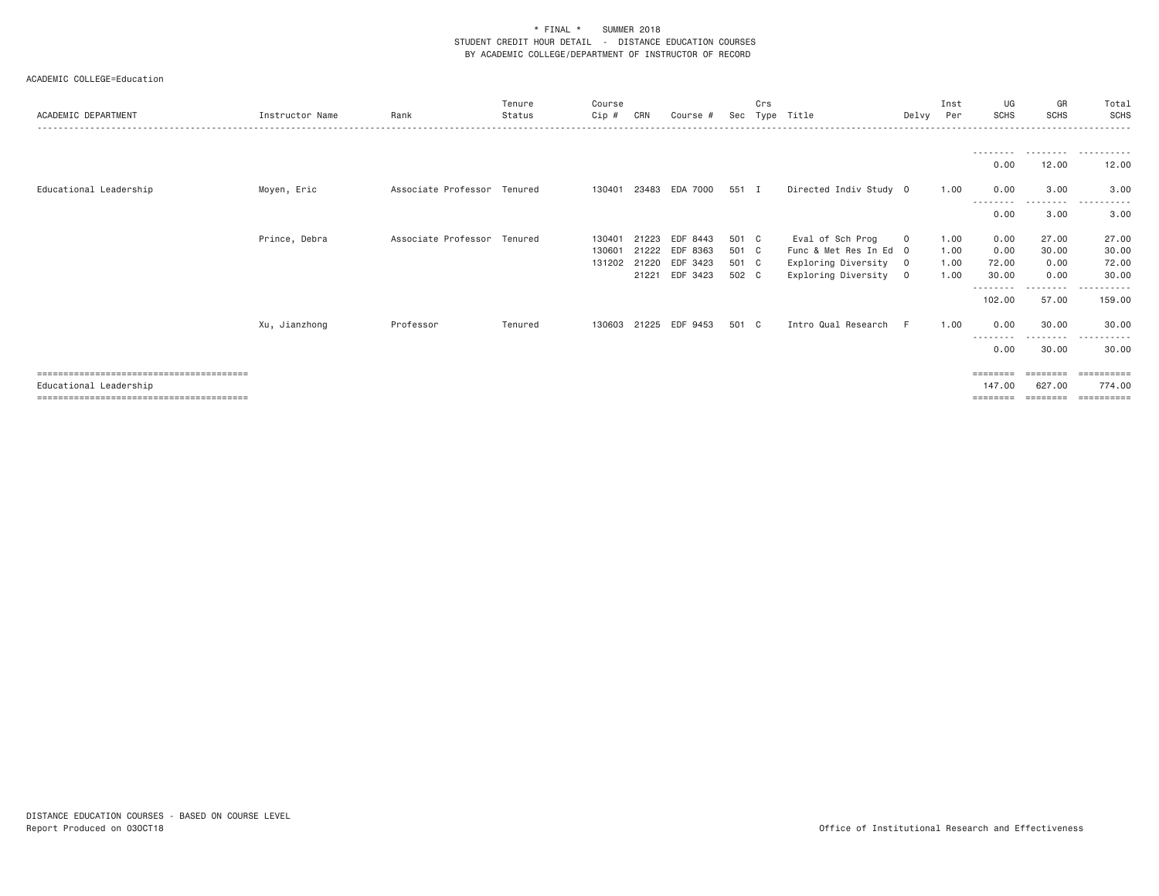| ACADEMIC DEPARTMENT    | Instructor Name | Rank                        | Tenure<br>Status | Course<br>Cip# | CRN   | Course #       | Sec   | Crs | Type Title             | Delvy                   | Inst<br>Per | UG<br><b>SCHS</b> | GR<br><b>SCHS</b>  | Total<br><b>SCHS</b> |
|------------------------|-----------------|-----------------------------|------------------|----------------|-------|----------------|-------|-----|------------------------|-------------------------|-------------|-------------------|--------------------|----------------------|
|                        |                 |                             |                  |                |       |                |       |     |                        |                         |             | --------          | .                  | .                    |
|                        |                 |                             |                  |                |       |                |       |     |                        |                         |             | 0.00              | 12.00              | 12.00                |
| Educational Leadership | Moyen, Eric     | Associate Professor Tenured |                  | 130401         | 23483 | EDA 7000       | 551 I |     | Directed Indiv Study 0 |                         | 1.00        | 0.00<br>--------  | 3.00<br>. <b>.</b> | 3.00                 |
|                        |                 |                             |                  |                |       |                |       |     |                        |                         |             | 0.00              | 3.00               | 3.00                 |
|                        | Prince, Debra   | Associate Professor Tenured |                  | 130401         | 21223 | EDF 8443       | 501 C |     | Eval of Sch Prog       | $\mathbf 0$             | 1.00        | 0.00              | 27.00              | 27.00                |
|                        |                 |                             |                  | 130601         |       | 21222 EDF 8363 | 501 C |     | Func & Met Res In Ed 0 |                         | 1.00        | 0.00              | 30.00              | 30.00                |
|                        |                 |                             |                  | 131202         |       | 21220 EDF 3423 | 501 C |     | Exploring Diversity 0  |                         | 1.00        | 72.00             | 0.00               | 72.00                |
|                        |                 |                             |                  |                |       | 21221 EDF 3423 | 502 C |     | Exploring Diversity    | $\overline{\mathbf{0}}$ | 1.00        | 30.00<br>-------- | 0.00<br>---------  | 30,00<br>.           |
|                        |                 |                             |                  |                |       |                |       |     |                        |                         |             | 102.00            | 57.00              | 159,00               |
|                        | Xu, Jianzhong   | Professor                   | Tenured          | 130603         |       | 21225 EDF 9453 | 501 C |     | Intro Qual Research    | F.                      | 1,00        | 0.00<br>--------  | 30.00<br>--------- | 30.00<br>. <b>.</b>  |
|                        |                 |                             |                  |                |       |                |       |     |                        |                         |             | 0.00              | 30.00              | 30.00                |
|                        |                 |                             |                  |                |       |                |       |     |                        |                         |             | ========          | ========           | ==========           |
| Educational Leadership |                 |                             |                  |                |       |                |       |     |                        |                         |             | 147,00            | 627,00             | 774.00               |
|                        |                 |                             |                  |                |       |                |       |     |                        |                         |             | ========          | ========           | ==========           |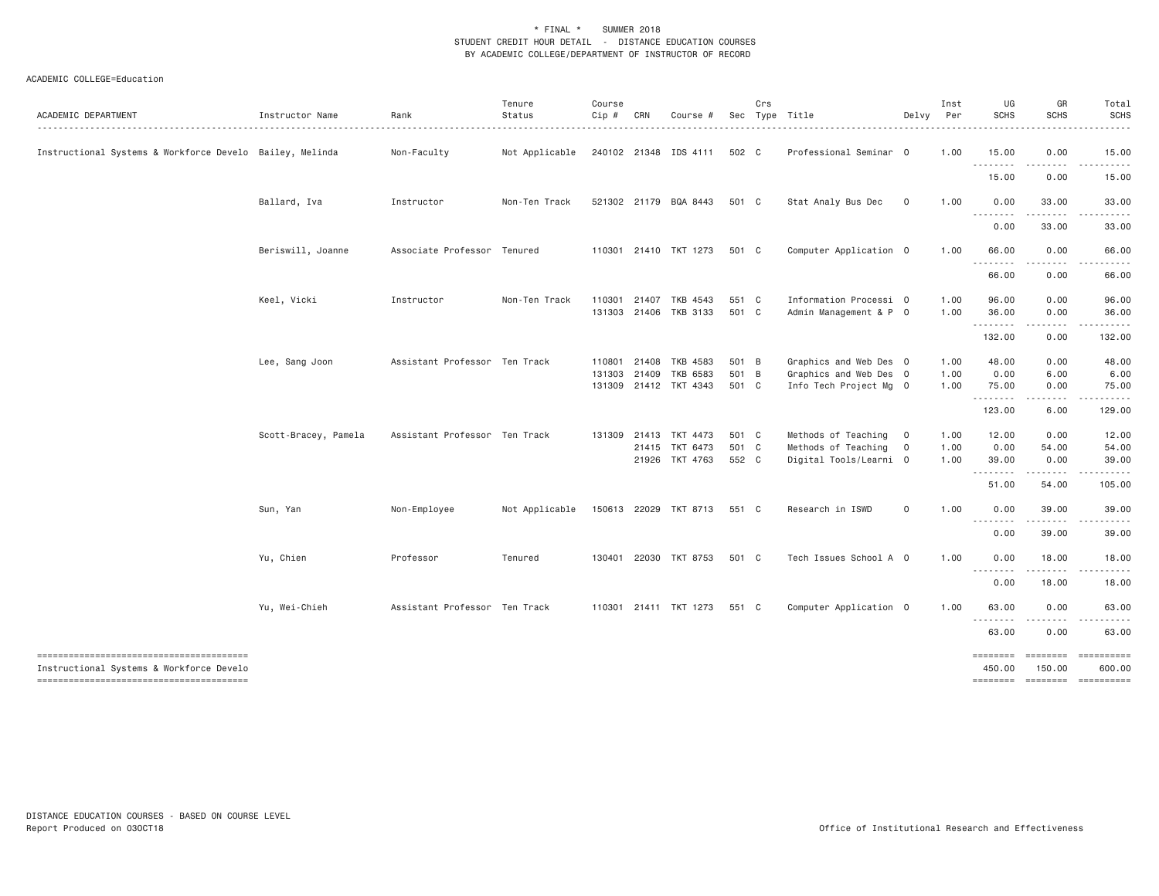| ACADEMIC DEPARTMENT                                      | Instructor Name      | Rank                          | Tenure<br>Status | Course<br>Cip # | CRN   | Course #                    |       | Crs | Sec Type Title         | Delvy        | Inst<br>Per | UG<br><b>SCHS</b>          | GR<br><b>SCHS</b>      | Total<br><b>SCHS</b>  |
|----------------------------------------------------------|----------------------|-------------------------------|------------------|-----------------|-------|-----------------------------|-------|-----|------------------------|--------------|-------------|----------------------------|------------------------|-----------------------|
| Instructional Systems & Workforce Develo Bailey, Melinda |                      | Non-Faculty                   | Not Applicable   |                 |       | 240102 21348 IDS 4111 502 C |       |     | Professional Seminar 0 |              | 1.00        | 15.00<br>.                 | 0.00<br>-----          | 15.00<br>------       |
|                                                          |                      |                               |                  |                 |       |                             |       |     |                        |              |             | 15.00                      | 0.00                   | 15.00                 |
|                                                          | Ballard, Iva         | Instructor                    | Non-Ten Track    |                 |       | 521302 21179 BQA 8443       | 501 C |     | Stat Analy Bus Dec     | $\mathbf{O}$ | 1.00        | 0.00<br>.<br>$\frac{1}{2}$ | 33.00                  | 33.00                 |
|                                                          |                      |                               |                  |                 |       |                             |       |     |                        |              |             | 0.00                       | 33.00                  | 33.00                 |
|                                                          | Beriswill, Joanne    | Associate Professor Tenured   |                  |                 |       | 110301 21410 TKT 1273       | 501 C |     | Computer Application 0 |              | 1.00        | 66.00<br>.                 | 0.00                   | 66.00                 |
|                                                          |                      |                               |                  |                 |       |                             |       |     |                        |              |             | 66.00                      | 0.00                   | 66.00                 |
|                                                          | Keel, Vicki          | Instructor                    | Non-Ten Track    | 110301          | 21407 | TKB 4543                    | 551 C |     | Information Processi 0 |              | 1.00        | 96.00                      | 0.00                   | 96.00                 |
|                                                          |                      |                               |                  |                 |       | 131303 21406 TKB 3133       | 501 C |     | Admin Management & P 0 |              | 1.00        | 36.00<br>.                 | 0.00<br>.              | 36.00<br>- - - - - -  |
|                                                          |                      |                               |                  |                 |       |                             |       |     |                        |              |             | 132.00                     | 0.00                   | 132.00                |
|                                                          | Lee, Sang Joon       | Assistant Professor Ten Track |                  | 110801          | 21408 | TKB 4583                    | 501 B |     | Graphics and Web Des 0 |              | 1.00        | 48.00                      | 0.00                   | 48.00                 |
|                                                          |                      |                               |                  | 131303          | 21409 | TKB 6583                    | 501 B |     | Graphics and Web Des 0 |              | 1.00        | 0.00                       | 6.00                   | 6.00                  |
|                                                          |                      |                               |                  |                 |       | 131309 21412 TKT 4343       | 501 C |     | Info Tech Project Mg 0 |              | 1.00        | 75.00<br>--------          | 0.00                   | 75.00                 |
|                                                          |                      |                               |                  |                 |       |                             |       |     |                        |              |             | 123.00                     | 6.00                   | 129.00                |
|                                                          | Scott-Bracey, Pamela | Assistant Professor Ten Track |                  | 131309 21413    |       | TKT 4473                    | 501 C |     | Methods of Teaching 0  |              | 1.00        | 12.00                      | 0.00                   | 12.00                 |
|                                                          |                      |                               |                  |                 |       | 21415 TKT 6473              | 501 C |     | Methods of Teaching 0  |              | 1.00        | 0.00                       | 54.00                  | 54.00                 |
|                                                          |                      |                               |                  |                 |       | 21926 TKT 4763              | 552 C |     | Digital Tools/Learni 0 |              | 1.00        | 39.00<br><u>.</u>          | 0.00                   | 39.00                 |
|                                                          |                      |                               |                  |                 |       |                             |       |     |                        |              |             | 51.00                      | 54.00                  | 105.00                |
|                                                          | Sun, Yan             | Non-Employee                  | Not Applicable   |                 |       | 150613 22029 TKT 8713       | 551 C |     | Research in ISWD       | 0            | 1.00        | 0.00                       | 39.00                  | 39.00                 |
|                                                          |                      |                               |                  |                 |       |                             |       |     |                        |              |             | 0.00                       | .<br>39.00             | 39.00                 |
|                                                          | Yu, Chien            | Professor                     | Tenured          |                 |       | 130401 22030 TKT 8753       | 501 C |     | Tech Issues School A 0 |              | 1.00        | 0.00                       | 18.00                  | 18.00                 |
|                                                          |                      |                               |                  |                 |       |                             |       |     |                        |              |             | .<br>0.00                  | .<br>18.00             | 18.00                 |
|                                                          | Yu, Wei-Chieh        | Assistant Professor Ten Track |                  |                 |       | 110301 21411 TKT 1273       | 551 C |     | Computer Application 0 |              | 1.00        | 63.00                      | 0.00                   | 63.00                 |
|                                                          |                      |                               |                  |                 |       |                             |       |     |                        |              |             | .<br>63.00                 | 0.00                   | 63.00                 |
| --------------------------------------                   |                      |                               |                  |                 |       |                             |       |     |                        |              |             | ========                   | $= 222222222$          |                       |
| Instructional Systems & Workforce Develo                 |                      |                               |                  |                 |       |                             |       |     |                        |              |             | 450.00<br>========         | 150.00<br>$=$ ======== | 600.00<br>----------- |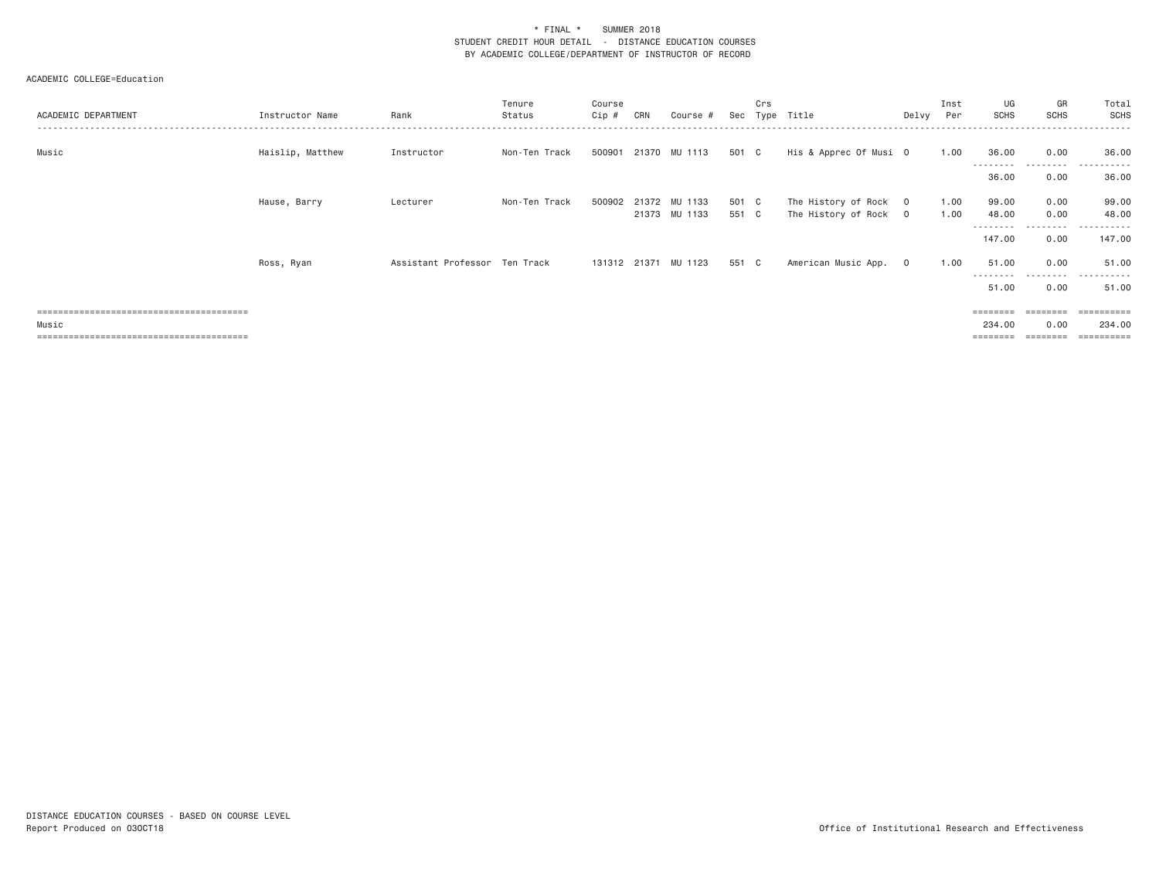| ACADEMIC DEPARTMENT | Instructor Name  | Rank                          | Tenure<br>Status | Course<br>$Cip$ # | CRN | Course #                              | Sec            | Crs | Type Title                                     | Delvy   | Inst<br>Per  | UG<br><b>SCHS</b>   | GR<br><b>SCHS</b> | Total<br>SCHS           |
|---------------------|------------------|-------------------------------|------------------|-------------------|-----|---------------------------------------|----------------|-----|------------------------------------------------|---------|--------------|---------------------|-------------------|-------------------------|
| Music               | Haislip, Matthew | Instructor                    | Non-Ten Track    | 500901            |     | 21370 MU 1113                         | 501 C          |     | His & Apprec Of Musi O                         |         | 1.00         | 36.00               | 0.00<br>--------- | 36.00                   |
|                     |                  |                               |                  |                   |     |                                       |                |     |                                                |         |              | 36.00               | 0.00              | 36.00                   |
|                     | Hause, Barry     | Lecturer                      | Non-Ten Track    |                   |     | 500902 21372 MU 1133<br>21373 MU 1133 | 501 C<br>551 C |     | The History of Rock 0<br>The History of Rock 0 |         | 1.00<br>1.00 | 99.00<br>48.00      | 0.00<br>0.00      | 99.00<br>48.00          |
|                     |                  |                               |                  |                   |     |                                       |                |     |                                                |         |              | ---------<br>147.00 | ---------<br>0.00 | .<br>147.00             |
|                     | Ross, Ryan       | Assistant Professor Ten Track |                  | 131312 21371      |     | MU 1123                               | 551 C          |     | American Music App.                            | $\circ$ | 1.00         | 51.00               | 0.00              | 51.00                   |
|                     |                  |                               |                  |                   |     |                                       |                |     |                                                |         |              | 51.00               | .<br>0.00         | 51.00                   |
|                     |                  |                               |                  |                   |     |                                       |                |     |                                                |         |              | ========            |                   | $=$ = = = = = = = = $=$ |
| Music               |                  |                               |                  |                   |     |                                       |                |     |                                                |         |              | 234,00<br>=======   | 0.00              | 234,00<br>======        |
|                     |                  |                               |                  |                   |     |                                       |                |     |                                                |         |              |                     |                   |                         |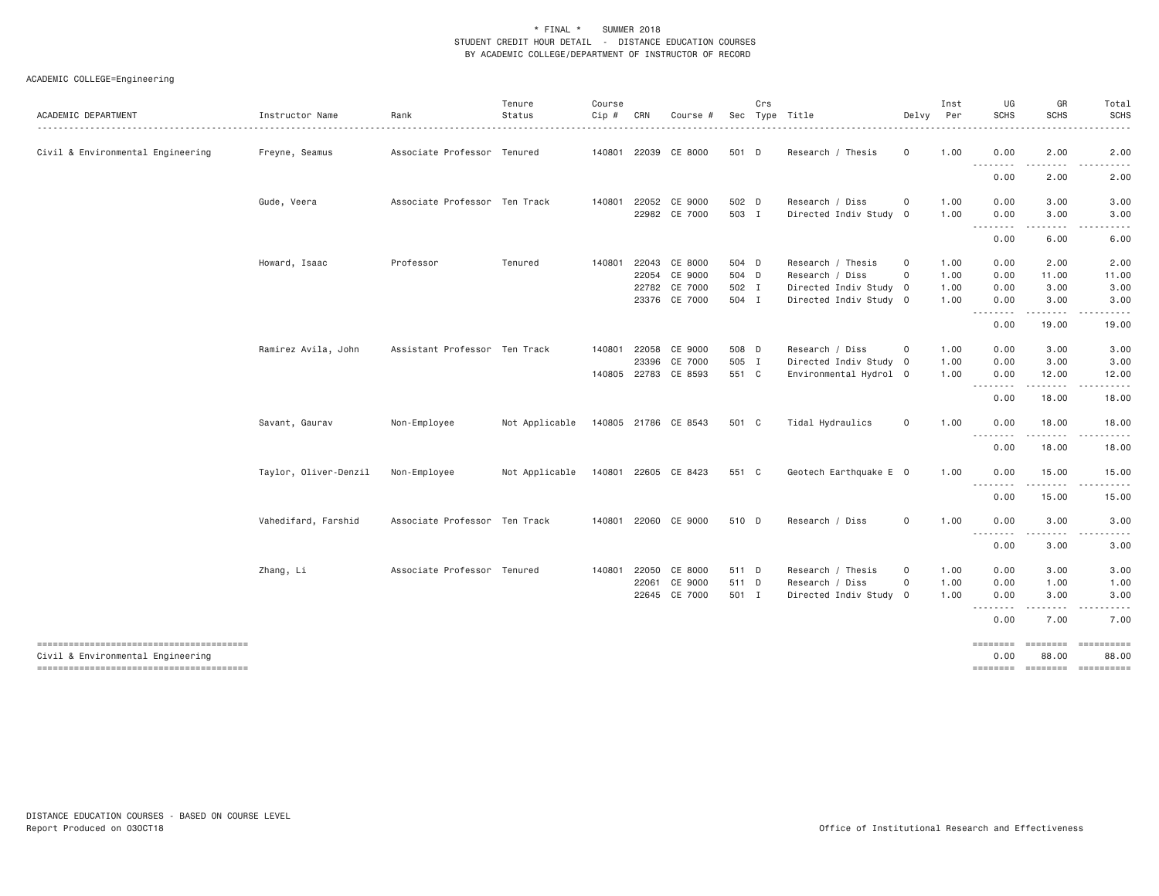| ACADEMIC DEPARTMENT                                                         | Instructor Name       | Rank                          | Tenure<br>Status | Course<br>Cip # | CRN   | Course #                        |                | Crs | Sec Type Title                                   | Delvy                      | Inst<br>Per  | UG<br><b>SCHS</b>                                                                                                                                                                                                                                                                                                                                                                                                                                                                                      | GR<br><b>SCHS</b>        | Total<br>SCHS                                                                                                                                                                                                                                                                                                                                                                                                                                                                                  |
|-----------------------------------------------------------------------------|-----------------------|-------------------------------|------------------|-----------------|-------|---------------------------------|----------------|-----|--------------------------------------------------|----------------------------|--------------|--------------------------------------------------------------------------------------------------------------------------------------------------------------------------------------------------------------------------------------------------------------------------------------------------------------------------------------------------------------------------------------------------------------------------------------------------------------------------------------------------------|--------------------------|------------------------------------------------------------------------------------------------------------------------------------------------------------------------------------------------------------------------------------------------------------------------------------------------------------------------------------------------------------------------------------------------------------------------------------------------------------------------------------------------|
| Civil & Environmental Engineering                                           | Freyne, Seamus        | Associate Professor Tenured   |                  |                 |       | 140801 22039 CE 8000            | 501 D          |     | Research / Thesis                                | $\mathbf 0$                | 1.00         | 0.00                                                                                                                                                                                                                                                                                                                                                                                                                                                                                                   | 2.00                     | 2.00                                                                                                                                                                                                                                                                                                                                                                                                                                                                                           |
|                                                                             |                       |                               |                  |                 |       |                                 |                |     |                                                  |                            |              | .<br>0.00                                                                                                                                                                                                                                                                                                                                                                                                                                                                                              | $- - - -$<br>2.00        | .<br>2.00                                                                                                                                                                                                                                                                                                                                                                                                                                                                                      |
|                                                                             | Gude, Veera           | Associate Professor Ten Track |                  | 140801          |       | 22052 CE 9000<br>22982 CE 7000  | 502 D<br>503 I |     | Research / Diss<br>Directed Indiv Study 0        | $\mathbf 0$                | 1.00<br>1.00 | 0.00<br>0.00                                                                                                                                                                                                                                                                                                                                                                                                                                                                                           | 3.00<br>3.00             | 3.00<br>3.00                                                                                                                                                                                                                                                                                                                                                                                                                                                                                   |
|                                                                             |                       |                               |                  |                 |       |                                 |                |     |                                                  |                            |              | .<br>0.00                                                                                                                                                                                                                                                                                                                                                                                                                                                                                              | .<br>6.00                | $\begin{array}{cccccccccccccc} \multicolumn{2}{c}{} & \multicolumn{2}{c}{} & \multicolumn{2}{c}{} & \multicolumn{2}{c}{} & \multicolumn{2}{c}{} & \multicolumn{2}{c}{} & \multicolumn{2}{c}{} & \multicolumn{2}{c}{} & \multicolumn{2}{c}{} & \multicolumn{2}{c}{} & \multicolumn{2}{c}{} & \multicolumn{2}{c}{} & \multicolumn{2}{c}{} & \multicolumn{2}{c}{} & \multicolumn{2}{c}{} & \multicolumn{2}{c}{} & \multicolumn{2}{c}{} & \multicolumn{2}{c}{} & \multicolumn{2}{c}{} & \$<br>6.00 |
|                                                                             | Howard, Isaac         | Professor                     | Tenured          | 140801          |       | 22043 CE 8000<br>22054 CE 9000  | 504 D<br>504 D |     | Research / Thesis<br>Research / Diss             | $\mathbf 0$<br>$\mathbf 0$ | 1.00<br>1.00 | 0.00<br>0.00                                                                                                                                                                                                                                                                                                                                                                                                                                                                                           | 2.00<br>11.00            | 2.00<br>11.00                                                                                                                                                                                                                                                                                                                                                                                                                                                                                  |
|                                                                             |                       |                               |                  |                 |       | 22782 CE 7000<br>23376 CE 7000  | 502 I<br>504 I |     | Directed Indiv Study 0<br>Directed Indiv Study 0 |                            | 1.00<br>1.00 | 0.00<br>0.00<br>$\begin{array}{cccccccccccccc} \multicolumn{2}{c}{} & \multicolumn{2}{c}{} & \multicolumn{2}{c}{} & \multicolumn{2}{c}{} & \multicolumn{2}{c}{} & \multicolumn{2}{c}{} & \multicolumn{2}{c}{} & \multicolumn{2}{c}{} & \multicolumn{2}{c}{} & \multicolumn{2}{c}{} & \multicolumn{2}{c}{} & \multicolumn{2}{c}{} & \multicolumn{2}{c}{} & \multicolumn{2}{c}{} & \multicolumn{2}{c}{} & \multicolumn{2}{c}{} & \multicolumn{2}{c}{} & \multicolumn{2}{c}{} & \multicolumn{2}{c}{} & \$ | 3.00<br>3.00<br><u>.</u> | 3.00<br>3.00<br>.                                                                                                                                                                                                                                                                                                                                                                                                                                                                              |
|                                                                             |                       |                               |                  |                 |       |                                 |                |     |                                                  |                            |              | 0.00                                                                                                                                                                                                                                                                                                                                                                                                                                                                                                   | 19.00                    | 19.00                                                                                                                                                                                                                                                                                                                                                                                                                                                                                          |
|                                                                             | Ramirez Avila, John   | Assistant Professor Ten Track |                  | 140801          |       | 22058 CE 9000                   | 508 D          |     | Research / Diss                                  | 0                          | 1.00         | 0.00                                                                                                                                                                                                                                                                                                                                                                                                                                                                                                   | 3.00                     | 3.00                                                                                                                                                                                                                                                                                                                                                                                                                                                                                           |
|                                                                             |                       |                               |                  |                 | 23396 | CE 7000<br>140805 22783 CE 8593 | 505 I<br>551 C |     | Directed Indiv Study 0<br>Environmental Hydrol 0 |                            | 1.00<br>1.00 | 0.00<br>0.00                                                                                                                                                                                                                                                                                                                                                                                                                                                                                           | 3.00<br>12.00            | 3.00<br>12.00                                                                                                                                                                                                                                                                                                                                                                                                                                                                                  |
|                                                                             |                       |                               |                  |                 |       |                                 |                |     |                                                  |                            |              | .<br>0.00                                                                                                                                                                                                                                                                                                                                                                                                                                                                                              | <u>.</u><br>18.00        | .<br>18.00                                                                                                                                                                                                                                                                                                                                                                                                                                                                                     |
|                                                                             | Savant, Gaurav        | Non-Employee                  | Not Applicable   |                 |       | 140805 21786 CE 8543            | 501 C          |     | Tidal Hydraulics                                 | $\mathbf 0$                | 1.00         | 0.00<br>.                                                                                                                                                                                                                                                                                                                                                                                                                                                                                              | 18.00<br>.               | 18.00<br>.                                                                                                                                                                                                                                                                                                                                                                                                                                                                                     |
|                                                                             |                       |                               |                  |                 |       |                                 |                |     |                                                  |                            |              | 0.00                                                                                                                                                                                                                                                                                                                                                                                                                                                                                                   | 18.00                    | 18.00                                                                                                                                                                                                                                                                                                                                                                                                                                                                                          |
|                                                                             | Taylor, Oliver-Denzil | Non-Employee                  | Not Applicable   |                 |       | 140801 22605 CE 8423            | 551 C          |     | Geotech Earthquake E 0                           |                            | 1.00         | 0.00<br><u>.</u>                                                                                                                                                                                                                                                                                                                                                                                                                                                                                       | 15.00<br>.               | 15.00                                                                                                                                                                                                                                                                                                                                                                                                                                                                                          |
|                                                                             |                       |                               |                  |                 |       |                                 |                |     |                                                  |                            |              | 0.00                                                                                                                                                                                                                                                                                                                                                                                                                                                                                                   | 15.00                    | 15.00                                                                                                                                                                                                                                                                                                                                                                                                                                                                                          |
|                                                                             | Vahedifard, Farshid   | Associate Professor Ten Track |                  |                 |       | 140801 22060 CE 9000            | 510 D          |     | Research / Diss                                  | $\circ$                    | 1.00         | 0.00<br>--------                                                                                                                                                                                                                                                                                                                                                                                                                                                                                       | 3.00                     | 3.00                                                                                                                                                                                                                                                                                                                                                                                                                                                                                           |
|                                                                             |                       |                               |                  |                 |       |                                 |                |     |                                                  |                            |              | 0.00                                                                                                                                                                                                                                                                                                                                                                                                                                                                                                   | 3.00                     | 3.00                                                                                                                                                                                                                                                                                                                                                                                                                                                                                           |
|                                                                             | Zhang, Li             | Associate Professor Tenured   |                  | 140801          |       | 22050 CE 8000                   | 511 D          |     | Research / Thesis                                | 0                          | 1.00         | 0.00                                                                                                                                                                                                                                                                                                                                                                                                                                                                                                   | 3.00                     | 3.00                                                                                                                                                                                                                                                                                                                                                                                                                                                                                           |
|                                                                             |                       |                               |                  |                 | 22061 | CE 9000<br>22645 CE 7000        | 511 D<br>501 I |     | Research / Diss<br>Directed Indiv Study 0        | $\mathbf 0$                | 1.00<br>1.00 | 0.00<br>0.00                                                                                                                                                                                                                                                                                                                                                                                                                                                                                           | 1.00<br>3.00             | 1.00<br>3.00                                                                                                                                                                                                                                                                                                                                                                                                                                                                                   |
|                                                                             |                       |                               |                  |                 |       |                                 |                |     |                                                  |                            |              | .<br>0.00                                                                                                                                                                                                                                                                                                                                                                                                                                                                                              | .<br>7.00                | .<br>7.00                                                                                                                                                                                                                                                                                                                                                                                                                                                                                      |
|                                                                             |                       |                               |                  |                 |       |                                 |                |     |                                                  |                            |              | $=$ =======                                                                                                                                                                                                                                                                                                                                                                                                                                                                                            | ========                 | ==========                                                                                                                                                                                                                                                                                                                                                                                                                                                                                     |
| Civil & Environmental Engineering<br>-------------------------------------- |                       |                               |                  |                 |       |                                 |                |     |                                                  |                            |              | 0.00                                                                                                                                                                                                                                                                                                                                                                                                                                                                                                   | 88.00                    | 88.00<br>======== ======== =========                                                                                                                                                                                                                                                                                                                                                                                                                                                           |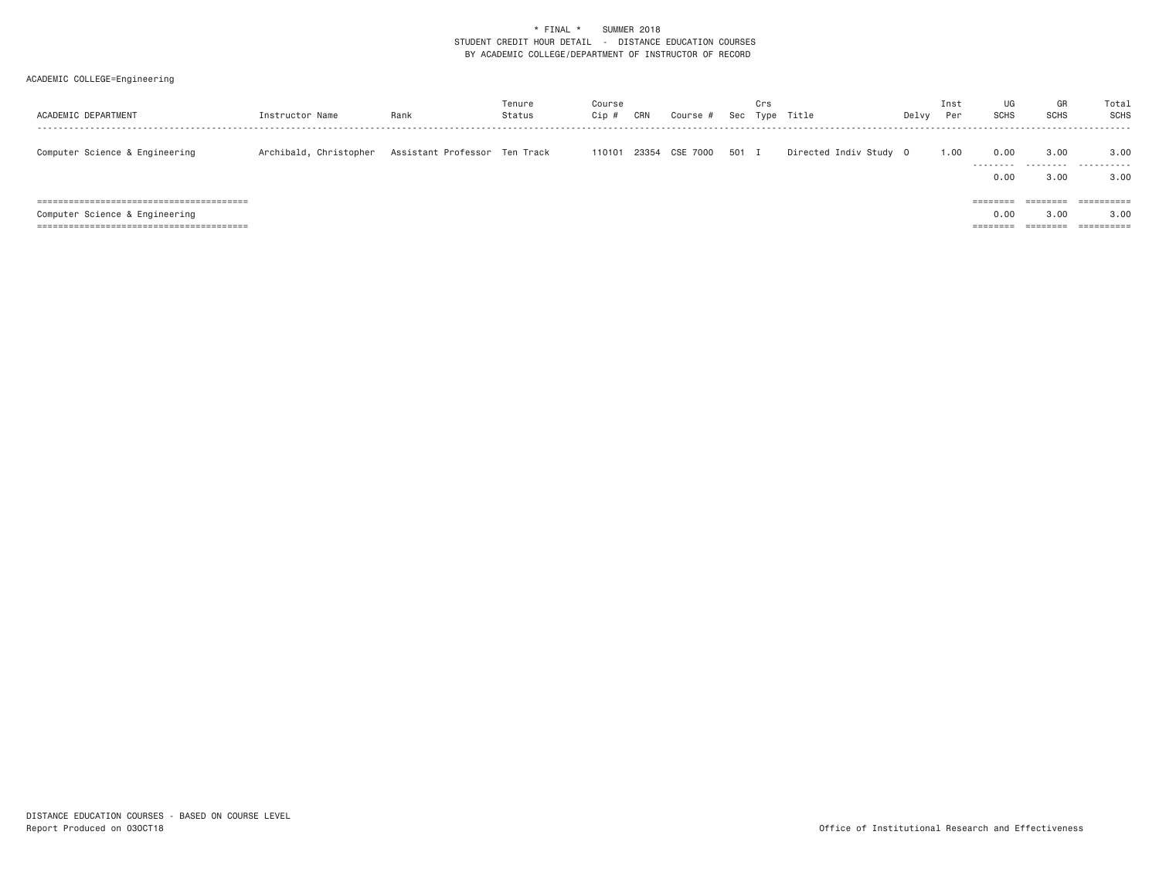| ACADEMIC DEPARTMENT            | Instructor Name        | Rank                          | Tenure<br>Status | Course<br>Cip | CRN | Course #       | Sec   | Crs<br>Type | Title                  | Delvy | Inst<br>Per | UG<br><b>SCHS</b>                                 | GR<br><b>SCHS</b>                                    | Total<br>SCHS                               |
|--------------------------------|------------------------|-------------------------------|------------------|---------------|-----|----------------|-------|-------------|------------------------|-------|-------------|---------------------------------------------------|------------------------------------------------------|---------------------------------------------|
| Computer Science & Engineering | Archibald, Christopher | Assistant Professor Ten Track |                  | 110101        |     | 23354 CSE 7000 | 501 I |             | Directed Indiv Study 0 |       | 1.00        | 0.00<br>.<br>0.00                                 | 3,00<br>.<br>3.00                                    | 3,00<br>.<br>3,00                           |
| Computer Science & Engineering |                        |                               |                  |               |     |                |       |             |                        |       |             | $=$ = = = = = = =<br>0.00<br>--------<br>-------- | ________<br>________<br>3.00<br>________<br>-------- | ==========<br>3.00<br>$=$ = = = = = = = = = |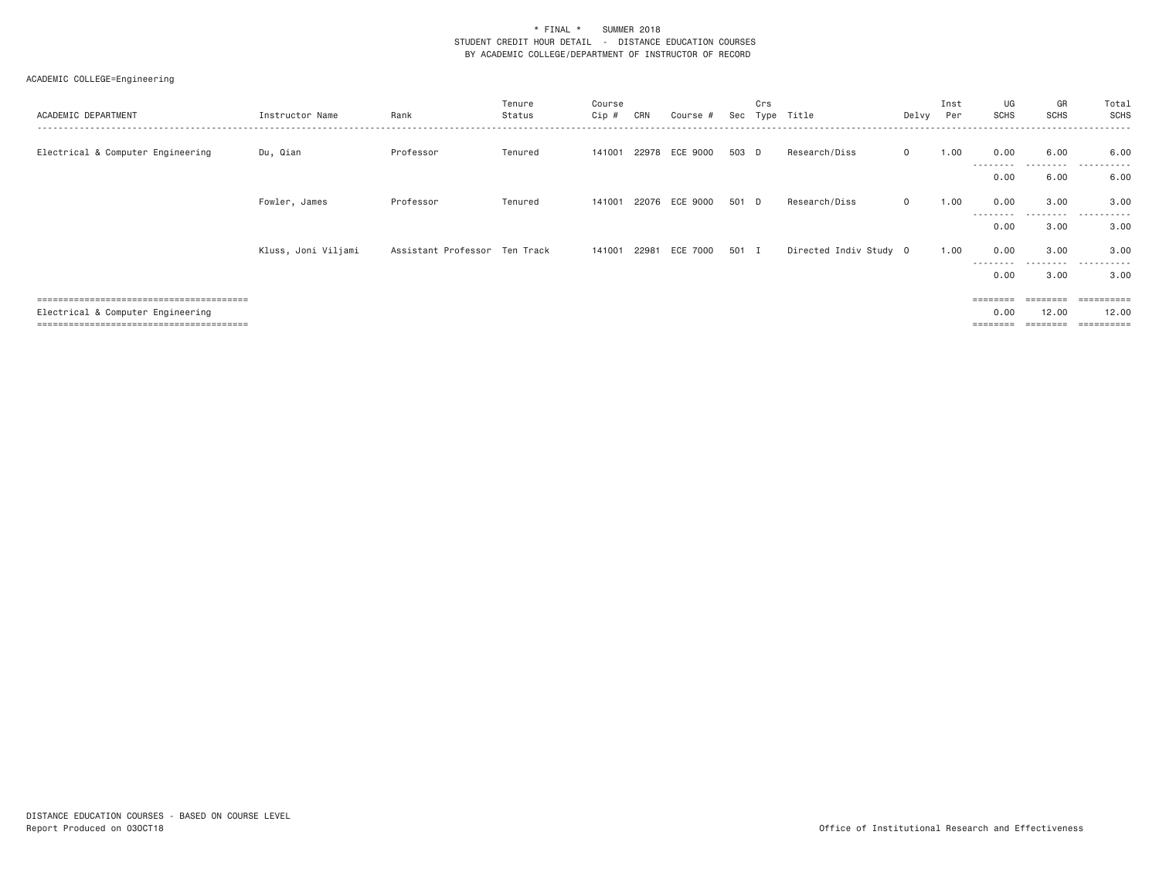| ACADEMIC DEPARTMENT               | Instructor Name     | Rank                          | Tenure<br>Status | Course<br>Cip # | CRN | Course #       | Sec   | Crs<br>Type  | Title                  | Delvy        | Inst<br>Per | UG<br>SCHS        | GR<br><b>SCHS</b> | Total<br>SCHS         |
|-----------------------------------|---------------------|-------------------------------|------------------|-----------------|-----|----------------|-------|--------------|------------------------|--------------|-------------|-------------------|-------------------|-----------------------|
| Electrical & Computer Engineering | Du, Qian            | Professor                     | Tenured          | 141001          |     | 22978 ECE 9000 | 503 D |              | Research/Diss          | $\circ$      | 1.00        | 0.00<br>--------- | 6.00<br>.         | 6.00<br>.             |
|                                   |                     |                               |                  |                 |     |                |       |              |                        |              |             | 0.00              | 6.00              | 6.00                  |
|                                   | Fowler, James       | Professor                     | Tenured          | 141001          |     | 22076 ECE 9000 | 501 D |              | Research/Diss          | $\mathbf{0}$ | 1.00        | 0.00              | 3.00              | 3.00                  |
|                                   |                     |                               |                  |                 |     |                |       |              |                        |              | ---------   | 0.00              | ------<br>3.00    | .<br>3.00             |
|                                   | Kluss, Joni Viljami | Assistant Professor Ten Track |                  | 141001          |     | 22981 ECE 7000 | 501   | $\mathbf{I}$ | Directed Indiv Study 0 |              | 1.00        | 0.00              | 3.00              | 3.00                  |
|                                   |                     |                               |                  |                 |     |                |       |              |                        |              | ---------   | 0.00              | ---------<br>3.00 | $\cdots$<br>3.00      |
|                                   |                     |                               |                  |                 |     |                |       |              |                        |              |             |                   |                   | $=$ = = = = = = = =   |
| Electrical & Computer Engineering |                     |                               |                  |                 |     |                |       |              |                        |              |             | 0.00              | 12.00             | 12.00                 |
|                                   |                     |                               |                  |                 |     |                |       |              |                        |              | ========    |                   |                   | $=$ = = = = = = = = = |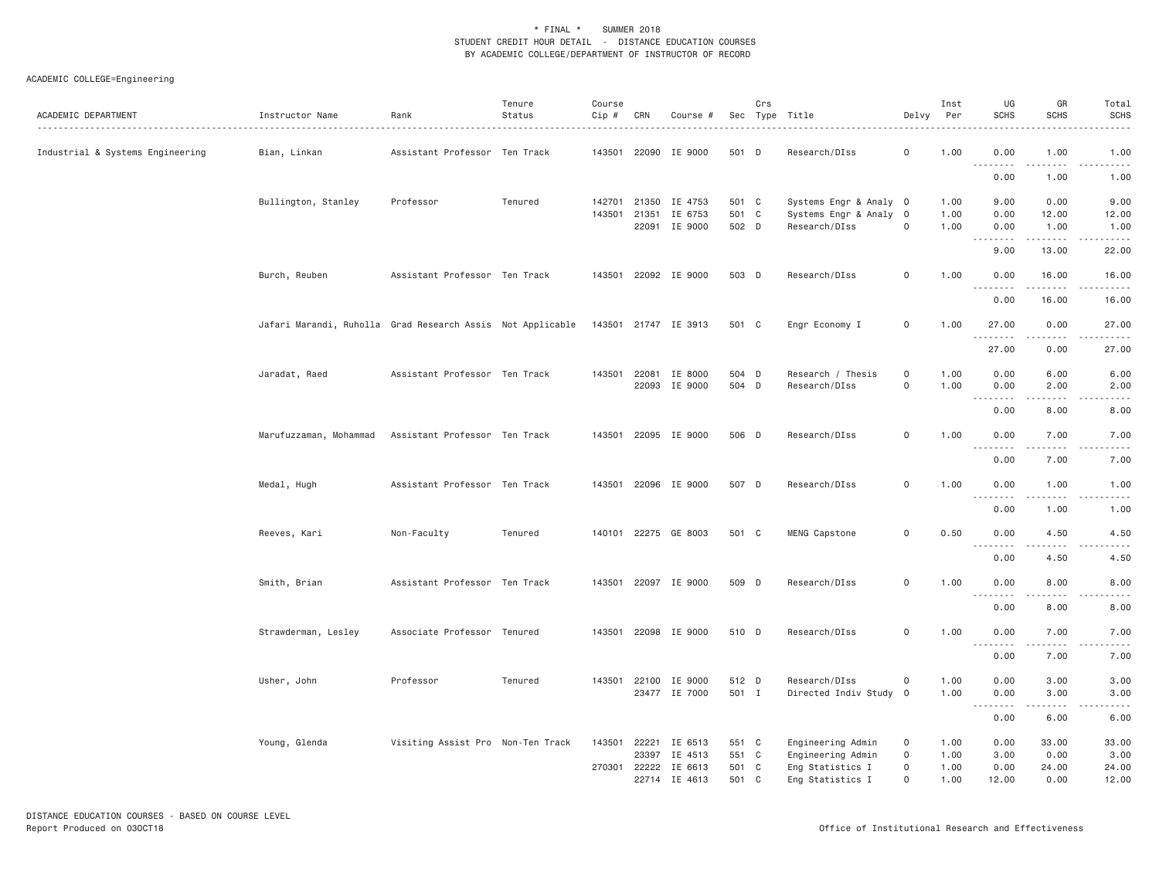| ACADEMIC DEPARTMENT              | Instructor Name                                            | Rank                              | Tenure<br>Status | Course<br>Cip #  | CRN            | Course #                                        |                         | Crs            | Sec Type Title<br>.                                        | Delvy                                     | Inst<br>Per          | UG<br><b>SCHS</b>    | GR<br><b>SCHS</b>                   | Total<br><b>SCHS</b><br>$- - - -$                                                                                                                             |
|----------------------------------|------------------------------------------------------------|-----------------------------------|------------------|------------------|----------------|-------------------------------------------------|-------------------------|----------------|------------------------------------------------------------|-------------------------------------------|----------------------|----------------------|-------------------------------------|---------------------------------------------------------------------------------------------------------------------------------------------------------------|
| Industrial & Systems Engineering | Bian, Linkan                                               | Assistant Professor Ten Track     |                  |                  |                | 143501 22090 IE 9000                            | 501 D                   |                | Research/DIss                                              | $\mathsf{o}$                              | 1.00                 | 0.00<br>.            | 1.00<br>$\sim$ $\sim$ $\sim$        | 1.00<br>$\frac{1}{2} \left( \frac{1}{2} \right) \left( \frac{1}{2} \right) \left( \frac{1}{2} \right) \left( \frac{1}{2} \right) \left( \frac{1}{2} \right)$  |
|                                  |                                                            |                                   |                  |                  |                |                                                 |                         |                |                                                            |                                           |                      | 0.00                 | 1.00                                | 1.00                                                                                                                                                          |
|                                  | Bullington, Stanley                                        | Professor                         | Tenured          | 142701<br>143501 | 21350<br>21351 | IE 4753<br>IE 6753                              | 501 C<br>501 C          |                | Systems Engr & Analy 0<br>Systems Engr & Analy             | $\overline{0}$                            | 1.00<br>1.00         | 9.00<br>0.00         | 0.00<br>12.00                       | 9.00<br>12.00                                                                                                                                                 |
|                                  |                                                            |                                   |                  |                  |                | 22091 IE 9000                                   | 502 D                   |                | Research/DIss                                              | $\mathbf 0$                               | 1.00                 | 0.00<br>.            | 1.00<br>.                           | 1.00<br>$- - - - -$                                                                                                                                           |
|                                  | Burch, Reuben                                              | Assistant Professor Ten Track     |                  |                  |                | 143501 22092 IE 9000                            | 503 D                   |                | Research/DIss                                              | $\mathsf{o}$                              | 1.00                 | 9.00<br>0.00         | 13.00<br>16.00                      | 22.00<br>16.00                                                                                                                                                |
|                                  |                                                            |                                   |                  |                  |                |                                                 |                         |                |                                                            |                                           |                      | 0.00                 | .<br>16.00                          | $\frac{1}{2} \left( \frac{1}{2} \right) \left( \frac{1}{2} \right) \left( \frac{1}{2} \right) \left( \frac{1}{2} \right) \left( \frac{1}{2} \right)$<br>16.00 |
|                                  | Jafari Marandi, Ruholla Grad Research Assis Not Applicable |                                   |                  |                  |                | 143501 21747 IE 3913                            | 501 C                   |                | Engr Economy I                                             | $\mathbf 0$                               | 1.00                 | 27.00<br>.           | 0.00                                | 27.00<br>.                                                                                                                                                    |
|                                  |                                                            |                                   |                  |                  |                |                                                 |                         |                |                                                            |                                           |                      | 27.00                | 0.00                                | 27.00                                                                                                                                                         |
|                                  | Jaradat, Raed                                              | Assistant Professor Ten Track     |                  | 143501           | 22081          | IE 8000<br>22093 IE 9000                        | 504 D<br>504 D          |                | Research / Thesis<br>Research/DIss                         | $\mathbf 0$<br>$\mathsf{O}$               | 1.00<br>1.00         | 0.00<br>0.00         | 6.00<br>2,00                        | 6.00<br>2.00                                                                                                                                                  |
|                                  |                                                            |                                   |                  |                  |                |                                                 |                         |                |                                                            |                                           |                      | .<br>0.00            | .<br>8.00                           | -----<br>8.00                                                                                                                                                 |
|                                  | Marufuzzaman, Mohammad                                     | Assistant Professor Ten Track     |                  |                  |                | 143501 22095 IE 9000                            | 506 D                   |                | Research/DIss                                              | $\mathbf 0$                               | 1.00                 | 0.00                 | 7.00                                | 7.00<br>$- - - -$                                                                                                                                             |
|                                  |                                                            |                                   |                  |                  |                |                                                 |                         |                |                                                            |                                           |                      | 0.00                 | 7.00                                | 7.00                                                                                                                                                          |
|                                  | Medal, Hugh                                                | Assistant Professor Ten Track     |                  | 143501           |                | 22096 IE 9000                                   | 507 D                   |                | Research/DIss                                              | $\mathsf{o}$                              | 1.00                 | 0.00                 | 1.00<br>$\sim$ $\sim$ $\sim$ $\sim$ | 1.00<br>.                                                                                                                                                     |
|                                  |                                                            |                                   |                  |                  |                |                                                 |                         |                |                                                            |                                           |                      | 0.00                 | 1.00                                | 1.00                                                                                                                                                          |
|                                  | Reeves, Kari                                               | Non-Faculty                       | Tenured          |                  |                | 140101 22275 GE 8003                            | 501 C                   |                | MENG Capstone                                              | $\mathsf{O}$                              | 0.50                 | 0.00<br>.            | 4.50<br>.                           | 4.50<br>-----                                                                                                                                                 |
|                                  |                                                            |                                   |                  |                  |                |                                                 |                         |                |                                                            |                                           |                      | 0.00                 | 4.50                                | 4.50                                                                                                                                                          |
|                                  | Smith, Brian                                               | Assistant Professor Ten Track     |                  |                  |                | 143501 22097 IE 9000                            | 509 D                   |                | Research/DIss                                              | $\mathsf{o}$                              | 1.00                 | 0.00<br>.            | 8.00<br>. <u>. .</u>                | 8.00<br>$\frac{1}{2}$                                                                                                                                         |
|                                  |                                                            |                                   |                  |                  |                |                                                 |                         |                |                                                            |                                           |                      | 0.00                 | 8.00                                | 8.00                                                                                                                                                          |
|                                  | Strawderman, Lesley                                        | Associate Professor Tenured       |                  | 143501           |                | 22098 IE 9000                                   | 510 D                   |                | Research/DIss                                              | $\mathsf{o}$                              | 1.00                 | 0.00<br>.            | 7.00<br>$\sim$ $\sim$ $\sim$ $\sim$ | 7.00                                                                                                                                                          |
|                                  |                                                            |                                   |                  |                  |                |                                                 |                         |                |                                                            |                                           |                      | 0.00                 | 7.00                                | 7.00                                                                                                                                                          |
|                                  | Usher, John                                                | Professor                         | Tenured          | 143501           |                | 22100 IE 9000<br>23477 IE 7000                  | 512 D<br>501 I          |                | Research/DIss<br>Directed Indiv Study 0                    | $\mathbf 0$                               | 1.00<br>1.00         | 0.00<br>0.00         | 3.00<br>3.00                        | 3.00<br>3.00                                                                                                                                                  |
|                                  |                                                            |                                   |                  |                  |                |                                                 |                         |                |                                                            |                                           |                      | .<br>0.00            | .<br>6.00                           | $\frac{1}{2} \left( \frac{1}{2} \right) \left( \frac{1}{2} \right) \left( \frac{1}{2} \right) \left( \frac{1}{2} \right) \left( \frac{1}{2} \right)$<br>6.00  |
|                                  | Young, Glenda                                              | Visiting Assist Pro Non-Ten Track |                  | 143501<br>270301 |                | 22221 IE 6513<br>23397 IE 4513<br>22222 IE 6613 | 551 C<br>551 C<br>501 C |                | Engineering Admin<br>Engineering Admin<br>Eng Statistics I | $\mathbf 0$<br>$\mathbf 0$<br>$\mathbf 0$ | 1.00<br>1.00<br>1.00 | 0.00<br>3.00<br>0.00 | 33.00<br>0.00<br>24.00              | 33.00<br>3.00<br>24.00                                                                                                                                        |
|                                  |                                                            |                                   |                  |                  |                | 22714 IE 4613                                   | 501                     | C <sub>1</sub> | Eng Statistics I                                           | $\circ$                                   | 1.00                 | 12.00                | 0.00                                | 12.00                                                                                                                                                         |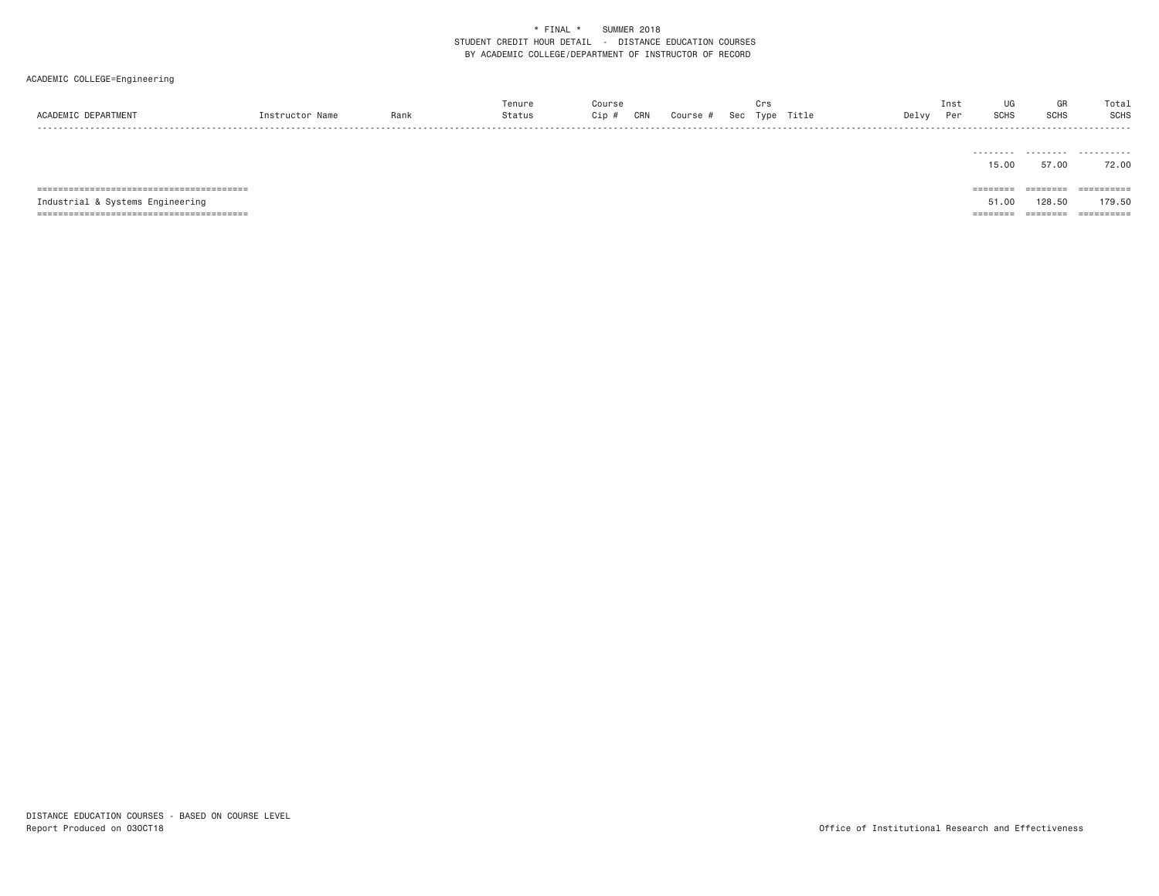| ACADEMIC DEPARTMENT              | Instructor Name | Rank | Tenure<br>Status | Course<br>Cip # | CRN | Course # | Crs | Sec Type Title | Delvy | UG<br>Inst<br>SCHS<br>Per | GR<br><b>SCHS</b> | Total<br><b>SCHS</b>  |
|----------------------------------|-----------------|------|------------------|-----------------|-----|----------|-----|----------------|-------|---------------------------|-------------------|-----------------------|
|                                  |                 |      |                  |                 |     |          |     |                |       | .<br>15.00                | .<br>57.00        | .<br>72.00            |
|                                  |                 |      |                  |                 |     |          |     |                |       | $=$ = = = = = = =         | $=$ = = = = = = = | $=$ = = = = = = = = = |
| Industrial & Systems Engineering |                 |      |                  |                 |     |          |     |                |       | 51,00                     | 128.50            | 179.50                |
|                                  |                 |      |                  |                 |     |          |     |                |       | ========                  | ========          | ==========            |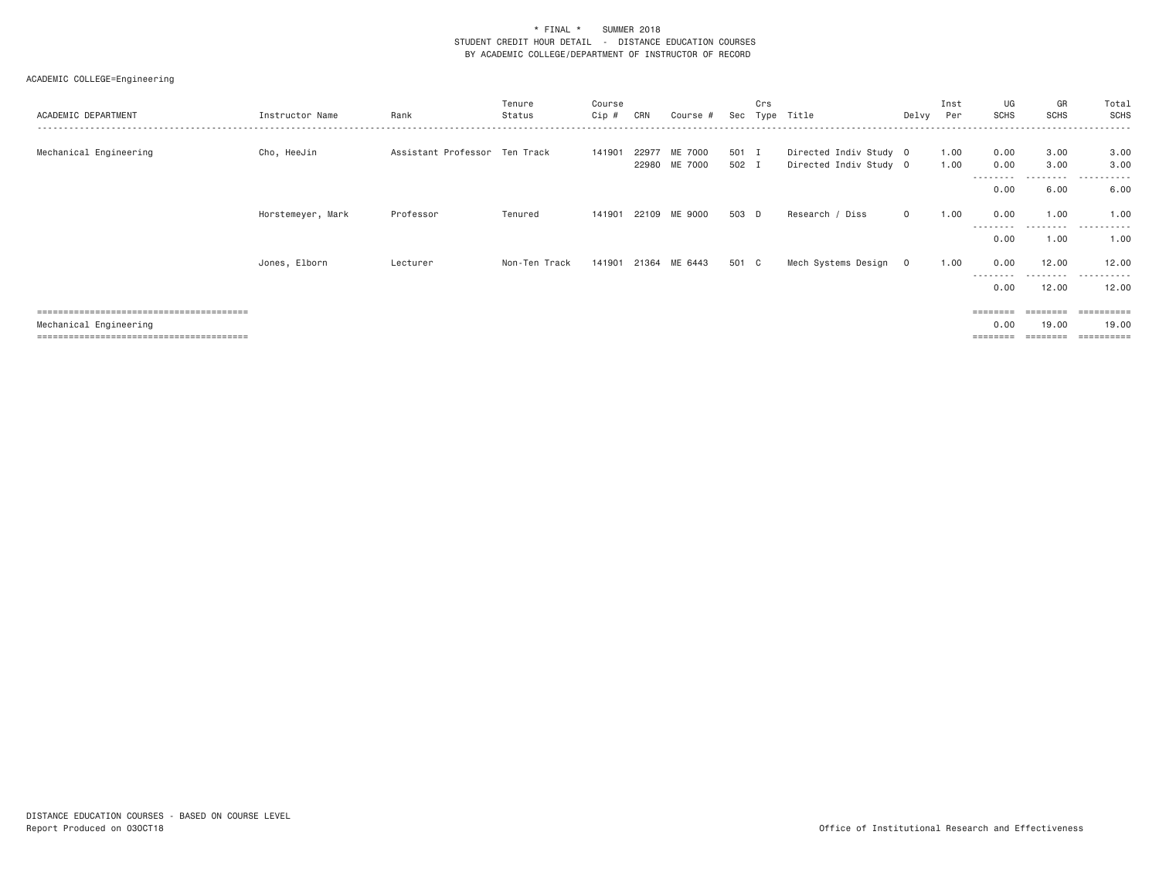| ACADEMIC DEPARTMENT    | Instructor Name   | Rank                          | Tenure<br>Status | Course<br>Cip # | CRN   | Course #                 | Sec            | Crs | Type Title                                       | Delvy   | Inst<br>Per  | UG<br><b>SCHS</b> | GR<br><b>SCHS</b>          | Total<br><b>SCHS</b>              |
|------------------------|-------------------|-------------------------------|------------------|-----------------|-------|--------------------------|----------------|-----|--------------------------------------------------|---------|--------------|-------------------|----------------------------|-----------------------------------|
| Mechanical Engineering | Cho, HeeJin       | Assistant Professor Ten Track |                  | 141901          | 22977 | ME 7000<br>22980 ME 7000 | 501 I<br>502 I |     | Directed Indiv Study 0<br>Directed Indiv Study 0 |         | 1.00<br>1.00 | 0.00<br>0.00      | 3.00<br>3.00<br>. <b>.</b> | 3.00<br>3.00<br>------<br>$- - -$ |
|                        |                   |                               |                  |                 |       |                          |                |     |                                                  |         |              | --------<br>0.00  | 6.00                       | 6.00                              |
|                        | Horstemeyer, Mark | Professor                     | Tenured          | 141901          | 22109 | ME 9000                  | 503 D          |     | Research / Diss                                  | $\circ$ | 1.00         | 0.00              | 1.00                       | 1,00                              |
|                        |                   |                               |                  |                 |       |                          |                |     |                                                  |         |              | --------<br>0.00  | ---------<br>1.00          | .<br>1.00                         |
|                        | Jones, Elborn     | Lecturer                      | Non-Ten Track    | 141901          | 21364 | ME 6443                  | 501 C          |     | Mech Systems Design                              | $\circ$ | 1.00         | 0.00              | 12.00                      | 12.00                             |
|                        |                   |                               |                  |                 |       |                          |                |     |                                                  |         |              | --------<br>0.00  | ---------<br>12.00         | . <u>.</u> .<br>$  -$<br>12.00    |
|                        |                   |                               |                  |                 |       |                          |                |     |                                                  |         |              | ========          | ========                   | ==========                        |
| Mechanical Engineering |                   |                               |                  |                 |       |                          |                |     |                                                  |         |              | 0.00<br>========  | 19.00<br>========          | 19,00<br>==========               |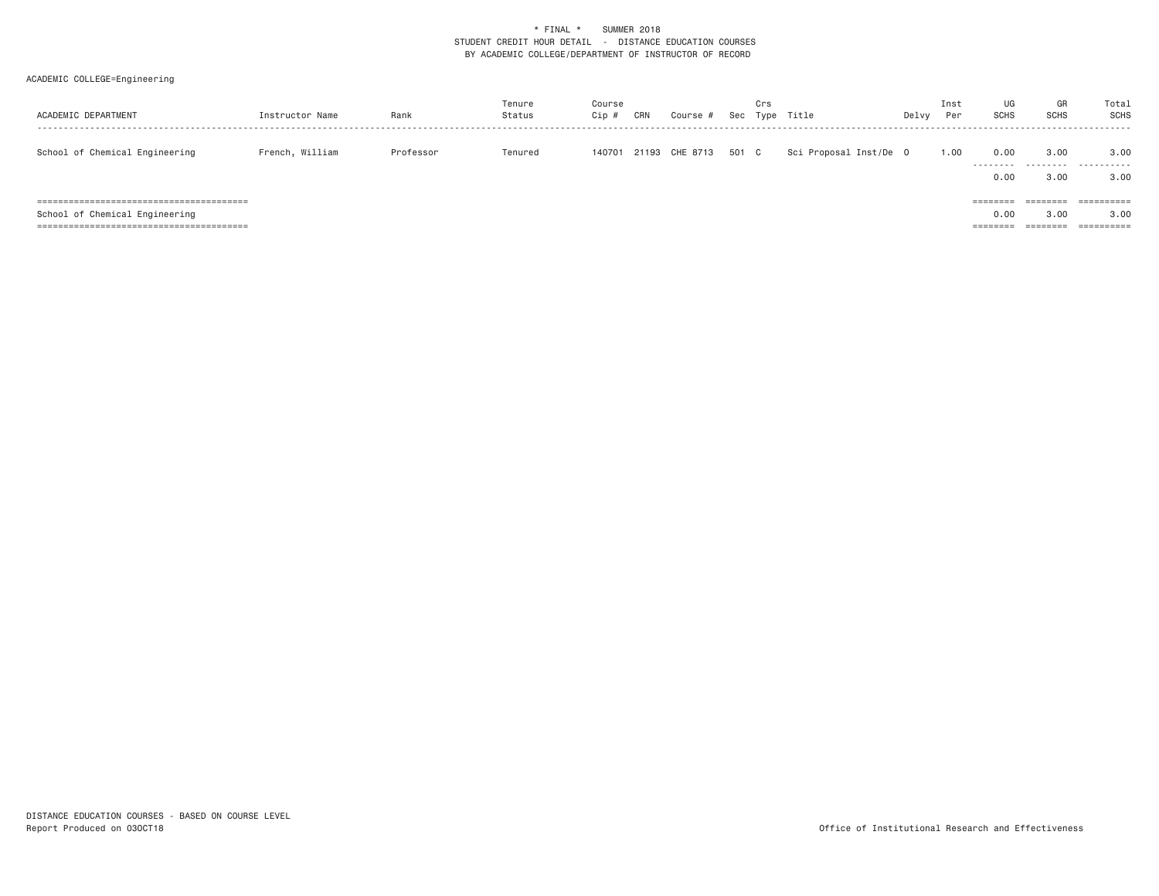| ACADEMIC DEPARTMENT            | Instructor Name | Rank      | Tenure<br>Status | Course<br>Cip # | CRN | Course #             | Crs | Sec Type Title         | Delvy | Inst<br>Per | UG<br><b>SCHS</b>                     | GR<br><b>SCHS</b>            | Total<br>SCHS      |
|--------------------------------|-----------------|-----------|------------------|-----------------|-----|----------------------|-----|------------------------|-------|-------------|---------------------------------------|------------------------------|--------------------|
| School of Chemical Engineering | French, William | Professor | Tenured          | 140701          |     | 21193 CHE 8713 501 C |     | Sci Proposal Inst/De O |       | 1.00        | 0.00<br>---------<br>0.00             | 3,00<br>---------<br>3.00    | 3,00<br>.<br>3.00  |
| School of Chemical Engineering |                 |           |                  |                 |     |                      |     |                        |       |             | $=$ = = = = = = =<br>0.00<br>======== | ========<br>3.00<br>======== | ==========<br>3,00 |